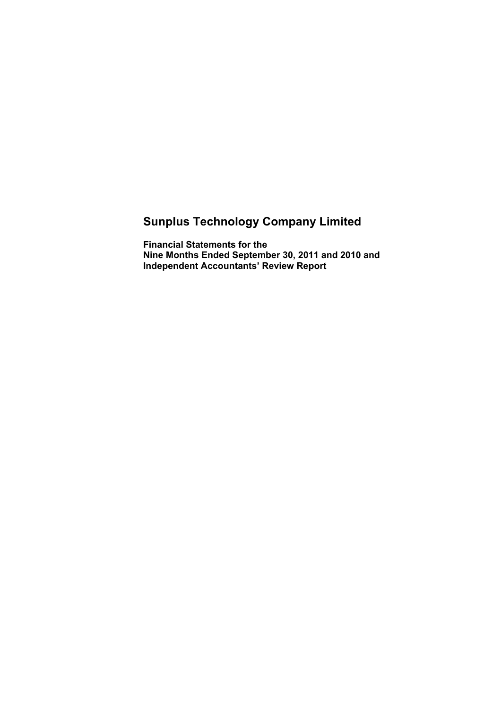# **Sunplus Technology Company Limited**

**Financial Statements for the Nine Months Ended September 30, 2011 and 2010 and Independent Accountants' Review Report**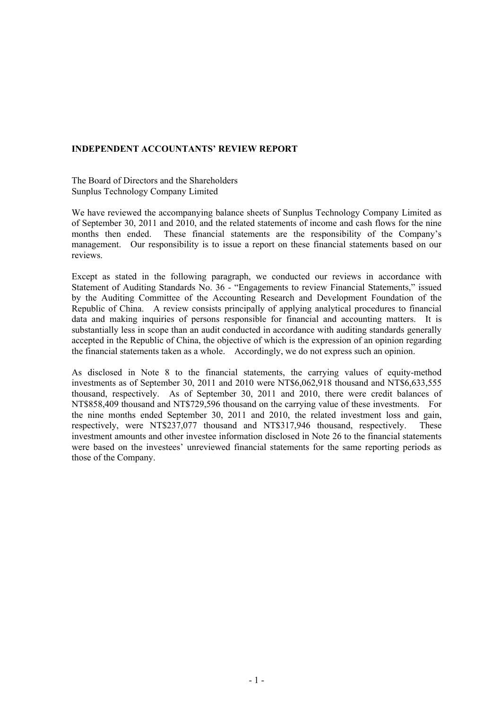#### **INDEPENDENT ACCOUNTANTS' REVIEW REPORT**

The Board of Directors and the Shareholders Sunplus Technology Company Limited

We have reviewed the accompanying balance sheets of Sunplus Technology Company Limited as of September 30, 2011 and 2010, and the related statements of income and cash flows for the nine months then ended. These financial statements are the responsibility of the Company's management. Our responsibility is to issue a report on these financial statements based on our reviews.

Except as stated in the following paragraph, we conducted our reviews in accordance with Statement of Auditing Standards No. 36 - "Engagements to review Financial Statements," issued by the Auditing Committee of the Accounting Research and Development Foundation of the Republic of China. A review consists principally of applying analytical procedures to financial data and making inquiries of persons responsible for financial and accounting matters. It is substantially less in scope than an audit conducted in accordance with auditing standards generally accepted in the Republic of China, the objective of which is the expression of an opinion regarding the financial statements taken as a whole. Accordingly, we do not express such an opinion.

As disclosed in Note 8 to the financial statements, the carrying values of equity-method investments as of September 30, 2011 and 2010 were NT\$6,062,918 thousand and NT\$6,633,555 thousand, respectively. As of September 30, 2011 and 2010, there were credit balances of NT\$858,409 thousand and NT\$729,596 thousand on the carrying value of these investments. For the nine months ended September 30, 2011 and 2010, the related investment loss and gain, respectively, were NT\$237,077 thousand and NT\$317,946 thousand, respectively. These investment amounts and other investee information disclosed in Note 26 to the financial statements were based on the investees' unreviewed financial statements for the same reporting periods as those of the Company.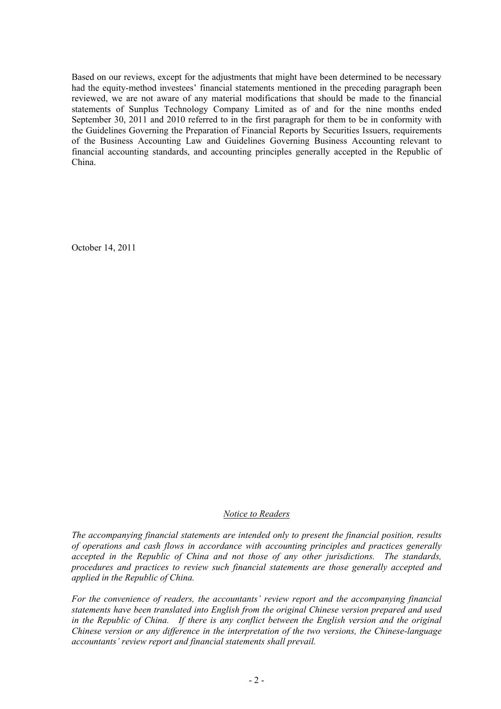Based on our reviews, except for the adjustments that might have been determined to be necessary had the equity-method investees' financial statements mentioned in the preceding paragraph been reviewed, we are not aware of any material modifications that should be made to the financial statements of Sunplus Technology Company Limited as of and for the nine months ended September 30, 2011 and 2010 referred to in the first paragraph for them to be in conformity with the Guidelines Governing the Preparation of Financial Reports by Securities Issuers, requirements of the Business Accounting Law and Guidelines Governing Business Accounting relevant to financial accounting standards, and accounting principles generally accepted in the Republic of China.

October 14, 2011

#### *Notice to Readers*

*The accompanying financial statements are intended only to present the financial position, results of operations and cash flows in accordance with accounting principles and practices generally accepted in the Republic of China and not those of any other jurisdictions. The standards, procedures and practices to review such financial statements are those generally accepted and applied in the Republic of China.* 

*For the convenience of readers, the accountants' review report and the accompanying financial statements have been translated into English from the original Chinese version prepared and used in the Republic of China.* If there is any conflict between the English version and the original *Chinese version or any difference in the interpretation of the two versions, the Chinese-language accountants' review report and financial statements shall prevail.*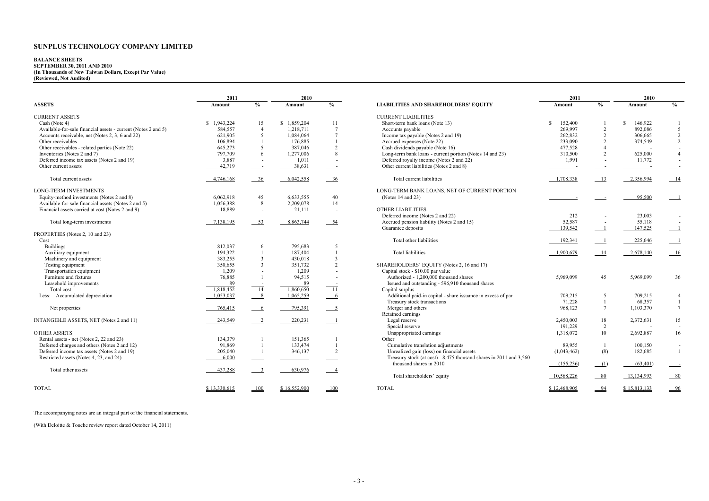# **BALANCE SHEETS SEPTEMBER 30, 2011 AND 2010 (In Thousands of New Taiwan Dollars, Except Par Value) (Reviewed, Not Audited)**

|                                                               | 2011         |                           | 2010         |                           |                                                                    | 2011          |                          | 2010                     |                          |
|---------------------------------------------------------------|--------------|---------------------------|--------------|---------------------------|--------------------------------------------------------------------|---------------|--------------------------|--------------------------|--------------------------|
| <b>ASSETS</b>                                                 | Amount       | $\frac{0}{0}$             | Amount       | $\frac{0}{0}$             | <b>LIABILITIES AND SHAREHOLDERS' EQUITY</b>                        | Amount        | $\frac{0}{0}$            | Amount                   | $\frac{0}{0}$            |
| <b>CURRENT ASSETS</b>                                         |              |                           |              |                           | <b>CURRENT LIABILITIES</b>                                         |               |                          |                          |                          |
| Cash (Note 4)                                                 | \$1,943,224  | 15                        | \$1,859,204  | 11                        | Short-term bank loans (Note 13)                                    | -S<br>152,400 |                          | <sup>\$</sup><br>146,922 |                          |
| Available-for-sale financial assets - current (Notes 2 and 5) | 584,557      | $\overline{4}$            | 1,218,711    | $7\phantom{.0}$           | Accounts payable                                                   | 269,997       | $\overline{2}$           | 892,086                  | 5                        |
| Accounts receivable, net (Notes 2, 3, 6 and 22)               | 621,905      | 5                         | 1.084.064    | $\tau$                    | Income tax payable (Notes 2 and 19)                                | 262.832       | $\overline{2}$           | 306,665                  | $\sqrt{2}$               |
| Other receivables                                             | 106,894      |                           | 176.885      |                           | Accrued expenses (Note 22)                                         | 233,090       | $\overline{2}$           | 374,549                  | $\overline{2}$           |
| Other receivables - related parties (Note 22)                 | 645,273      | 5                         | 387,046      | $\overline{2}$            | Cash dividends payable (Note 16)                                   | 477,528       | $\overline{4}$           |                          |                          |
| Inventories (Notes 2 and 7)                                   | 797,709      | 6                         | 1,277,006    | 8                         | Long-term bank loans - current portion (Notes 14 and 23)           | 310,500       | $\overline{2}$           | 625,000                  | $\overline{4}$           |
| Deferred income tax assets (Notes 2 and 19)                   | 3,887        |                           | 1,011        |                           | Deferred royalty income (Notes 2 and 22)                           | 1,991         | $\overline{\phantom{a}}$ | 11,772                   |                          |
| Other current assets                                          | 42,719       | $\sim$ $\sim$             | 38,631       | $\sim$                    | Other current liabilities (Notes 2 and 8)                          |               | $\equiv$                 | $\sim$                   |                          |
| Total current assets                                          | 4,746,168    | $-36$                     | 6,042,558    | $-36$                     | Total current liabilities                                          | 1,708,338     | 13                       | 2,356,994                | 14                       |
| <b>LONG-TERM INVESTMENTS</b>                                  |              |                           |              |                           | LONG-TERM BANK LOANS. NET OF CURRENT PORTION                       |               |                          |                          |                          |
| Equity-method investments (Notes 2 and 8)                     | 6,062,918    | 45                        | 6.633.555    | 40                        | (Notes 14 and 23)                                                  |               |                          | 95,500                   |                          |
| Available-for-sale financial assets (Notes 2 and 5)           | 1,056,388    | 8                         | 2,209,078    | 14                        |                                                                    |               |                          |                          |                          |
| Financial assets carried at cost (Notes 2 and 9)              | 18,889       | $\equiv$                  | 21,111       | $\sim$ 100 $\pm$          | <b>OTHER LIABILITIES</b>                                           |               |                          |                          |                          |
|                                                               |              |                           |              |                           | Deferred income (Notes 2 and 22)                                   | 212           |                          | 23,003                   |                          |
| Total long-term investments                                   | 7,138,195    | $-53$                     | 8,863,744    | $-54$                     | Accrued pension liability (Notes 2 and 15)                         | 52,587        | $\overline{\phantom{a}}$ | 55,118                   |                          |
|                                                               |              |                           |              |                           | Guarantee deposits                                                 | 139.542       | $\overline{\phantom{0}}$ | 147,525                  |                          |
| PROPERTIES (Notes 2, 10 and 23)                               |              |                           |              |                           |                                                                    |               |                          |                          |                          |
| Cost                                                          |              |                           |              |                           | Total other liabilities                                            | 192,341       | $\overline{\phantom{0}}$ | 225,646                  |                          |
| <b>Buildings</b>                                              | 812.037      | 6                         | 795.683      | 5                         |                                                                    |               |                          |                          |                          |
| Auxiliary equipment                                           | 194,322      |                           | 187.404      | $\mathbf{1}$              | <b>Total liabilities</b>                                           | 1,900,679     | 14                       | 2,678,140                | 16                       |
| Machinery and equipment                                       | 383,255      | 3                         | 430,018      | 3                         |                                                                    |               |                          |                          |                          |
| Testing equipment                                             | 350,655      | 3                         | 351,732      | $\overline{2}$            | SHAREHOLDERS' EQUITY (Notes 2, 16 and 17)                          |               |                          |                          |                          |
| Transportation equipment                                      | 1,209        | $\overline{\phantom{a}}$  | 1,209        |                           | Capital stock - \$10.00 par value                                  |               |                          |                          |                          |
| Furniture and fixtures                                        | 76,885       |                           | 94,515       |                           | Authorized - 1,200,000 thousand shares                             | 5,969,099     | 45                       | 5,969,099                | 36                       |
| Leasehold improvements                                        | 89           |                           | 89           |                           | Issued and outstanding - 596,910 thousand shares                   |               |                          |                          |                          |
| Total cost                                                    | 1,818,452    | $\overline{14}$           | 1,860,650    | $\overline{11}$           | Capital surplus                                                    |               |                          |                          |                          |
| Less: Accumulated depreciation                                | 1,053,037    | $^{\circ}$ 8              | 1,065,259    | $6\overline{6}$           | Additional paid-in capital - share issuance in excess of par       | 709,215       | 5                        | 709,215                  | $\overline{4}$           |
|                                                               |              |                           |              |                           | Treasury stock transactions                                        | 71,228        |                          | 68,357                   | -1                       |
| Net properties                                                | 765,415      | $6\overline{6}$           | 795.391      | $\overline{\phantom{0}5}$ | Merger and others                                                  | 968.123       | $\tau$                   | 1,103,370                | $\overline{7}$           |
|                                                               |              |                           |              |                           | Retained earnings                                                  |               |                          |                          |                          |
| INTANGIBLE ASSETS, NET (Notes 2 and 11)                       | 243,549      | $\overline{-2}$           | 220,231      | $\overline{\phantom{0}}$  | Legal reserve                                                      | 2,450,003     | 18                       | 2,372,631                | 15                       |
|                                                               |              |                           |              |                           | Special reserve                                                    | 191,229       | 2                        |                          |                          |
| <b>OTHER ASSETS</b>                                           |              |                           |              |                           | Unappropriated earnings                                            | 1,318,072     | 10                       | 2,692,887                | 16                       |
| Rental assets - net (Notes 2, 22 and 23)                      | 134,379      |                           | 151,365      |                           | Other                                                              |               |                          |                          |                          |
| Deferred charges and others (Notes 2 and 12)                  | 91,869       |                           | 133,474      |                           | Cumulative translation adjustments                                 | 89.955        | 1                        | 100,150                  | $\overline{\phantom{a}}$ |
| Deferred income tax assets (Notes 2 and 19)                   | 205,040      |                           | 346,137      | $\overline{2}$            | Unrealized gain (loss) on financial assets                         | (1,043,462)   | (8)                      | 182,685                  | $\mathbf{1}$             |
| Restricted assets (Notes 4, 23, and 24)                       | 6,000        | $\sim$ 100 $\pm$          | $\sim$       |                           | Treasury stock (at cost) - 8,475 thousand shares in 2011 and 3,560 |               |                          |                          |                          |
|                                                               |              |                           |              |                           | thousand shares in 2010                                            | (155, 236)    | (1)                      | (63, 401)                |                          |
| Total other assets                                            | 437,288      | $\overline{\phantom{a}3}$ | 630,976      | $\overline{4}$            |                                                                    |               |                          |                          |                          |
|                                                               |              |                           |              |                           | Total shareholders' equity                                         | 10,568,226    | $-80$                    | 13,134,993               | $-80$                    |
| <b>TOTAL</b>                                                  | \$13.330.615 | 100                       | \$16,552,900 | 100                       | <b>TOTAL</b>                                                       | \$12,468,905  | 94                       | \$15.813.133             | 96                       |
|                                                               |              |                           |              |                           |                                                                    |               |                          |                          |                          |

|                                                              | 2011         |                          | 2010                     |                          |                                                                    | 2011          |                | 2010         |                          |
|--------------------------------------------------------------|--------------|--------------------------|--------------------------|--------------------------|--------------------------------------------------------------------|---------------|----------------|--------------|--------------------------|
| ETS                                                          | Amount       | $\frac{6}{9}$            | Amount                   | $\%$                     | <b>LIABILITIES AND SHAREHOLDERS' EQUITY</b>                        | Amount        | $\%$           | Amount       | $\frac{0}{0}$            |
| <b>RENT ASSETS</b>                                           |              |                          |                          |                          | <b>CURRENT LIABILITIES</b>                                         |               |                |              |                          |
| sh (Note 4)                                                  | \$1,943,224  | 15                       | \$1.859.204              | 11                       | Short-term bank loans (Note 13)                                    | 152,400<br>S. |                | 146.922<br>S |                          |
| vailable-for-sale financial assets - current (Notes 2 and 5) | 584,557      | $\boldsymbol{\Lambda}$   | 1,218,711                | $\overline{7}$           | Accounts payable                                                   | 269,997       |                | 892,086      | 5                        |
| ecounts receivable, net (Notes 2, 3, 6 and 22)               | 621,905      | 5                        | 1,084,064                | $\overline{7}$           | Income tax payable (Notes 2 and 19)                                | 262,832       |                | 306,665      | $\overline{2}$           |
| her receivables                                              | 106,894      |                          | 176.885                  |                          | Accrued expenses (Note 22)                                         | 233,090       |                | 374,549      | $\overline{2}$           |
| her receivables - related parties (Note 22)                  | 645,273      | 5                        | 387,046                  | 2                        | Cash dividends payable (Note 16)                                   | 477,528       |                |              |                          |
| ventories (Notes 2 and 7)                                    | 797,709      | 6                        | 1,277,006                | $\mathbf{8}$             | Long-term bank loans - current portion (Notes 14 and 23)           | 310,500       |                | 625,000      | $\overline{4}$           |
| eferred income tax assets (Notes 2 and 19)                   | 3,887        |                          | 1,011                    |                          | Deferred royalty income (Notes 2 and 22)                           | 1,991         |                | 11,772       |                          |
| her current assets                                           | 42,719       | $\overline{\phantom{a}}$ | 38,631                   | $\sim$ 100 $\pm$         | Other current liabilities (Notes 2 and 8)                          |               |                |              |                          |
|                                                              |              |                          |                          |                          |                                                                    |               |                |              |                          |
| Total current assets                                         | 4,746,168    | 36                       | 6,042,558                | 36                       | Total current liabilities                                          | 1,708,338     | 13             | 2,356,994    | 14                       |
| <b>G-TERM INVESTMENTS</b>                                    |              |                          |                          |                          | LONG-TERM BANK LOANS, NET OF CURRENT PORTION                       |               |                |              |                          |
| uity-method investments (Notes 2 and 8)                      | 6,062,918    | 45                       | 6,633,555                | 40                       | (Notes 14 and 23)                                                  |               |                | 95,500       | $\overline{\phantom{0}}$ |
| vailable-for-sale financial assets (Notes 2 and 5)           | 1,056,388    | 8                        | 2,209,078                | 14                       |                                                                    |               |                |              |                          |
| nancial assets carried at cost (Notes 2 and 9)               | 18,889       | $\sim$ 100 $\pm$         | 21,111                   | $\overline{\phantom{a}}$ | <b>OTHER LIABILITIES</b>                                           |               |                |              |                          |
|                                                              |              |                          |                          |                          | Deferred income (Notes 2 and 22)                                   | 212           |                | 23,003       |                          |
| Total long-term investments                                  | 7.138.195    | $-53$                    | 8.863.744                | $-54$                    | Accrued pension liability (Notes 2 and 15)                         | 52,587        |                | 55,118       | $\sim$                   |
|                                                              |              |                          |                          |                          | Guarantee deposits                                                 | 139,542       | $\overline{1}$ | 147,525      | $\overline{\phantom{0}}$ |
| PERTIES (Notes 2, 10 and 23)                                 |              |                          |                          |                          |                                                                    |               |                |              |                          |
|                                                              |              |                          |                          |                          | Total other liabilities                                            | 192,341       |                | 225,646      | $\equiv$ 1               |
| <b>Buildings</b>                                             | 812,037      | 6                        | 795.683                  | 5                        |                                                                    |               |                |              |                          |
| Auxiliary equipment                                          | 194,322      |                          | 187,404                  |                          | <b>Total liabilities</b>                                           | 1,900,679     | 14             | 2,678,140    | $-16$                    |
| Machinery and equipment                                      | 383,255      | $\overline{\mathbf{3}}$  | 430,018                  | $\overline{3}$           |                                                                    |               |                |              |                          |
| Testing equipment                                            | 350,655      | $\overline{\mathbf{3}}$  | 351,732                  | 2                        | SHAREHOLDERS' EQUITY (Notes 2, 16 and 17)                          |               |                |              |                          |
| Transportation equipment                                     | 1,209        |                          | 1,209                    |                          | Capital stock - \$10.00 par value                                  |               |                |              |                          |
| Furniture and fixtures                                       | 76,885       |                          | 94,515                   |                          | Authorized - 1,200,000 thousand shares                             | 5,969,099     | 45             | 5,969,099    | 36                       |
| Leasehold improvements                                       | 89           |                          | 89                       |                          | Issued and outstanding - 596,910 thousand shares                   |               |                |              |                          |
| Total cost                                                   | 1,818,452    | $\frac{1}{14}$           | 1,860,650                | 11                       | Capital surplus                                                    |               |                |              |                          |
| ss: Accumulated depreciation                                 | 1,053,037    | 8 <sup>8</sup>           | 1,065,259                | $6\overline{6}$          | Additional paid-in capital - share issuance in excess of par       | 709,215       | 5              | 709,215      | $\overline{4}$           |
|                                                              |              |                          |                          |                          | Treasury stock transactions                                        | 71,228        | $\mathbf{1}$   | 68,357       | $\mathbf{1}$             |
| Net properties                                               | 765,415      | 6                        | 795,391                  | $\overline{\phantom{0}}$ | Merger and others                                                  | 968,123       | $\tau$         | 1,103,370    | $7\phantom{.0}$          |
|                                                              |              |                          |                          |                          | Retained earnings                                                  |               |                |              |                          |
| ANGIBLE ASSETS, NET (Notes 2 and 11)                         | 243,549      | $\overline{\phantom{a}}$ | 220,231                  | $\overline{\phantom{a}}$ | Legal reserve                                                      | 2,450,003     | 18             | 2,372,631    | 15                       |
|                                                              |              |                          |                          |                          | Special reserve                                                    | 191.229       | 2              |              |                          |
| <b>ER ASSETS</b>                                             |              |                          |                          |                          | Unappropriated earnings                                            | 1.318.072     | 10             | 2,692,887    | 16                       |
| ental assets - net (Notes 2, 22 and 23)                      | 134,379      |                          | 151,365                  |                          | Other                                                              |               |                |              |                          |
| eferred charges and others (Notes 2 and 12)                  | 91,869       |                          | 133,474                  |                          | Cumulative translation adjustments                                 | 89,955        | -1             | 100,150      | $\sim$                   |
| eferred income tax assets (Notes 2 and 19)                   | 205,040      |                          | 346,137                  | $\overline{2}$           | Unrealized gain (loss) on financial assets                         | (1,043,462)   | (8)            | 182,685      | $\mathbf{1}$             |
| stricted assets (Notes 4, 23, and 24)                        | 6,000        |                          |                          |                          | Treasury stock (at cost) - 8,475 thousand shares in 2011 and 3,560 |               |                |              |                          |
|                                                              |              |                          | $\overline{\phantom{a}}$ |                          | thousand shares in 2010                                            | (155, 236)    | (1)            | (63, 401)    | $\sim$                   |
| Total other assets                                           | 437,288      | $\overline{\phantom{a}}$ | 630,976                  | $\overline{4}$           |                                                                    |               |                |              |                          |
|                                                              |              |                          |                          |                          | Total shareholders' equity                                         | 10,568,226    | $-80$          | 13,134,993   | $-80$                    |
| AL                                                           | \$13.330.615 | $-100$                   | \$16.552.900             | 100                      | <b>TOTAL</b>                                                       | \$12,468,905  | $-94$          | \$15,813,133 | $-96$                    |
|                                                              |              |                          |                          |                          |                                                                    |               |                |              |                          |

The accompanying notes are an integral part of the financial statements.

(With Deloitte & Touche review report dated October 14, 2011)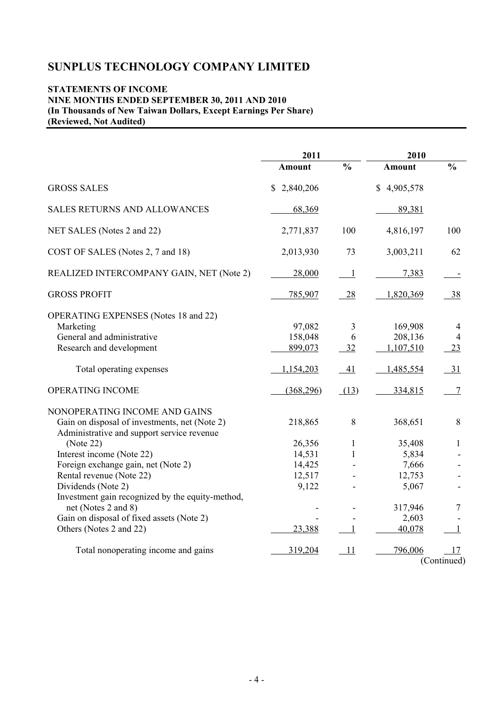## **STATEMENTS OF INCOME NINE MONTHS ENDED SEPTEMBER 30, 2011 AND 2010 (In Thousands of New Taiwan Dollars, Except Earnings Per Share) (Reviewed, Not Audited)**

|                                                                                                                              | 2011                         |                          | 2010                            |                           |  |
|------------------------------------------------------------------------------------------------------------------------------|------------------------------|--------------------------|---------------------------------|---------------------------|--|
|                                                                                                                              | <b>Amount</b>                | $\frac{0}{0}$            | <b>Amount</b>                   | $\frac{0}{0}$             |  |
| <b>GROSS SALES</b>                                                                                                           | \$2,840,206                  |                          | \$4,905,578                     |                           |  |
| <b>SALES RETURNS AND ALLOWANCES</b>                                                                                          | 68,369                       |                          | 89,381                          |                           |  |
| NET SALES (Notes 2 and 22)                                                                                                   | 2,771,837                    | 100                      | 4,816,197                       | 100                       |  |
| COST OF SALES (Notes 2, 7 and 18)                                                                                            | 2,013,930                    | 73                       | 3,003,211                       | 62                        |  |
| REALIZED INTERCOMPANY GAIN, NET (Note 2)                                                                                     | 28,000                       | $\overline{\phantom{0}}$ | 7,383                           |                           |  |
| <b>GROSS PROFIT</b>                                                                                                          | 785,907                      | 28                       | 1,820,369                       | 38                        |  |
| <b>OPERATING EXPENSES</b> (Notes 18 and 22)<br>Marketing<br>General and administrative<br>Research and development           | 97,082<br>158,048<br>899,073 | 3<br>6<br>32             | 169,908<br>208,136<br>1,107,510 | 4<br>$\overline{4}$<br>23 |  |
| Total operating expenses                                                                                                     | 1,154,203                    | 41                       | 1,485,554                       | $-31$                     |  |
| OPERATING INCOME                                                                                                             | (368, 296)                   | (13)                     | 334,815                         | $\tau$                    |  |
| NONOPERATING INCOME AND GAINS<br>Gain on disposal of investments, net (Note 2)<br>Administrative and support service revenue | 218,865                      | $8\,$                    | 368,651                         | $\,8\,$                   |  |
| (Note 22)                                                                                                                    | 26,356                       | $\mathbf{1}$             | 35,408                          | 1                         |  |
| Interest income (Note 22)                                                                                                    | 14,531                       | 1                        | 5,834                           |                           |  |
| Foreign exchange gain, net (Note 2)                                                                                          | 14,425                       |                          | 7,666                           |                           |  |
| Rental revenue (Note 22)                                                                                                     | 12,517                       |                          | 12,753                          |                           |  |
| Dividends (Note 2)                                                                                                           | 9,122                        |                          | 5,067                           |                           |  |
| Investment gain recognized by the equity-method,<br>net (Notes 2 and 8)                                                      |                              |                          | 317,946                         | 7                         |  |
| Gain on disposal of fixed assets (Note 2)                                                                                    |                              |                          | 2,603                           |                           |  |
| Others (Notes 2 and 22)                                                                                                      | 23,388                       | 1                        | 40,078                          | 1                         |  |
| Total nonoperating income and gains                                                                                          | 319,204                      | 11                       | 796,006                         | 17<br>(Continued)         |  |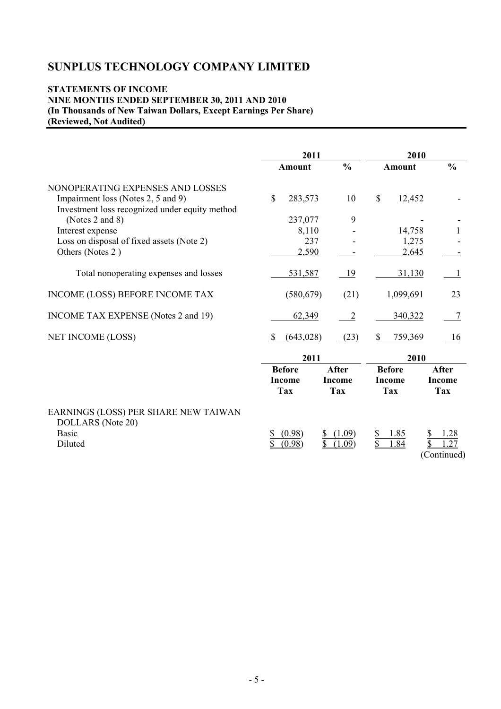## **STATEMENTS OF INCOME NINE MONTHS ENDED SEPTEMBER 30, 2011 AND 2010 (In Thousands of New Taiwan Dollars, Except Earnings Per Share) (Reviewed, Not Audited)**

|                                                                                      | 2011          |                | 2010                   |               |  |
|--------------------------------------------------------------------------------------|---------------|----------------|------------------------|---------------|--|
|                                                                                      | <b>Amount</b> | $\frac{0}{0}$  | <b>Amount</b>          | $\frac{0}{0}$ |  |
| NONOPERATING EXPENSES AND LOSSES                                                     |               |                |                        |               |  |
| Impairment loss (Notes 2, 5 and 9)<br>Investment loss recognized under equity method | \$<br>283,573 | 10             | $\mathbb{S}$<br>12,452 |               |  |
| (Notes 2 and 8)                                                                      | 237,077       | 9              |                        |               |  |
| Interest expense                                                                     | 8,110         |                | 14,758                 |               |  |
| Loss on disposal of fixed assets (Note 2)                                            | 237           |                |                        | 1,275         |  |
| Others (Notes 2)                                                                     | 2,590         |                |                        | 2,645         |  |
| Total nonoperating expenses and losses                                               | 531,587       | <u>19</u>      | 31,130                 |               |  |
| INCOME (LOSS) BEFORE INCOME TAX                                                      | (580, 679)    | (21)           | 1,099,691              | 23            |  |
| INCOME TAX EXPENSE (Notes 2 and 19)                                                  | 62,349        | $\overline{2}$ | 340,322                |               |  |
| NET INCOME (LOSS)                                                                    | (643, 028)    | (23)           | 759,369                | <u>16</u>     |  |
|                                                                                      | 2011          |                |                        | 2010          |  |
|                                                                                      | <b>Before</b> | <b>After</b>   | <b>Before</b>          | After         |  |
|                                                                                      | <b>Income</b> | <b>Income</b>  | <b>Income</b>          | <b>Income</b> |  |
|                                                                                      | <b>Tax</b>    | <b>Tax</b>     | <b>Tax</b>             | <b>Tax</b>    |  |
| EARNINGS (LOSS) PER SHARE NEW TAIWAN<br>DOLLARS (Note 20)                            |               |                |                        |               |  |
| <b>Basic</b>                                                                         | (0.98)        | (1.09)         | 1.85                   | <u>.28</u>    |  |
| Diluted                                                                              | (0.98)        | .09)           | .84                    | 27            |  |
|                                                                                      |               |                |                        | (Continued)   |  |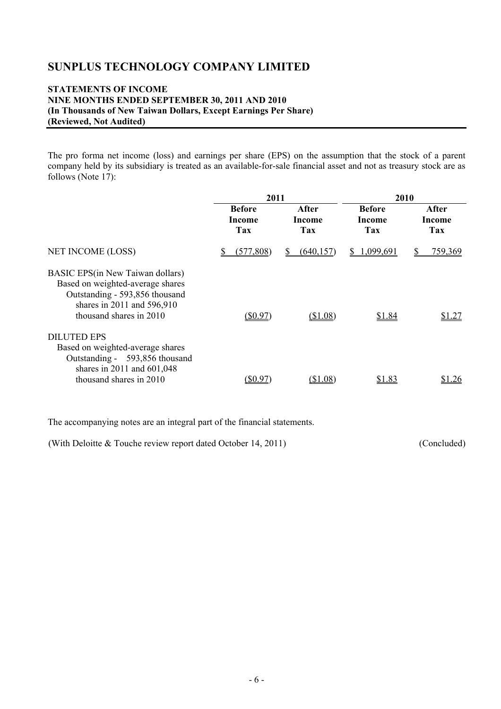## **STATEMENTS OF INCOME NINE MONTHS ENDED SEPTEMBER 30, 2011 AND 2010 (In Thousands of New Taiwan Dollars, Except Earnings Per Share) (Reviewed, Not Audited)**

The pro forma net income (loss) and earnings per share (EPS) on the assumption that the stock of a parent company held by its subsidiary is treated as an available-for-sale financial asset and not as treasury stock are as follows (Note 17):

|                                                                                                                                                                         | 2011                           |                        | 2010                           |                        |  |
|-------------------------------------------------------------------------------------------------------------------------------------------------------------------------|--------------------------------|------------------------|--------------------------------|------------------------|--|
|                                                                                                                                                                         | <b>Before</b><br>Income<br>Tax | After<br>Income<br>Tax | <b>Before</b><br>Income<br>Tax | After<br>Income<br>Tax |  |
| <b>NET INCOME (LOSS)</b>                                                                                                                                                | (577,808)                      | (640.157)              | 1,099,691<br>S                 | 759,369                |  |
| <b>BASIC EPS</b> (in New Taiwan dollars)<br>Based on weighted-average shares<br>Outstanding - 593,856 thousand<br>shares in 2011 and 596,910<br>thousand shares in 2010 | $(\$0.97)$                     | (\$1.08)               | \$1.84                         | \$1.27                 |  |
| <b>DILUTED EPS</b><br>Based on weighted-average shares<br>Outstanding - 593,856 thousand<br>shares in $2011$ and $601,048$                                              |                                |                        |                                |                        |  |
| thousand shares in 2010                                                                                                                                                 | SO 97                          | (\$1.08)               | \$1.83                         | 26                     |  |

The accompanying notes are an integral part of the financial statements.

(With Deloitte & Touche review report dated October 14, 2011) (Concluded)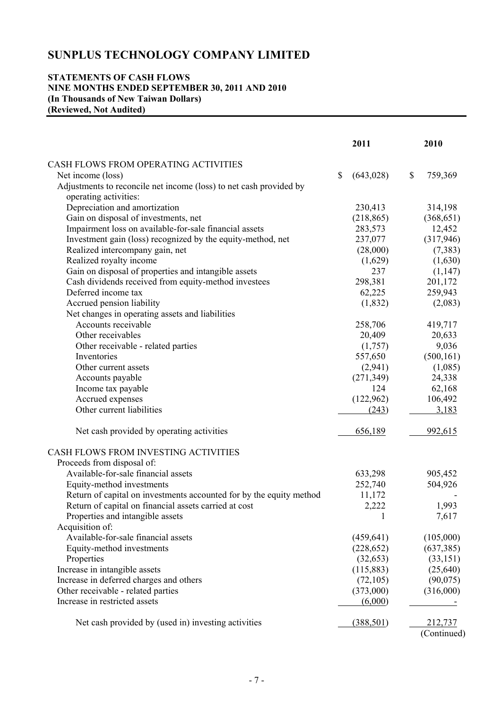#### **STATEMENTS OF CASH FLOWS NINE MONTHS ENDED SEPTEMBER 30, 2011 AND 2010 (In Thousands of New Taiwan Dollars) (Reviewed, Not Audited)**

|                                                                                             |              | 2011              | 2010          |
|---------------------------------------------------------------------------------------------|--------------|-------------------|---------------|
|                                                                                             |              |                   |               |
| CASH FLOWS FROM OPERATING ACTIVITIES                                                        | $\mathbb{S}$ |                   | \$<br>759,369 |
| Net income (loss)                                                                           |              | (643, 028)        |               |
| Adjustments to reconcile net income (loss) to net cash provided by<br>operating activities: |              |                   |               |
| Depreciation and amortization                                                               |              | 230,413           | 314,198       |
| Gain on disposal of investments, net                                                        |              | (218, 865)        | (368, 651)    |
| Impairment loss on available-for-sale financial assets                                      |              | 283,573           | 12,452        |
| Investment gain (loss) recognized by the equity-method, net                                 |              | 237,077           | (317,946)     |
| Realized intercompany gain, net                                                             |              | (28,000)          | (7,383)       |
| Realized royalty income                                                                     |              | (1,629)           | (1,630)       |
| Gain on disposal of properties and intangible assets                                        |              | 237               | (1, 147)      |
| Cash dividends received from equity-method investees                                        |              | 298,381           | 201,172       |
| Deferred income tax                                                                         |              | 62,225            | 259,943       |
| Accrued pension liability                                                                   |              | (1, 832)          | (2,083)       |
| Net changes in operating assets and liabilities                                             |              |                   |               |
| Accounts receivable                                                                         |              | 258,706           | 419,717       |
| Other receivables                                                                           |              | 20,409            | 20,633        |
|                                                                                             |              | (1,757)           | 9,036         |
| Other receivable - related parties<br>Inventories                                           |              | 557,650           |               |
| Other current assets                                                                        |              |                   | (500, 161)    |
|                                                                                             |              | (2,941)           | (1,085)       |
| Accounts payable                                                                            |              | (271, 349)<br>124 | 24,338        |
| Income tax payable                                                                          |              |                   | 62,168        |
| Accrued expenses                                                                            |              | (122,962)         | 106,492       |
| Other current liabilities                                                                   |              | (243)             | 3,183         |
| Net cash provided by operating activities                                                   |              | 656,189           | 992,615       |
| CASH FLOWS FROM INVESTING ACTIVITIES                                                        |              |                   |               |
| Proceeds from disposal of:                                                                  |              |                   |               |
| Available-for-sale financial assets                                                         |              | 633,298           | 905,452       |
| Equity-method investments                                                                   |              | 252,740           | 504,926       |
| Return of capital on investments accounted for by the equity method                         |              | 11,172            |               |
| Return of capital on financial assets carried at cost                                       |              | 2,222             | 1,993         |
| Properties and intangible assets                                                            |              | $\mathbf{I}$      | 7,617         |
| Acquisition of:                                                                             |              |                   |               |
| Available-for-sale financial assets                                                         |              | (459, 641)        | (105,000)     |
| Equity-method investments                                                                   |              | (228, 652)        | (637, 385)    |
| Properties                                                                                  |              | (32, 653)         | (33, 151)     |
| Increase in intangible assets                                                               |              | (115,883)         | (25,640)      |
| Increase in deferred charges and others                                                     |              | (72, 105)         | (90,075)      |
| Other receivable - related parties                                                          |              | (373,000)         | (316,000)     |
| Increase in restricted assets                                                               |              | (6,000)           |               |
| Net cash provided by (used in) investing activities                                         |              | (388, 501)        | 212,737       |
|                                                                                             |              |                   | (Continued)   |
|                                                                                             |              |                   |               |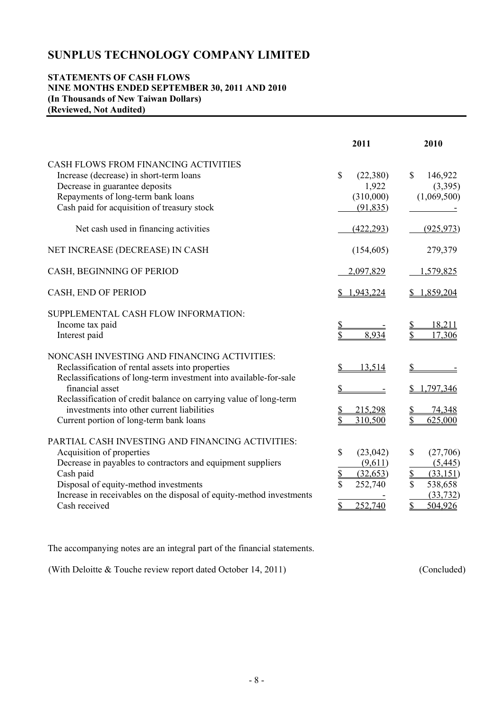#### **STATEMENTS OF CASH FLOWS NINE MONTHS ENDED SEPTEMBER 30, 2011 AND 2010 (In Thousands of New Taiwan Dollars) (Reviewed, Not Audited)**

|                                                                                                                                                                                                                                                                                                                                                        | 2011                                                                                                  | 2010                                                                                                                        |
|--------------------------------------------------------------------------------------------------------------------------------------------------------------------------------------------------------------------------------------------------------------------------------------------------------------------------------------------------------|-------------------------------------------------------------------------------------------------------|-----------------------------------------------------------------------------------------------------------------------------|
| CASH FLOWS FROM FINANCING ACTIVITIES<br>Increase (decrease) in short-term loans<br>Decrease in guarantee deposits<br>Repayments of long-term bank loans<br>Cash paid for acquisition of treasury stock                                                                                                                                                 | $\mathbf S$<br>(22, 380)<br>1,922<br>(310,000)<br>(91, 835)                                           | $\mathbb{S}$<br>146,922<br>(3,395)<br>(1,069,500)                                                                           |
| Net cash used in financing activities                                                                                                                                                                                                                                                                                                                  | (422, 293)                                                                                            | (925, 973)                                                                                                                  |
| NET INCREASE (DECREASE) IN CASH                                                                                                                                                                                                                                                                                                                        | (154, 605)                                                                                            | 279,379                                                                                                                     |
| CASH, BEGINNING OF PERIOD                                                                                                                                                                                                                                                                                                                              | 2,097,829                                                                                             | 1,579,825                                                                                                                   |
| CASH, END OF PERIOD                                                                                                                                                                                                                                                                                                                                    | 1,943,224                                                                                             | 1,859,204                                                                                                                   |
| SUPPLEMENTAL CASH FLOW INFORMATION:<br>Income tax paid<br>Interest paid                                                                                                                                                                                                                                                                                | <u>\$</u><br>\$<br>8,934                                                                              | 18,211<br>\$<br>17,306                                                                                                      |
| NONCASH INVESTING AND FINANCING ACTIVITIES:<br>Reclassification of rental assets into properties<br>Reclassifications of long-term investment into available-for-sale<br>financial asset<br>Reclassification of credit balance on carrying value of long-term<br>investments into other current liabilities<br>Current portion of long-term bank loans | 13,514<br>215,298<br>310,500                                                                          | ,797,346<br>74,348<br>625,000                                                                                               |
| PARTIAL CASH INVESTING AND FINANCING ACTIVITIES:<br>Acquisition of properties<br>Decrease in payables to contractors and equipment suppliers<br>Cash paid<br>Disposal of equity-method investments<br>Increase in receivables on the disposal of equity-method investments<br>Cash received                                                            | \$<br>(23, 042)<br>(9,611)<br>$\overline{\mathcal{L}}$<br>(32, 653)<br>\$<br>252,740<br>\$<br>252,740 | \$<br>(27,706)<br>(5,445)<br>$\mathbf{\underline{\mathcal{S}}}$<br>(33, 151)<br>\$<br>538,658<br>(33, 732)<br>\$<br>504,926 |

The accompanying notes are an integral part of the financial statements.

(With Deloitte & Touche review report dated October 14, 2011) (Concluded)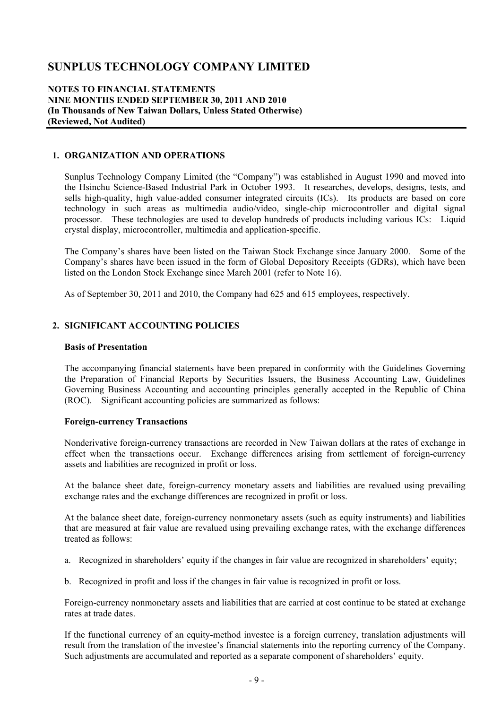#### **NOTES TO FINANCIAL STATEMENTS NINE MONTHS ENDED SEPTEMBER 30, 2011 AND 2010 (In Thousands of New Taiwan Dollars, Unless Stated Otherwise) (Reviewed, Not Audited)**

## **1. ORGANIZATION AND OPERATIONS**

Sunplus Technology Company Limited (the "Company") was established in August 1990 and moved into the Hsinchu Science-Based Industrial Park in October 1993. It researches, develops, designs, tests, and sells high-quality, high value-added consumer integrated circuits (ICs). Its products are based on core technology in such areas as multimedia audio/video, single-chip microcontroller and digital signal processor. These technologies are used to develop hundreds of products including various ICs: Liquid crystal display, microcontroller, multimedia and application-specific.

The Company's shares have been listed on the Taiwan Stock Exchange since January 2000. Some of the Company's shares have been issued in the form of Global Depository Receipts (GDRs), which have been listed on the London Stock Exchange since March 2001 (refer to Note 16).

As of September 30, 2011 and 2010, the Company had 625 and 615 employees, respectively.

#### **2. SIGNIFICANT ACCOUNTING POLICIES**

#### **Basis of Presentation**

The accompanying financial statements have been prepared in conformity with the Guidelines Governing the Preparation of Financial Reports by Securities Issuers, the Business Accounting Law, Guidelines Governing Business Accounting and accounting principles generally accepted in the Republic of China (ROC). Significant accounting policies are summarized as follows:

#### **Foreign-currency Transactions**

Nonderivative foreign-currency transactions are recorded in New Taiwan dollars at the rates of exchange in effect when the transactions occur. Exchange differences arising from settlement of foreign-currency assets and liabilities are recognized in profit or loss.

At the balance sheet date, foreign-currency monetary assets and liabilities are revalued using prevailing exchange rates and the exchange differences are recognized in profit or loss.

At the balance sheet date, foreign-currency nonmonetary assets (such as equity instruments) and liabilities that are measured at fair value are revalued using prevailing exchange rates, with the exchange differences treated as follows:

- a. Recognized in shareholders' equity if the changes in fair value are recognized in shareholders' equity;
- b. Recognized in profit and loss if the changes in fair value is recognized in profit or loss.

Foreign-currency nonmonetary assets and liabilities that are carried at cost continue to be stated at exchange rates at trade dates.

If the functional currency of an equity-method investee is a foreign currency, translation adjustments will result from the translation of the investee's financial statements into the reporting currency of the Company. Such adjustments are accumulated and reported as a separate component of shareholders' equity.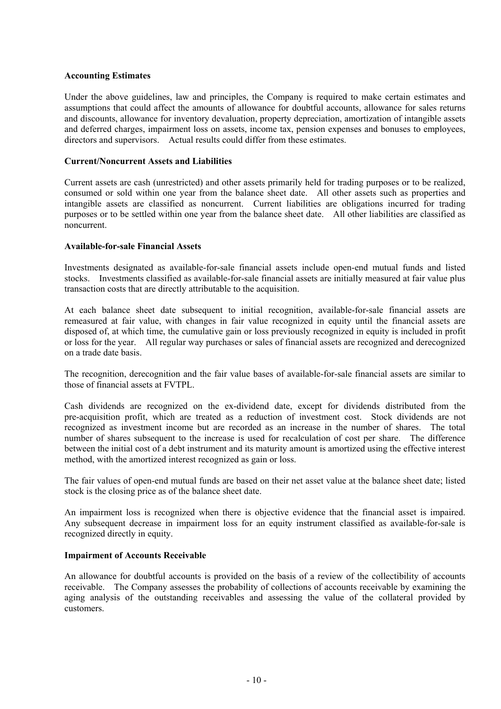#### **Accounting Estimates**

Under the above guidelines, law and principles, the Company is required to make certain estimates and assumptions that could affect the amounts of allowance for doubtful accounts, allowance for sales returns and discounts, allowance for inventory devaluation, property depreciation, amortization of intangible assets and deferred charges, impairment loss on assets, income tax, pension expenses and bonuses to employees, directors and supervisors. Actual results could differ from these estimates.

#### **Current/Noncurrent Assets and Liabilities**

Current assets are cash (unrestricted) and other assets primarily held for trading purposes or to be realized, consumed or sold within one year from the balance sheet date. All other assets such as properties and intangible assets are classified as noncurrent. Current liabilities are obligations incurred for trading purposes or to be settled within one year from the balance sheet date. All other liabilities are classified as noncurrent.

#### **Available-for-sale Financial Assets**

Investments designated as available-for-sale financial assets include open-end mutual funds and listed stocks. Investments classified as available-for-sale financial assets are initially measured at fair value plus transaction costs that are directly attributable to the acquisition.

At each balance sheet date subsequent to initial recognition, available-for-sale financial assets are remeasured at fair value, with changes in fair value recognized in equity until the financial assets are disposed of, at which time, the cumulative gain or loss previously recognized in equity is included in profit or loss for the year. All regular way purchases or sales of financial assets are recognized and derecognized on a trade date basis.

The recognition, derecognition and the fair value bases of available-for-sale financial assets are similar to those of financial assets at FVTPL.

Cash dividends are recognized on the ex-dividend date, except for dividends distributed from the pre-acquisition profit, which are treated as a reduction of investment cost. Stock dividends are not recognized as investment income but are recorded as an increase in the number of shares. The total number of shares subsequent to the increase is used for recalculation of cost per share. The difference between the initial cost of a debt instrument and its maturity amount is amortized using the effective interest method, with the amortized interest recognized as gain or loss.

The fair values of open-end mutual funds are based on their net asset value at the balance sheet date; listed stock is the closing price as of the balance sheet date.

An impairment loss is recognized when there is objective evidence that the financial asset is impaired. Any subsequent decrease in impairment loss for an equity instrument classified as available-for-sale is recognized directly in equity.

#### **Impairment of Accounts Receivable**

An allowance for doubtful accounts is provided on the basis of a review of the collectibility of accounts receivable. The Company assesses the probability of collections of accounts receivable by examining the aging analysis of the outstanding receivables and assessing the value of the collateral provided by customers.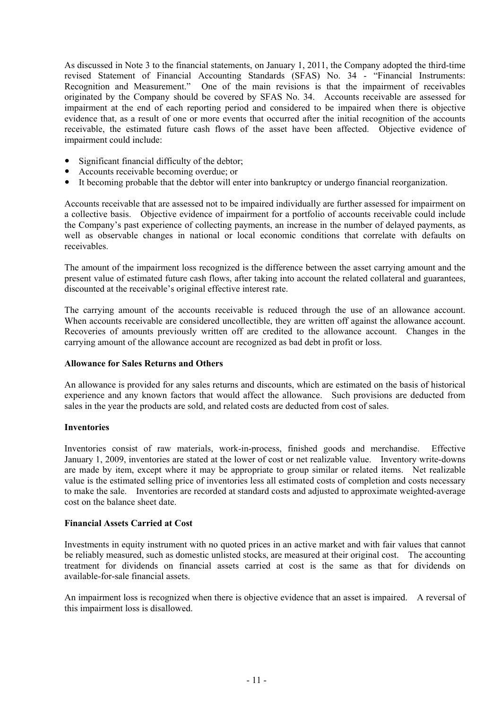As discussed in Note 3 to the financial statements, on January 1, 2011, the Company adopted the third-time revised Statement of Financial Accounting Standards (SFAS) No. 34 - "Financial Instruments: Recognition and Measurement." One of the main revisions is that the impairment of receivables originated by the Company should be covered by SFAS No. 34. Accounts receivable are assessed for impairment at the end of each reporting period and considered to be impaired when there is objective evidence that, as a result of one or more events that occurred after the initial recognition of the accounts receivable, the estimated future cash flows of the asset have been affected. Objective evidence of impairment could include:

- Significant financial difficulty of the debtor;
- Accounts receivable becoming overdue; or
- It becoming probable that the debtor will enter into bankruptcy or undergo financial reorganization.

Accounts receivable that are assessed not to be impaired individually are further assessed for impairment on a collective basis. Objective evidence of impairment for a portfolio of accounts receivable could include the Company's past experience of collecting payments, an increase in the number of delayed payments, as well as observable changes in national or local economic conditions that correlate with defaults on receivables.

The amount of the impairment loss recognized is the difference between the asset carrying amount and the present value of estimated future cash flows, after taking into account the related collateral and guarantees, discounted at the receivable's original effective interest rate.

The carrying amount of the accounts receivable is reduced through the use of an allowance account. When accounts receivable are considered uncollectible, they are written off against the allowance account. Recoveries of amounts previously written off are credited to the allowance account. Changes in the carrying amount of the allowance account are recognized as bad debt in profit or loss.

#### **Allowance for Sales Returns and Others**

An allowance is provided for any sales returns and discounts, which are estimated on the basis of historical experience and any known factors that would affect the allowance. Such provisions are deducted from sales in the year the products are sold, and related costs are deducted from cost of sales.

#### **Inventories**

Inventories consist of raw materials, work-in-process, finished goods and merchandise. Effective January 1, 2009, inventories are stated at the lower of cost or net realizable value. Inventory write-downs are made by item, except where it may be appropriate to group similar or related items. Net realizable value is the estimated selling price of inventories less all estimated costs of completion and costs necessary to make the sale. Inventories are recorded at standard costs and adjusted to approximate weighted-average cost on the balance sheet date.

#### **Financial Assets Carried at Cost**

Investments in equity instrument with no quoted prices in an active market and with fair values that cannot be reliably measured, such as domestic unlisted stocks, are measured at their original cost. The accounting treatment for dividends on financial assets carried at cost is the same as that for dividends on available-for-sale financial assets.

An impairment loss is recognized when there is objective evidence that an asset is impaired. A reversal of this impairment loss is disallowed.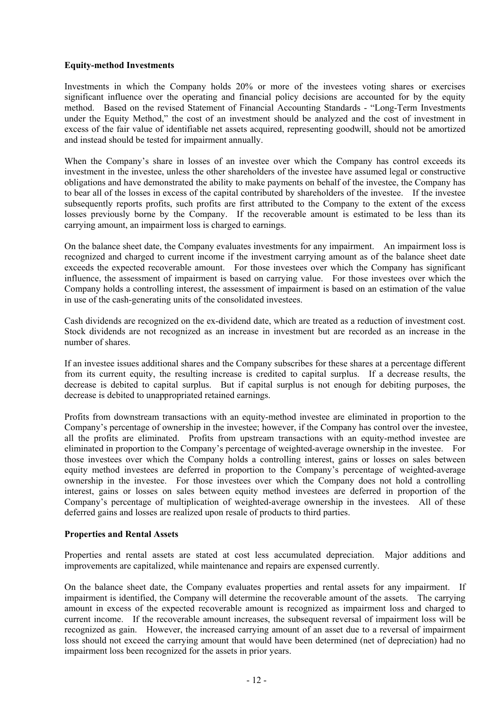#### **Equity-method Investments**

Investments in which the Company holds 20% or more of the investees voting shares or exercises significant influence over the operating and financial policy decisions are accounted for by the equity method. Based on the revised Statement of Financial Accounting Standards - "Long-Term Investments under the Equity Method," the cost of an investment should be analyzed and the cost of investment in excess of the fair value of identifiable net assets acquired, representing goodwill, should not be amortized and instead should be tested for impairment annually.

When the Company's share in losses of an investee over which the Company has control exceeds its investment in the investee, unless the other shareholders of the investee have assumed legal or constructive obligations and have demonstrated the ability to make payments on behalf of the investee, the Company has to bear all of the losses in excess of the capital contributed by shareholders of the investee. If the investee subsequently reports profits, such profits are first attributed to the Company to the extent of the excess losses previously borne by the Company. If the recoverable amount is estimated to be less than its carrying amount, an impairment loss is charged to earnings.

On the balance sheet date, the Company evaluates investments for any impairment. An impairment loss is recognized and charged to current income if the investment carrying amount as of the balance sheet date exceeds the expected recoverable amount. For those investees over which the Company has significant influence, the assessment of impairment is based on carrying value. For those investees over which the Company holds a controlling interest, the assessment of impairment is based on an estimation of the value in use of the cash-generating units of the consolidated investees.

Cash dividends are recognized on the ex-dividend date, which are treated as a reduction of investment cost. Stock dividends are not recognized as an increase in investment but are recorded as an increase in the number of shares.

If an investee issues additional shares and the Company subscribes for these shares at a percentage different from its current equity, the resulting increase is credited to capital surplus. If a decrease results, the decrease is debited to capital surplus. But if capital surplus is not enough for debiting purposes, the decrease is debited to unappropriated retained earnings.

Profits from downstream transactions with an equity-method investee are eliminated in proportion to the Company's percentage of ownership in the investee; however, if the Company has control over the investee, all the profits are eliminated. Profits from upstream transactions with an equity-method investee are eliminated in proportion to the Company's percentage of weighted-average ownership in the investee. For those investees over which the Company holds a controlling interest, gains or losses on sales between equity method investees are deferred in proportion to the Company's percentage of weighted-average ownership in the investee. For those investees over which the Company does not hold a controlling interest, gains or losses on sales between equity method investees are deferred in proportion of the Company's percentage of multiplication of weighted-average ownership in the investees. All of these deferred gains and losses are realized upon resale of products to third parties.

#### **Properties and Rental Assets**

Properties and rental assets are stated at cost less accumulated depreciation. Major additions and improvements are capitalized, while maintenance and repairs are expensed currently.

On the balance sheet date, the Company evaluates properties and rental assets for any impairment. If impairment is identified, the Company will determine the recoverable amount of the assets. The carrying amount in excess of the expected recoverable amount is recognized as impairment loss and charged to current income. If the recoverable amount increases, the subsequent reversal of impairment loss will be recognized as gain. However, the increased carrying amount of an asset due to a reversal of impairment loss should not exceed the carrying amount that would have been determined (net of depreciation) had no impairment loss been recognized for the assets in prior years.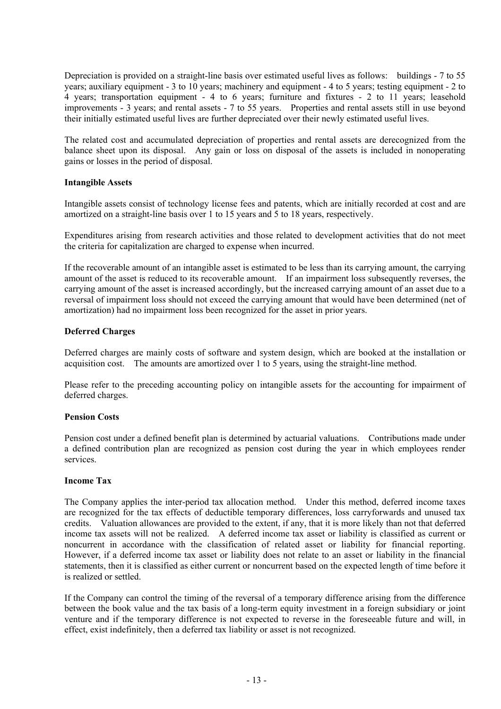Depreciation is provided on a straight-line basis over estimated useful lives as follows: buildings - 7 to 55 years; auxiliary equipment - 3 to 10 years; machinery and equipment - 4 to 5 years; testing equipment - 2 to 4 years; transportation equipment - 4 to 6 years; furniture and fixtures - 2 to 11 years; leasehold improvements - 3 years; and rental assets - 7 to 55 years. Properties and rental assets still in use beyond their initially estimated useful lives are further depreciated over their newly estimated useful lives.

The related cost and accumulated depreciation of properties and rental assets are derecognized from the balance sheet upon its disposal. Any gain or loss on disposal of the assets is included in nonoperating gains or losses in the period of disposal.

#### **Intangible Assets**

Intangible assets consist of technology license fees and patents, which are initially recorded at cost and are amortized on a straight-line basis over 1 to 15 years and 5 to 18 years, respectively.

Expenditures arising from research activities and those related to development activities that do not meet the criteria for capitalization are charged to expense when incurred.

If the recoverable amount of an intangible asset is estimated to be less than its carrying amount, the carrying amount of the asset is reduced to its recoverable amount. If an impairment loss subsequently reverses, the carrying amount of the asset is increased accordingly, but the increased carrying amount of an asset due to a reversal of impairment loss should not exceed the carrying amount that would have been determined (net of amortization) had no impairment loss been recognized for the asset in prior years.

#### **Deferred Charges**

Deferred charges are mainly costs of software and system design, which are booked at the installation or acquisition cost. The amounts are amortized over 1 to 5 years, using the straight-line method.

Please refer to the preceding accounting policy on intangible assets for the accounting for impairment of deferred charges.

#### **Pension Costs**

Pension cost under a defined benefit plan is determined by actuarial valuations. Contributions made under a defined contribution plan are recognized as pension cost during the year in which employees render services.

#### **Income Tax**

The Company applies the inter-period tax allocation method. Under this method, deferred income taxes are recognized for the tax effects of deductible temporary differences, loss carryforwards and unused tax credits. Valuation allowances are provided to the extent, if any, that it is more likely than not that deferred income tax assets will not be realized. A deferred income tax asset or liability is classified as current or noncurrent in accordance with the classification of related asset or liability for financial reporting. However, if a deferred income tax asset or liability does not relate to an asset or liability in the financial statements, then it is classified as either current or noncurrent based on the expected length of time before it is realized or settled.

If the Company can control the timing of the reversal of a temporary difference arising from the difference between the book value and the tax basis of a long-term equity investment in a foreign subsidiary or joint venture and if the temporary difference is not expected to reverse in the foreseeable future and will, in effect, exist indefinitely, then a deferred tax liability or asset is not recognized.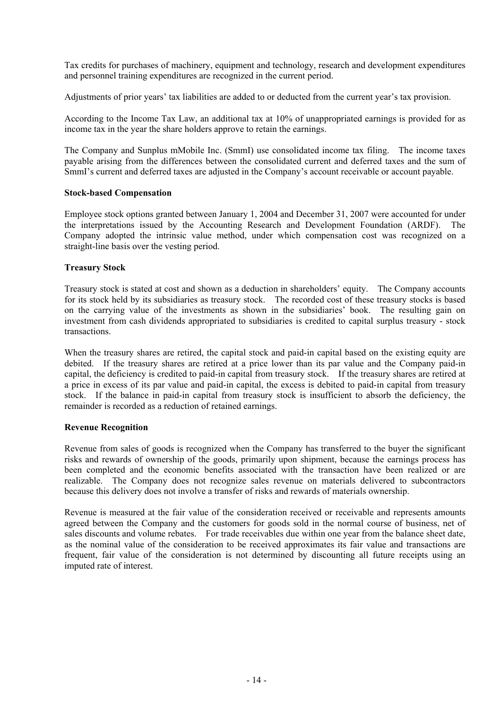Tax credits for purchases of machinery, equipment and technology, research and development expenditures and personnel training expenditures are recognized in the current period.

Adjustments of prior years' tax liabilities are added to or deducted from the current year's tax provision.

According to the Income Tax Law, an additional tax at 10% of unappropriated earnings is provided for as income tax in the year the share holders approve to retain the earnings.

The Company and Sunplus mMobile Inc. (SmmI) use consolidated income tax filing. The income taxes payable arising from the differences between the consolidated current and deferred taxes and the sum of SmmI's current and deferred taxes are adjusted in the Company's account receivable or account payable.

#### **Stock-based Compensation**

Employee stock options granted between January 1, 2004 and December 31, 2007 were accounted for under the interpretations issued by the Accounting Research and Development Foundation (ARDF). The Company adopted the intrinsic value method, under which compensation cost was recognized on a straight-line basis over the vesting period.

#### **Treasury Stock**

Treasury stock is stated at cost and shown as a deduction in shareholders' equity. The Company accounts for its stock held by its subsidiaries as treasury stock. The recorded cost of these treasury stocks is based on the carrying value of the investments as shown in the subsidiaries' book. The resulting gain on investment from cash dividends appropriated to subsidiaries is credited to capital surplus treasury - stock transactions.

When the treasury shares are retired, the capital stock and paid-in capital based on the existing equity are debited. If the treasury shares are retired at a price lower than its par value and the Company paid-in capital, the deficiency is credited to paid-in capital from treasury stock. If the treasury shares are retired at a price in excess of its par value and paid-in capital, the excess is debited to paid-in capital from treasury stock. If the balance in paid-in capital from treasury stock is insufficient to absorb the deficiency, the remainder is recorded as a reduction of retained earnings.

#### **Revenue Recognition**

Revenue from sales of goods is recognized when the Company has transferred to the buyer the significant risks and rewards of ownership of the goods, primarily upon shipment, because the earnings process has been completed and the economic benefits associated with the transaction have been realized or are realizable. The Company does not recognize sales revenue on materials delivered to subcontractors because this delivery does not involve a transfer of risks and rewards of materials ownership.

Revenue is measured at the fair value of the consideration received or receivable and represents amounts agreed between the Company and the customers for goods sold in the normal course of business, net of sales discounts and volume rebates. For trade receivables due within one year from the balance sheet date, as the nominal value of the consideration to be received approximates its fair value and transactions are frequent, fair value of the consideration is not determined by discounting all future receipts using an imputed rate of interest.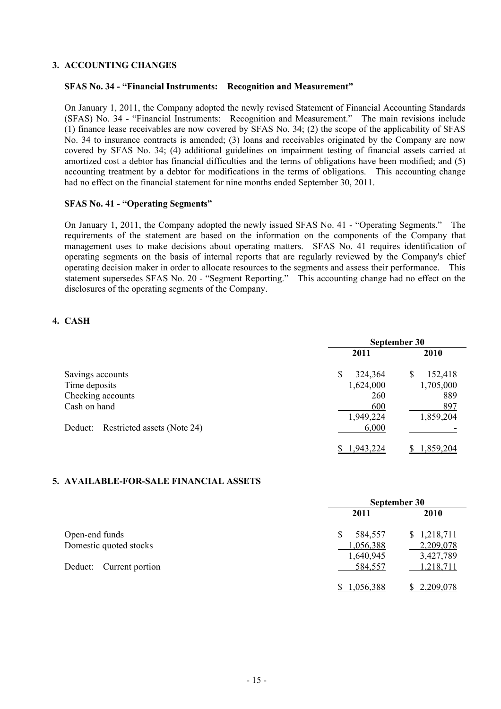#### **3. ACCOUNTING CHANGES**

#### **SFAS No. 34 - "Financial Instruments: Recognition and Measurement"**

On January 1, 2011, the Company adopted the newly revised Statement of Financial Accounting Standards (SFAS) No. 34 - "Financial Instruments: Recognition and Measurement." The main revisions include (1) finance lease receivables are now covered by SFAS No. 34; (2) the scope of the applicability of SFAS No. 34 to insurance contracts is amended; (3) loans and receivables originated by the Company are now covered by SFAS No. 34; (4) additional guidelines on impairment testing of financial assets carried at amortized cost a debtor has financial difficulties and the terms of obligations have been modified; and (5) accounting treatment by a debtor for modifications in the terms of obligations. This accounting change had no effect on the financial statement for nine months ended September 30, 2011.

#### **SFAS No. 41 - "Operating Segments"**

On January 1, 2011, the Company adopted the newly issued SFAS No. 41 - "Operating Segments." The requirements of the statement are based on the information on the components of the Company that management uses to make decisions about operating matters. SFAS No. 41 requires identification of operating segments on the basis of internal reports that are regularly reviewed by the Company's chief operating decision maker in order to allocate resources to the segments and assess their performance. This statement supersedes SFAS No. 20 - "Segment Reporting." This accounting change had no effect on the disclosures of the operating segments of the Company.

## **4. CASH**

|                                        | September 30  |              |  |
|----------------------------------------|---------------|--------------|--|
|                                        | 2011          | 2010         |  |
| Savings accounts                       | \$<br>324,364 | 152,418<br>S |  |
| Time deposits                          | 1,624,000     | 1,705,000    |  |
| Checking accounts                      | 260           | 889          |  |
| Cash on hand                           | 600           | 897          |  |
|                                        | 1,949,224     | 1,859,204    |  |
| Restricted assets (Note 24)<br>Deduct: | 6,000         |              |  |
|                                        | 1,943,224     | 1,859,204    |  |

#### **5. AVAILABLE-FOR-SALE FINANCIAL ASSETS**

|                         |               | September 30 |  |  |
|-------------------------|---------------|--------------|--|--|
|                         | 2011          | <b>2010</b>  |  |  |
| Open-end funds          | \$<br>584,557 | \$1,218,711  |  |  |
| Domestic quoted stocks  | 1,056,388     | 2,209,078    |  |  |
|                         | 1,640,945     | 3,427,789    |  |  |
| Deduct: Current portion | 584,557       | 1,218,711    |  |  |
|                         | 1,056,388     | 2,209,078    |  |  |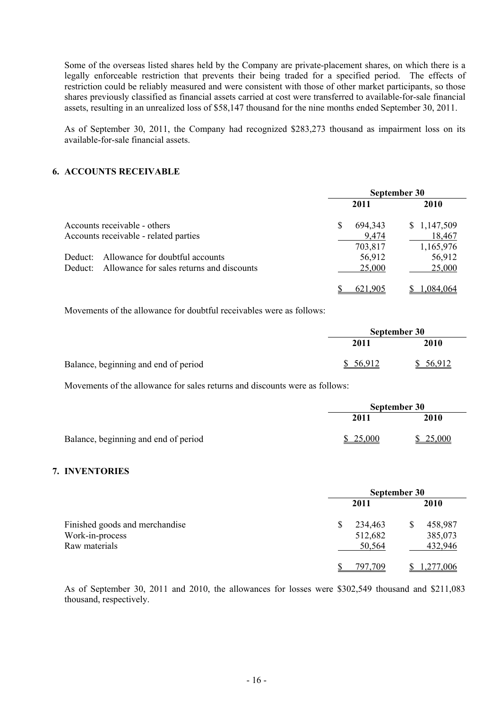Some of the overseas listed shares held by the Company are private-placement shares, on which there is a legally enforceable restriction that prevents their being traded for a specified period. The effects of restriction could be reliably measured and were consistent with those of other market participants, so those shares previously classified as financial assets carried at cost were transferred to available-for-sale financial assets, resulting in an unrealized loss of \$58,147 thousand for the nine months ended September 30, 2011.

As of September 30, 2011, the Company had recognized \$283,273 thousand as impairment loss on its available-for-sale financial assets.

#### **6. ACCOUNTS RECEIVABLE**

|                                                      |              | September 30 |
|------------------------------------------------------|--------------|--------------|
|                                                      | 2011         | 2010         |
| Accounts receivable - others                         | S<br>694,343 | \$1,147,509  |
| Accounts receivable - related parties                | 9,474        | 18,467       |
|                                                      | 703,817      | 1,165,976    |
| Allowance for doubtful accounts<br>Deduct:           | 56,912       | 56,912       |
| Allowance for sales returns and discounts<br>Deduct: | 25,000       | 25,000       |
|                                                      | 621,905      | 1,084,064    |

Movements of the allowance for doubtful receivables were as follows:

|                                      | September 30 |           |
|--------------------------------------|--------------|-----------|
|                                      | 2011         | 2010      |
| Balance, beginning and end of period | \$ 56.912    | \$ 56,912 |

Movements of the allowance for sales returns and discounts were as follows:

|                                      | September 30 |          |
|--------------------------------------|--------------|----------|
|                                      | 2011         | 2010     |
| Balance, beginning and end of period | \$25,000     | \$25,000 |

#### **7. INVENTORIES**

|                                | September 30 |         |    |             |
|--------------------------------|--------------|---------|----|-------------|
|                                |              | 2011    |    | <b>2010</b> |
| Finished goods and merchandise |              | 234,463 | \$ | 458,987     |
| Work-in-process                |              | 512,682 |    | 385,073     |
| Raw materials                  |              | 50,564  |    | 432,946     |
|                                |              | 797,709 |    | 1,277,006   |

As of September 30, 2011 and 2010, the allowances for losses were \$302,549 thousand and \$211,083 thousand, respectively.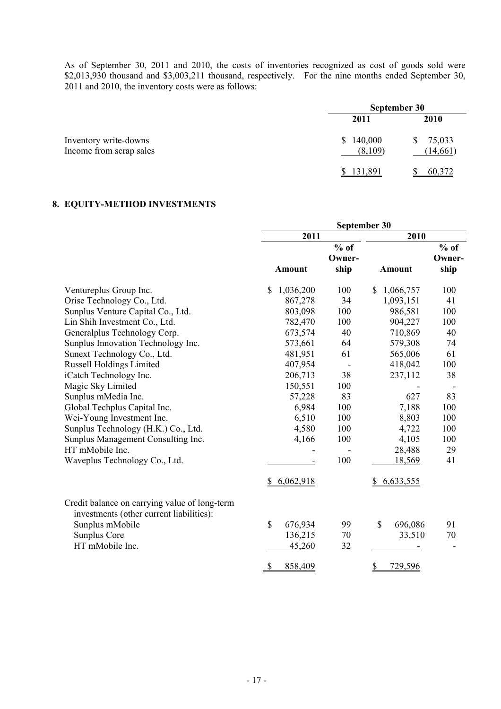As of September 30, 2011 and 2010, the costs of inventories recognized as cost of goods sold were \$2,013,930 thousand and \$3,003,211 thousand, respectively. For the nine months ended September 30, 2011 and 2010, the inventory costs were as follows:

|                                                  | September 30             |                          |  |  |
|--------------------------------------------------|--------------------------|--------------------------|--|--|
|                                                  | 2011                     | 2010                     |  |  |
| Inventory write-downs<br>Income from scrap sales | 140,000<br>S.<br>(8,109) | 75,033<br>S<br>(14, 661) |  |  |
|                                                  | 131,891                  | 60,372                   |  |  |

## **8. EQUITY-METHOD INVESTMENTS**

|                                                                                           | September 30            |                  |                 |                  |
|-------------------------------------------------------------------------------------------|-------------------------|------------------|-----------------|------------------|
|                                                                                           | 2011                    |                  | 2010            |                  |
|                                                                                           |                         | $%$ of<br>Owner- |                 | $%$ of<br>Owner- |
|                                                                                           | <b>Amount</b>           | ship             | <b>Amount</b>   | ship             |
| Ventureplus Group Inc.                                                                    | \$<br>1,036,200         | 100              | \$<br>1,066,757 | 100              |
| Orise Technology Co., Ltd.                                                                | 867,278                 | 34               | 1,093,151       | 41               |
| Sunplus Venture Capital Co., Ltd.                                                         | 803,098                 | 100              | 986,581         | 100              |
| Lin Shih Investment Co., Ltd.                                                             | 782,470                 | 100              | 904,227         | 100              |
| Generalplus Technology Corp.                                                              | 673,574                 | 40               | 710,869         | 40               |
| Sunplus Innovation Technology Inc.                                                        | 573,661                 | 64               | 579,308         | 74               |
| Sunext Technology Co., Ltd.                                                               | 481,951                 | 61               | 565,006         | 61               |
| <b>Russell Holdings Limited</b>                                                           | 407,954                 |                  | 418,042         | 100              |
| iCatch Technology Inc.                                                                    | 206,713                 | 38               | 237,112         | 38               |
| Magic Sky Limited                                                                         | 150,551                 | 100              |                 |                  |
| Sunplus mMedia Inc.                                                                       | 57,228                  | 83               | 627             | 83               |
| Global Techplus Capital Inc.                                                              | 6,984                   | 100              | 7,188           | 100              |
| Wei-Young Investment Inc.                                                                 | 6,510                   | 100              | 8,803           | 100              |
| Sunplus Technology (H.K.) Co., Ltd.                                                       | 4,580                   | 100              | 4,722           | 100              |
| Sunplus Management Consulting Inc.                                                        | 4,166                   | 100              | 4,105           | 100              |
| HT mMobile Inc.                                                                           |                         |                  | 28,488          | 29               |
| Waveplus Technology Co., Ltd.                                                             |                         | 100              | 18,569          | 41               |
|                                                                                           | 6,062,918<br>\$.        |                  | 6,633,555       |                  |
| Credit balance on carrying value of long-term<br>investments (other current liabilities): |                         |                  |                 |                  |
| Sunplus mMobile                                                                           | $\mathbb{S}$<br>676,934 | 99               | \$<br>696,086   | 91               |
| Sunplus Core                                                                              | 136,215                 | 70               | 33,510          | 70               |
| HT mMobile Inc.                                                                           | 45,260                  | 32               |                 |                  |
|                                                                                           | 858,409<br>$\mathbb{S}$ |                  | \$<br>729,596   |                  |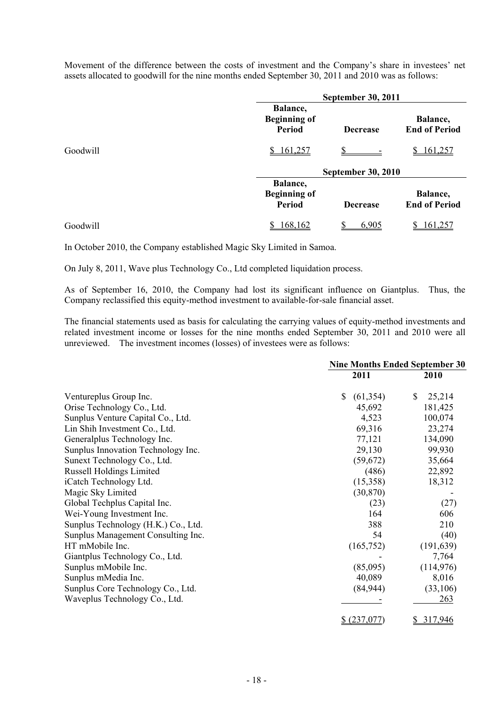Movement of the difference between the costs of investment and the Company's share in investees' net assets allocated to goodwill for the nine months ended September 30, 2011 and 2010 was as follows:

|          |                                                  | <b>September 30, 2011</b> |                                  |  |  |
|----------|--------------------------------------------------|---------------------------|----------------------------------|--|--|
|          | Balance,<br><b>Beginning of</b><br><b>Period</b> | <b>Decrease</b>           | Balance,<br><b>End of Period</b> |  |  |
| Goodwill | 161,257<br>S                                     |                           | <u>161,257</u>                   |  |  |
|          |                                                  | <b>September 30, 2010</b> |                                  |  |  |
|          | Balance,<br><b>Beginning of</b><br><b>Period</b> | <b>Decrease</b>           | Balance,<br><b>End of Period</b> |  |  |
| Goodwill | 168,162                                          | 6,905                     | 161,25                           |  |  |

In October 2010, the Company established Magic Sky Limited in Samoa.

On July 8, 2011, Wave plus Technology Co., Ltd completed liquidation process.

As of September 16, 2010, the Company had lost its significant influence on Giantplus. Thus, the Company reclassified this equity-method investment to available-for-sale financial asset.

The financial statements used as basis for calculating the carrying values of equity-method investments and related investment income or losses for the nine months ended September 30, 2011 and 2010 were all unreviewed. The investment incomes (losses) of investees were as follows:

|                                     | <b>Nine Months Ended September 30</b> |              |  |
|-------------------------------------|---------------------------------------|--------------|--|
|                                     | 2011                                  | 2010         |  |
| Ventureplus Group Inc.              | \$<br>(61, 354)                       | \$<br>25,214 |  |
| Orise Technology Co., Ltd.          | 45,692                                | 181,425      |  |
| Sunplus Venture Capital Co., Ltd.   | 4,523                                 | 100,074      |  |
| Lin Shih Investment Co., Ltd.       | 69,316                                | 23,274       |  |
| Generalplus Technology Inc.         | 77,121                                | 134,090      |  |
| Sunplus Innovation Technology Inc.  | 29,130                                | 99,930       |  |
| Sunext Technology Co., Ltd.         | (59, 672)                             | 35,664       |  |
| <b>Russell Holdings Limited</b>     | (486)                                 | 22,892       |  |
| iCatch Technology Ltd.              | (15,358)                              | 18,312       |  |
| Magic Sky Limited                   | (30, 870)                             |              |  |
| Global Techplus Capital Inc.        | (23)                                  | (27)         |  |
| Wei-Young Investment Inc.           | 164                                   | 606          |  |
| Sunplus Technology (H.K.) Co., Ltd. | 388                                   | 210          |  |
| Sunplus Management Consulting Inc.  | 54                                    | (40)         |  |
| HT mMobile Inc.                     | (165, 752)                            | (191, 639)   |  |
| Giantplus Technology Co., Ltd.      |                                       | 7,764        |  |
| Sunplus mMobile Inc.                | (85,095)                              | (114, 976)   |  |
| Sunplus mMedia Inc.                 | 40,089                                | 8,016        |  |
| Sunplus Core Technology Co., Ltd.   | (84, 944)                             | (33,106)     |  |
| Waveplus Technology Co., Ltd.       |                                       | 263          |  |
|                                     | \$ (237,077)                          | \$317,946    |  |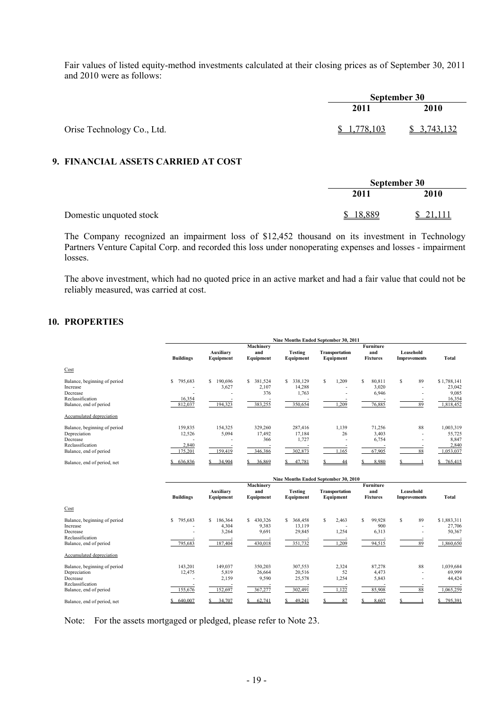Fair values of listed equity-method investments calculated at their closing prices as of September 30, 2011 and 2010 were as follows:

|                            | September 30 |             |
|----------------------------|--------------|-------------|
|                            | 2011         | 2010        |
| Orise Technology Co., Ltd. | \$1,778,103  | \$3,743,132 |

## **9. FINANCIAL ASSETS CARRIED AT COST**

|                         | September 30       |          |
|-------------------------|--------------------|----------|
|                         | 2011               | 2010     |
| Domestic unquoted stock | 18,889<br><b>S</b> | \$21,111 |

The Company recognized an impairment loss of \$12,452 thousand on its investment in Technology Partners Venture Capital Corp. and recorded this loss under nonoperating expenses and losses - impairment losses.

The above investment, which had no quoted price in an active market and had a fair value that could not be reliably measured, was carried at cost.

## **10. PROPERTIES**

|                                                                                                        |                                       | Nine Months Ended September 30, 2011 |                                       |                                             |                                    |                                            |                                  |                                                       |
|--------------------------------------------------------------------------------------------------------|---------------------------------------|--------------------------------------|---------------------------------------|---------------------------------------------|------------------------------------|--------------------------------------------|----------------------------------|-------------------------------------------------------|
|                                                                                                        | <b>Buildings</b>                      | Auxiliary<br>Equipment               | Machinery<br>and<br>Equipment         | <b>Testing</b><br>Equipment                 | <b>Transportation</b><br>Equipment | <b>Furniture</b><br>and<br><b>Fixtures</b> | Leasehold<br><b>Improvements</b> | Total                                                 |
| Cost                                                                                                   |                                       |                                      |                                       |                                             |                                    |                                            |                                  |                                                       |
| Balance, beginning of period<br>Increase<br>Decrease<br>Reclassification<br>Balance, end of period     | \$<br>795,683<br>16,354<br>812,037    | S.<br>190,696<br>3,627<br>194,323    | \$ 381,524<br>2,107<br>376<br>383,255 | S.<br>338,129<br>14,288<br>1,763<br>350,654 | S.<br>1,209<br>1,209               | S<br>80,811<br>3,020<br>6,946<br>76,885    | 89<br>S<br>89                    | \$1,788,141<br>23,042<br>9,085<br>16,354<br>1,818,452 |
| Accumulated depreciation                                                                               |                                       |                                      |                                       |                                             |                                    |                                            |                                  |                                                       |
| Balance, beginning of period<br>Depreciation<br>Decrease<br>Reclassification<br>Balance, end of period | 159,835<br>12,526<br>2,840<br>175,201 | 154,325<br>5,094<br>159,419          | 329,260<br>17,492<br>366<br>346,386   | 287,416<br>17,184<br>1,727<br>302,873       | 1,139<br>26<br>.165                | 71,256<br>3,403<br>6,754<br>67,905         | 88<br>88                         | 1,003,319<br>55,725<br>8,847<br>2,840<br>1,053,037    |
| Balance, end of period, net                                                                            | 636,836                               | 34.904                               | 36.869                                | 47.781                                      | 44                                 | 8.980                                      |                                  | 765,415<br>s                                          |

|                              | Nine Months Ended September 30, 2010 |                        |                  |                             |                             |                        |                                  |              |
|------------------------------|--------------------------------------|------------------------|------------------|-----------------------------|-----------------------------|------------------------|----------------------------------|--------------|
|                              |                                      |                        | Machinery        |                             |                             | <b>Furniture</b>       |                                  |              |
|                              | <b>Buildings</b>                     | Auxiliary<br>Equipment | and<br>Equipment | <b>Testing</b><br>Equipment | Transportation<br>Equipment | and<br><b>Fixtures</b> | Leasehold<br><b>Improvements</b> | <b>Total</b> |
| Cost                         |                                      |                        |                  |                             |                             |                        |                                  |              |
| Balance, beginning of period | 795,683<br>\$                        | 186,364<br>S.          | 430,326<br>S.    | S<br>368,458                | s.<br>2,463                 | s<br>99,928            | 89<br>s                          | \$1,883,311  |
| Increase                     |                                      | 4,304                  | 9,383            | 13,119                      |                             | 900                    |                                  | 27,706       |
| Decrease                     |                                      | 3,264                  | 9,691            | 29,845                      | 1,254                       | 6,313                  |                                  | 50,367       |
| Reclassification             |                                      |                        |                  |                             |                             |                        |                                  |              |
| Balance, end of period       | 795,683                              | 187,404                | 430,018          | 351,732                     | 1,209                       | 94,515                 | 89                               | 1,860,650    |
| Accumulated depreciation     |                                      |                        |                  |                             |                             |                        |                                  |              |
| Balance, beginning of period | 143,201                              | 149,037                | 350,203          | 307,553                     | 2,324                       | 87,278                 | 88                               | 1,039,684    |
| Depreciation                 | 12,475                               | 5,819                  | 26,664           | 20,516                      | 52                          | 4,473                  |                                  | 69,999       |
| Decrease                     |                                      | 2,159                  | 9,590            | 25,578                      | 1,254                       | 5,843                  |                                  | 44,424       |
| Reclassification             |                                      |                        |                  |                             |                             |                        |                                  |              |
| Balance, end of period       | 155,676                              | 152,697                | 367,277          | 302,491                     | 1,122                       | 85,908                 | 88                               | 1,065,259    |
| Balance, end of period, net  | 640.007                              | 34.707                 | 62.741           | 49.241                      | 87                          | 8.607                  |                                  | 795,391      |

Note: For the assets mortgaged or pledged, please refer to Note 23.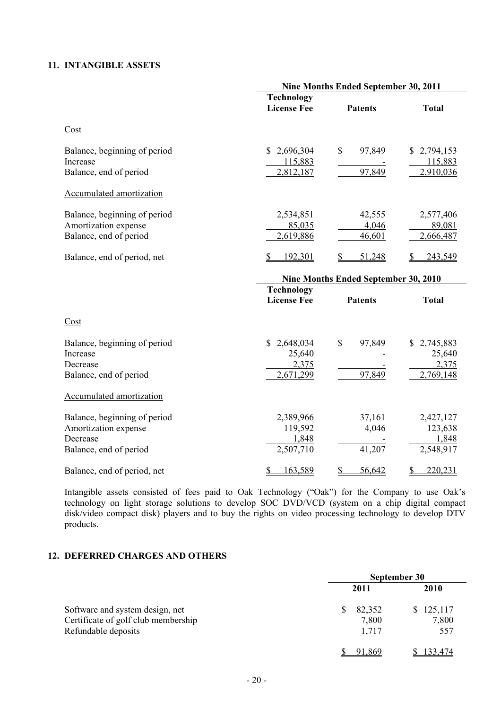## **11. INTANGIBLE ASSETS**

|                                                                                            | Nine Months Ended September 30, 2011           |                           |                                             |  |  |
|--------------------------------------------------------------------------------------------|------------------------------------------------|---------------------------|---------------------------------------------|--|--|
|                                                                                            | <b>Technology</b><br><b>License Fee</b>        | <b>Patents</b>            | <b>Total</b>                                |  |  |
| $\frac{\text{Cost}}{\text{Cost}}$                                                          |                                                |                           |                                             |  |  |
| Balance, beginning of period<br>Increase<br>Balance, end of period                         | 2,696,304<br>\$<br>115,883<br>2,812,187        | 97,849<br>\$<br>97,849    | 2,794,153<br>S.<br>115,883<br>2,910,036     |  |  |
| Accumulated amortization                                                                   |                                                |                           |                                             |  |  |
| Balance, beginning of period<br>Amortization expense<br>Balance, end of period             | 2,534,851<br>85,035<br>2,619,886               | 42,555<br>4,046<br>46,601 | 2,577,406<br>89,081<br>2,666,487            |  |  |
| Balance, end of period, net                                                                | $\mathbb{S}$<br>192,301                        | 51,248                    | 243,549                                     |  |  |
|                                                                                            | Nine Months Ended September 30, 2010           |                           |                                             |  |  |
|                                                                                            | <b>Technology</b><br><b>License Fee</b>        | <b>Patents</b>            | <b>Total</b>                                |  |  |
| Cost                                                                                       |                                                |                           |                                             |  |  |
| Balance, beginning of period<br>Increase<br>Decrease<br>Balance, end of period             | 2,648,034<br>S<br>25,640<br>2,375<br>2,671,299 | \$<br>97,849<br>97,849    | \$2,745,883<br>25,640<br>2,375<br>2,769,148 |  |  |
| Accumulated amortization                                                                   |                                                |                           |                                             |  |  |
| Balance, beginning of period<br>Amortization expense<br>Decrease<br>Balance, end of period | 2,389,966<br>119,592<br>1,848<br>2,507,710     | 37,161<br>4,046<br>41,207 | 2,427,127<br>123,638<br>1,848<br>2,548,917  |  |  |
| Balance, end of period, net                                                                | 163,589<br>\$                                  | \$<br>56,642              | 220,231<br>\$                               |  |  |

Intangible assets consisted of fees paid to Oak Technology ("Oak") for the Company to use Oak's technology on light storage solutions to develop SOC DVD/VCD (system on a chip digital compact disk/video compact disk) players and to buy the rights on video processing technology to develop DTV products.

## **12. DEFERRED CHARGES AND OTHERS**

|                                                                                               | September 30             |                           |  |
|-----------------------------------------------------------------------------------------------|--------------------------|---------------------------|--|
|                                                                                               | 2011                     | 2010                      |  |
| Software and system design, net<br>Certificate of golf club membership<br>Refundable deposits | 82,352<br>7,800<br>. 717 | \$125,117<br>7,800<br>557 |  |
|                                                                                               | 91,869                   | <u>133,474</u>            |  |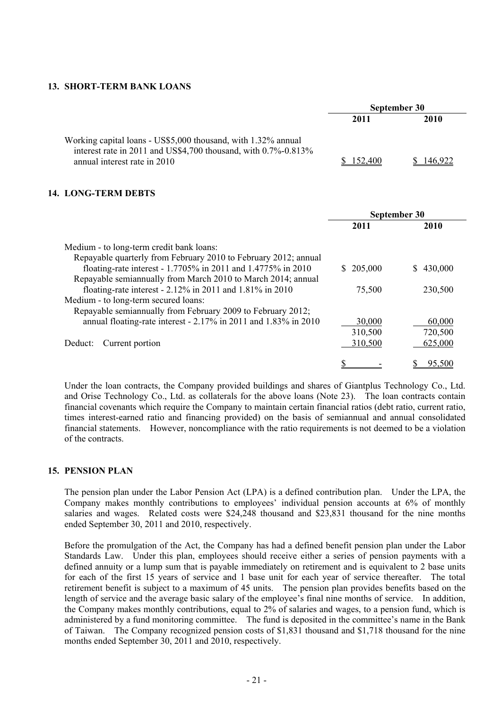#### **13. SHORT-TERM BANK LOANS**

|                                                                                                                                                                 | September 30 |      |  |
|-----------------------------------------------------------------------------------------------------------------------------------------------------------------|--------------|------|--|
|                                                                                                                                                                 | 2011         | 2010 |  |
| Working capital loans - US\$5,000 thousand, with 1.32% annual<br>interest rate in 2011 and US\$4,700 thousand, with 0.7%-0.813%<br>annual interest rate in 2010 | 152.400      |      |  |

#### **14. LONG-TERM DEBTS**

|                                                                 | September 30 |               |  |
|-----------------------------------------------------------------|--------------|---------------|--|
|                                                                 | 2011         | 2010          |  |
| Medium - to long-term credit bank loans:                        |              |               |  |
| Repayable quarterly from February 2010 to February 2012; annual |              |               |  |
| floating-rate interest - 1.7705% in 2011 and 1.4775% in 2010    | 205,000      | 430,000<br>S. |  |
| Repayable semiannually from March 2010 to March 2014; annual    |              |               |  |
| floating-rate interest - 2.12% in 2011 and 1.81% in 2010        | 75,500       | 230,500       |  |
| Medium - to long-term secured loans:                            |              |               |  |
| Repayable semiannually from February 2009 to February 2012;     |              |               |  |
| annual floating-rate interest - 2.17% in 2011 and 1.83% in 2010 | 30,000       | 60,000        |  |
|                                                                 | 310,500      | 720,500       |  |
| Current portion<br>Deduct:                                      | 310,500      | 625,000       |  |
|                                                                 |              |               |  |
|                                                                 |              | 95.500        |  |

Under the loan contracts, the Company provided buildings and shares of Giantplus Technology Co., Ltd. and Orise Technology Co., Ltd. as collaterals for the above loans (Note 23). The loan contracts contain financial covenants which require the Company to maintain certain financial ratios (debt ratio, current ratio, times interest-earned ratio and financing provided) on the basis of semiannual and annual consolidated financial statements. However, noncompliance with the ratio requirements is not deemed to be a violation of the contracts.

#### **15. PENSION PLAN**

The pension plan under the Labor Pension Act (LPA) is a defined contribution plan. Under the LPA, the Company makes monthly contributions to employees' individual pension accounts at 6% of monthly salaries and wages. Related costs were \$24,248 thousand and \$23,831 thousand for the nine months ended September 30, 2011 and 2010, respectively.

Before the promulgation of the Act, the Company has had a defined benefit pension plan under the Labor Standards Law. Under this plan, employees should receive either a series of pension payments with a defined annuity or a lump sum that is payable immediately on retirement and is equivalent to 2 base units for each of the first 15 years of service and 1 base unit for each year of service thereafter. The total retirement benefit is subject to a maximum of 45 units. The pension plan provides benefits based on the length of service and the average basic salary of the employee's final nine months of service. In addition, the Company makes monthly contributions, equal to 2% of salaries and wages, to a pension fund, which is administered by a fund monitoring committee. The fund is deposited in the committee's name in the Bank of Taiwan. The Company recognized pension costs of \$1,831 thousand and \$1,718 thousand for the nine months ended September 30, 2011 and 2010, respectively.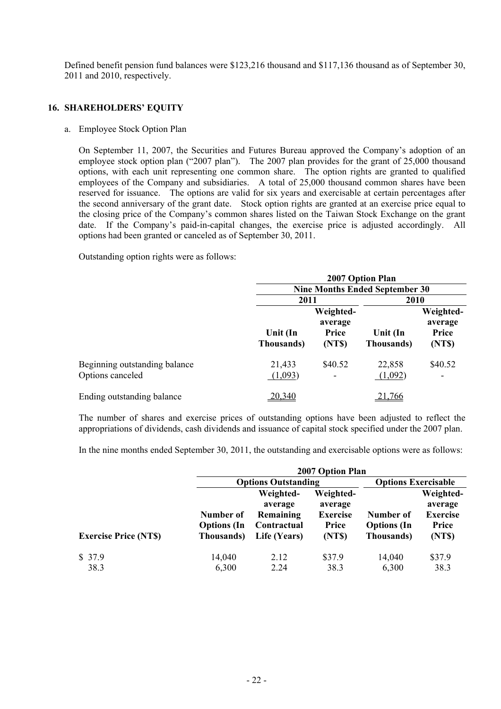Defined benefit pension fund balances were \$123,216 thousand and \$117,136 thousand as of September 30, 2011 and 2010, respectively.

## **16. SHAREHOLDERS' EQUITY**

#### a. Employee Stock Option Plan

On September 11, 2007, the Securities and Futures Bureau approved the Company's adoption of an employee stock option plan ("2007 plan"). The 2007 plan provides for the grant of 25,000 thousand options, with each unit representing one common share. The option rights are granted to qualified employees of the Company and subsidiaries. A total of 25,000 thousand common shares have been reserved for issuance. The options are valid for six years and exercisable at certain percentages after the second anniversary of the grant date. Stock option rights are granted at an exercise price equal to the closing price of the Company's common shares listed on the Taiwan Stock Exchange on the grant date. If the Company's paid-in-capital changes, the exercise price is adjusted accordingly. All options had been granted or canceled as of September 30, 2011.

Outstanding option rights were as follows:

|                                                   | 2007 Option Plan       |                                                |                                       |                                         |
|---------------------------------------------------|------------------------|------------------------------------------------|---------------------------------------|-----------------------------------------|
|                                                   |                        |                                                | <b>Nine Months Ended September 30</b> |                                         |
|                                                   | 2011                   |                                                | 2010                                  |                                         |
|                                                   | Unit (In<br>Thousands) | Weighted-<br>average<br><b>Price</b><br>(NT\$) | Unit (In<br>Thousands)                | Weighted-<br>average<br>Price<br>(NT\$) |
| Beginning outstanding balance<br>Options canceled | 21,433<br>(1,093)      | \$40.52                                        | 22,858<br>(1,092)                     | \$40.52<br>٠                            |
| Ending outstanding balance                        | 20,340                 |                                                | 21,766                                |                                         |

The number of shares and exercise prices of outstanding options have been adjusted to reflect the appropriations of dividends, cash dividends and issuance of capital stock specified under the 2007 plan.

In the nine months ended September 30, 2011, the outstanding and exercisable options were as follows:

|                             |                                               | 2007 Option Plan                                                 |                                                                  |                                               |                                                           |  |
|-----------------------------|-----------------------------------------------|------------------------------------------------------------------|------------------------------------------------------------------|-----------------------------------------------|-----------------------------------------------------------|--|
|                             |                                               | <b>Options Outstanding</b>                                       |                                                                  |                                               | <b>Options Exercisable</b>                                |  |
| <b>Exercise Price (NTS)</b> | Number of<br><b>Options</b> (In<br>Thousands) | Weighted-<br>average<br>Remaining<br>Contractual<br>Life (Years) | Weighted-<br>average<br><b>Exercise</b><br><b>Price</b><br>(NTS) | Number of<br><b>Options</b> (In<br>Thousands) | Weighted-<br>average<br><b>Exercise</b><br>Price<br>(NTS) |  |
| \$37.9                      | 14,040                                        | 2.12                                                             | \$37.9                                                           | 14,040                                        | \$37.9                                                    |  |
| 38.3                        | 6,300                                         | 2.24                                                             | 38.3                                                             | 6,300                                         | 38.3                                                      |  |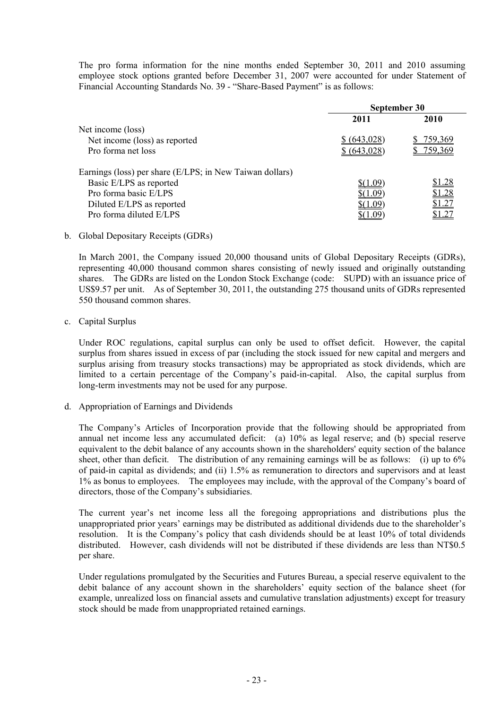The pro forma information for the nine months ended September 30, 2011 and 2010 assuming employee stock options granted before December 31, 2007 were accounted for under Statement of Financial Accounting Standards No. 39 - "Share-Based Payment" is as follows:

|                                                          | September 30 |                |  |
|----------------------------------------------------------|--------------|----------------|--|
|                                                          | 2011         | 2010           |  |
| Net income (loss)                                        |              |                |  |
| Net income (loss) as reported                            | \$ (643,028) | <u>759,369</u> |  |
| Pro forma net loss                                       | \$ (643,028) | 759,369        |  |
| Earnings (loss) per share (E/LPS; in New Taiwan dollars) |              |                |  |
| Basic E/LPS as reported                                  | \$(1.09)     | <u>\$1.28</u>  |  |
| Pro forma basic E/LPS                                    |              | <u>\$1.28</u>  |  |
| Diluted E/LPS as reported                                | -09          | \$1.27         |  |
| Pro forma diluted E/LPS                                  |              |                |  |

b. Global Depositary Receipts (GDRs)

In March 2001, the Company issued 20,000 thousand units of Global Depositary Receipts (GDRs), representing 40,000 thousand common shares consisting of newly issued and originally outstanding shares. The GDRs are listed on the London Stock Exchange (code: SUPD) with an issuance price of US\$9.57 per unit. As of September 30, 2011, the outstanding 275 thousand units of GDRs represented 550 thousand common shares.

c. Capital Surplus

Under ROC regulations, capital surplus can only be used to offset deficit. However, the capital surplus from shares issued in excess of par (including the stock issued for new capital and mergers and surplus arising from treasury stocks transactions) may be appropriated as stock dividends, which are limited to a certain percentage of the Company's paid-in-capital. Also, the capital surplus from long-term investments may not be used for any purpose.

d. Appropriation of Earnings and Dividends

The Company's Articles of Incorporation provide that the following should be appropriated from annual net income less any accumulated deficit: (a) 10% as legal reserve; and (b) special reserve equivalent to the debit balance of any accounts shown in the shareholders' equity section of the balance sheet, other than deficit. The distribution of any remaining earnings will be as follows: (i) up to 6% of paid-in capital as dividends; and (ii) 1.5% as remuneration to directors and supervisors and at least 1% as bonus to employees. The employees may include, with the approval of the Company's board of directors, those of the Company's subsidiaries.

The current year's net income less all the foregoing appropriations and distributions plus the unappropriated prior years' earnings may be distributed as additional dividends due to the shareholder's resolution. It is the Company's policy that cash dividends should be at least 10% of total dividends distributed. However, cash dividends will not be distributed if these dividends are less than NT\$0.5 per share.

Under regulations promulgated by the Securities and Futures Bureau, a special reserve equivalent to the debit balance of any account shown in the shareholders' equity section of the balance sheet (for example, unrealized loss on financial assets and cumulative translation adjustments) except for treasury stock should be made from unappropriated retained earnings.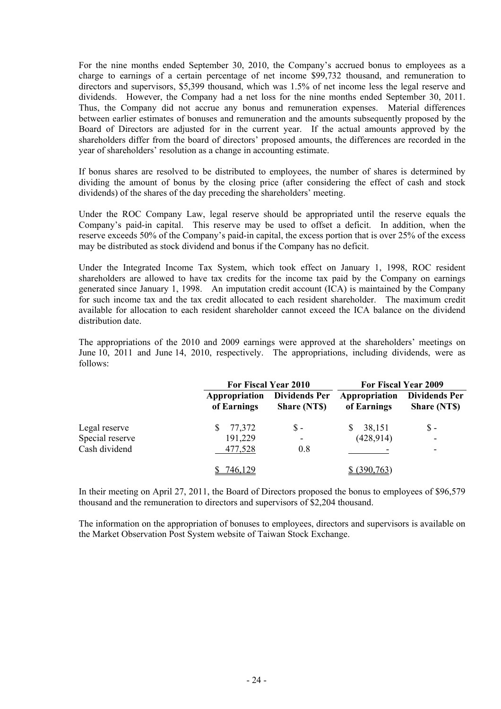For the nine months ended September 30, 2010, the Company's accrued bonus to employees as a charge to earnings of a certain percentage of net income \$99,732 thousand, and remuneration to directors and supervisors, \$5,399 thousand, which was 1.5% of net income less the legal reserve and dividends. However, the Company had a net loss for the nine months ended September 30, 2011. Thus, the Company did not accrue any bonus and remuneration expenses. Material differences between earlier estimates of bonuses and remuneration and the amounts subsequently proposed by the Board of Directors are adjusted for in the current year. If the actual amounts approved by the shareholders differ from the board of directors' proposed amounts, the differences are recorded in the year of shareholders' resolution as a change in accounting estimate.

If bonus shares are resolved to be distributed to employees, the number of shares is determined by dividing the amount of bonus by the closing price (after considering the effect of cash and stock dividends) of the shares of the day preceding the shareholders' meeting.

Under the ROC Company Law, legal reserve should be appropriated until the reserve equals the Company's paid-in capital. This reserve may be used to offset a deficit. In addition, when the reserve exceeds 50% of the Company's paid-in capital, the excess portion that is over 25% of the excess may be distributed as stock dividend and bonus if the Company has no deficit.

Under the Integrated Income Tax System, which took effect on January 1, 1998, ROC resident shareholders are allowed to have tax credits for the income tax paid by the Company on earnings generated since January 1, 1998. An imputation credit account (ICA) is maintained by the Company for such income tax and the tax credit allocated to each resident shareholder. The maximum credit available for allocation to each resident shareholder cannot exceed the ICA balance on the dividend distribution date.

The appropriations of the 2010 and 2009 earnings were approved at the shareholders' meetings on June 10, 2011 and June 14, 2010, respectively. The appropriations, including dividends, were as follows:

|                 |                              | For Fiscal Year 2010                       |                              | For Fiscal Year 2009                       |
|-----------------|------------------------------|--------------------------------------------|------------------------------|--------------------------------------------|
|                 | Appropriation<br>of Earnings | <b>Dividends Per</b><br><b>Share (NTS)</b> | Appropriation<br>of Earnings | <b>Dividends Per</b><br><b>Share (NTS)</b> |
| Legal reserve   | 77,372                       | $S -$                                      | 38,151<br><sup>2</sup>       | $S -$                                      |
| Special reserve | 191,229                      | ۰                                          | (428, 914)                   | $\overline{\phantom{0}}$                   |
| Cash dividend   | 477,528                      | 0.8                                        |                              | ٠                                          |
|                 | 746,129                      |                                            | (390, 763)                   |                                            |

In their meeting on April 27, 2011, the Board of Directors proposed the bonus to employees of \$96,579 thousand and the remuneration to directors and supervisors of \$2,204 thousand.

The information on the appropriation of bonuses to employees, directors and supervisors is available on the Market Observation Post System website of Taiwan Stock Exchange.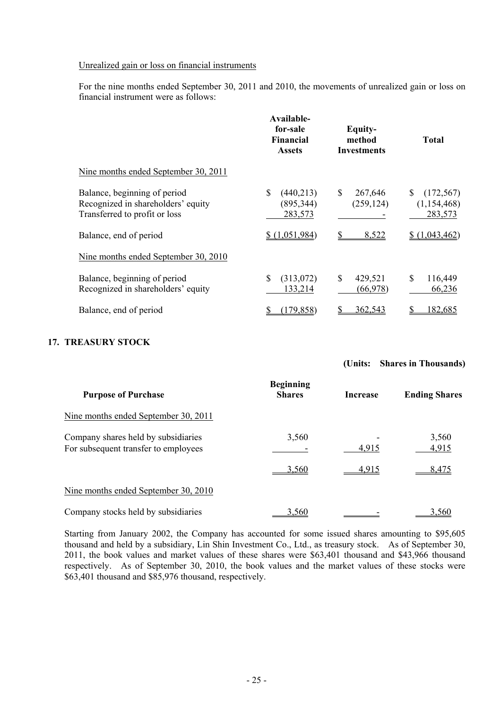#### Unrealized gain or loss on financial instruments

For the nine months ended September 30, 2011 and 2010, the movements of unrealized gain or loss on financial instrument were as follows:

|                                                                                                     | Available-<br>for-sale<br><b>Financial</b><br><b>Assets</b> | Equity-<br>method<br><b>Investments</b> | <b>Total</b>                           |
|-----------------------------------------------------------------------------------------------------|-------------------------------------------------------------|-----------------------------------------|----------------------------------------|
| Nine months ended September 30, 2011                                                                |                                                             |                                         |                                        |
| Balance, beginning of period<br>Recognized in shareholders' equity<br>Transferred to profit or loss | \$<br>(440,213)<br>(895, 344)<br>283,573                    | \$<br>267,646<br>(259, 124)             | (172, 567)<br>(1, 154, 468)<br>283,573 |
| Balance, end of period                                                                              | \$(1,051,984)                                               | 8,522                                   | \$(1,043,462)                          |
| Nine months ended September 30, 2010                                                                |                                                             |                                         |                                        |
| Balance, beginning of period<br>Recognized in shareholders' equity                                  | \$<br>(313,072)<br>133,214                                  | \$<br>429,521<br>(66,978)               | \$<br>116,449<br>66,236                |
| Balance, end of period                                                                              | (179, 858)                                                  | 362,543                                 | 182,685                                |

## **17. TREASURY STOCK**

## **(Units: Shares in Thousands)**

| <b>Purpose of Purchase</b>                                                  | <b>Beginning</b><br><b>Shares</b> | <b>Increase</b> | <b>Ending Shares</b> |
|-----------------------------------------------------------------------------|-----------------------------------|-----------------|----------------------|
| Nine months ended September 30, 2011                                        |                                   |                 |                      |
| Company shares held by subsidiaries<br>For subsequent transfer to employees | 3,560                             | 4,915           | 3,560<br>4,915       |
|                                                                             | 3,560                             | <u>4,915</u>    | 8,475                |
| Nine months ended September 30, 2010                                        |                                   |                 |                      |
| Company stocks held by subsidiaries                                         | 3,560                             |                 | 3,560                |

Starting from January 2002, the Company has accounted for some issued shares amounting to \$95,605 thousand and held by a subsidiary, Lin Shin Investment Co., Ltd., as treasury stock. As of September 30, 2011, the book values and market values of these shares were \$63,401 thousand and \$43,966 thousand respectively. As of September 30, 2010, the book values and the market values of these stocks were \$63,401 thousand and \$85,976 thousand, respectively.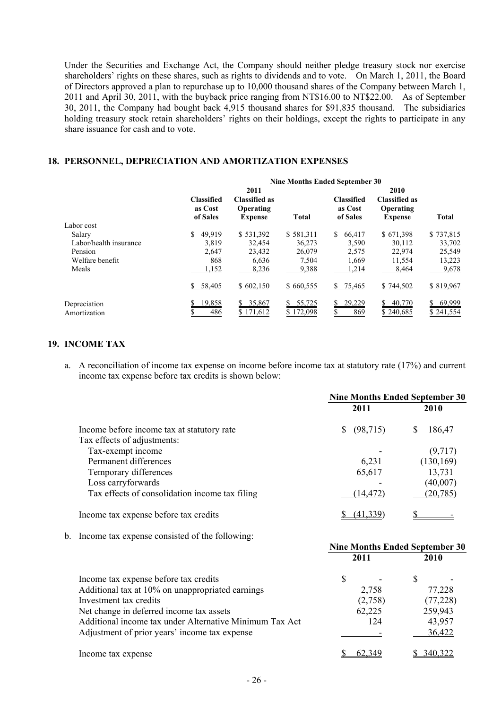Under the Securities and Exchange Act, the Company should neither pledge treasury stock nor exercise shareholders' rights on these shares, such as rights to dividends and to vote. On March 1, 2011, the Board of Directors approved a plan to repurchase up to 10,000 thousand shares of the Company between March 1, 2011 and April 30, 2011, with the buyback price ranging from NT\$16.00 to NT\$22.00. As of September 30, 2011, the Company had bought back 4,915 thousand shares for \$91,835 thousand. The subsidiaries holding treasury stock retain shareholders' rights on their holdings, except the rights to participate in any share issuance for cash and to vote.

#### **18. PERSONNEL, DEPRECIATION AND AMORTIZATION EXPENSES**

|                              | <b>Nine Months Ended September 30</b>    |                                                     |                     |                                          |                                                     |                           |
|------------------------------|------------------------------------------|-----------------------------------------------------|---------------------|------------------------------------------|-----------------------------------------------------|---------------------------|
|                              |                                          | 2011                                                |                     |                                          | 2010                                                |                           |
|                              | <b>Classified</b><br>as Cost<br>of Sales | <b>Classified as</b><br>Operating<br><b>Expense</b> | <b>Total</b>        | <b>Classified</b><br>as Cost<br>of Sales | <b>Classified as</b><br>Operating<br><b>Expense</b> | <b>Total</b>              |
| Labor cost                   |                                          |                                                     |                     |                                          |                                                     |                           |
| Salary                       | \$<br>49.919                             | \$531,392                                           | \$581,311           | S.<br>66,417                             | \$671,398                                           | \$737,815                 |
| Labor/health insurance       | 3,819                                    | 32,454                                              | 36,273              | 3,590                                    | 30,112                                              | 33,702                    |
| Pension                      | 2.647                                    | 23,432                                              | 26,079              | 2,575                                    | 22.974                                              | 25,549                    |
| Welfare benefit              | 868                                      | 6,636                                               | 7,504               | 1,669                                    | 11,554                                              | 13,223                    |
| Meals                        | 1,152                                    | 8,236                                               | 9,388               | 1,214                                    | 8,464                                               | 9,678                     |
|                              | \$58,405                                 | \$602,150                                           | \$660,555           | \$75,465                                 | \$744,502                                           | \$819,967                 |
| Depreciation<br>Amortization | 19,858<br>486                            | 35,867<br>S.<br>\$171,612                           | 55,725<br>\$172,098 | 29,229<br>S<br>869                       | 40,770<br>\$240.685                                 | 69,999<br>S.<br>\$241,554 |

#### **19. INCOME TAX**

a. A reconciliation of income tax expense on income before income tax at statutory rate (17%) and current income tax expense before tax credits is shown below:

|                                                | <b>Nine Months Ended September 30</b> |             |  |  |
|------------------------------------------------|---------------------------------------|-------------|--|--|
|                                                | 2011                                  | 2010        |  |  |
| Income before income tax at statutory rate     | (98, 715)<br>S.                       | 186,47<br>S |  |  |
| Tax effects of adjustments:                    |                                       |             |  |  |
| Tax-exempt income                              |                                       | (9,717)     |  |  |
| Permanent differences                          | 6,231                                 | (130, 169)  |  |  |
| Temporary differences                          | 65,617                                | 13,731      |  |  |
| Loss carryforwards                             |                                       | (40,007)    |  |  |
| Tax effects of consolidation income tax filing | (14,472)                              | (20, 785)   |  |  |
| Income tax expense before tax credits          | 41.339                                |             |  |  |

b. Income tax expense consisted of the following:

|                                                         | <b>Nine Months Ended September 30</b> |         |      |           |
|---------------------------------------------------------|---------------------------------------|---------|------|-----------|
|                                                         | 2011                                  |         | 2010 |           |
| Income tax expense before tax credits                   | S                                     |         |      |           |
| Additional tax at 10% on unappropriated earnings        |                                       | 2,758   |      | 77,228    |
| Investment tax credits                                  |                                       | (2,758) |      | (77, 228) |
| Net change in deferred income tax assets                |                                       | 62,225  |      | 259,943   |
| Additional income tax under Alternative Minimum Tax Act |                                       | 124     |      | 43,957    |
| Adjustment of prior years' income tax expense           |                                       |         |      | 36,422    |
| Income tax expense                                      |                                       | 62,349  |      | 340,322   |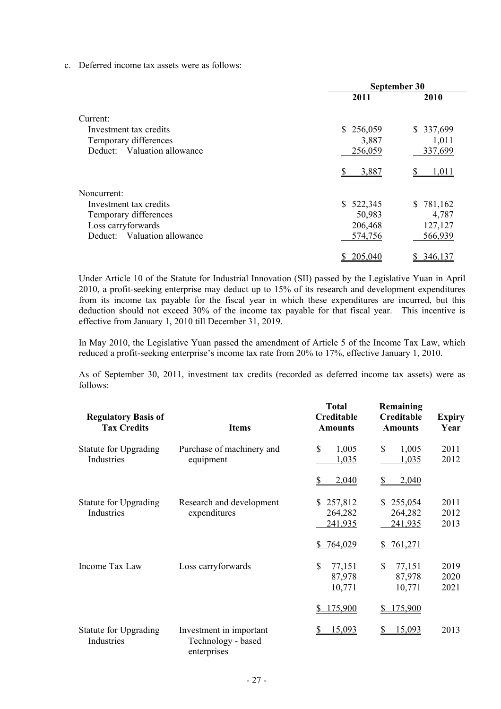c. Deferred income tax assets were as follows:

|                             | September 30 |           |  |  |
|-----------------------------|--------------|-----------|--|--|
|                             | 2011         | 2010      |  |  |
| Current:                    |              |           |  |  |
| Investment tax credits      | \$256,059    | \$337,699 |  |  |
| Temporary differences       | 3,887        | 1,011     |  |  |
| Deduct: Valuation allowance | 256,059      | 337,699   |  |  |
|                             | 3.887        | l.011     |  |  |
| Noncurrent:                 |              |           |  |  |
| Investment tax credits      | \$522,345    | \$781,162 |  |  |
| Temporary differences       | 50,983       | 4,787     |  |  |
| Loss carryforwards          | 206,468      | 127,127   |  |  |
| Deduct: Valuation allowance | 574,756      | 566,939   |  |  |
|                             | 205,040      | 346.137   |  |  |

Under Article 10 of the Statute for Industrial Innovation (SII) passed by the Legislative Yuan in April 2010, a profit-seeking enterprise may deduct up to 15% of its research and development expenditures from its income tax payable for the fiscal year in which these expenditures are incurred, but this deduction should not exceed 30% of the income tax payable for that fiscal year. This incentive is effective from January 1, 2010 till December 31, 2019.

In May 2010, the Legislative Yuan passed the amendment of Article 5 of the Income Tax Law, which reduced a profit-seeking enterprise's income tax rate from 20% to 17%, effective January 1, 2010.

As of September 30, 2011, investment tax credits (recorded as deferred income tax assets) were as follows:

| <b>Regulatory Basis of</b><br><b>Tax Credits</b> | <b>Items</b>                                                 | <b>Total</b><br><b>Creditable</b><br><b>Amounts</b> | Remaining<br>Creditable<br><b>Amounts</b> | <b>Expiry</b><br>Year |
|--------------------------------------------------|--------------------------------------------------------------|-----------------------------------------------------|-------------------------------------------|-----------------------|
| <b>Statute for Upgrading</b><br>Industries       | Purchase of machinery and<br>equipment                       | \$<br>1,005<br>1,035                                | \$<br>1,005<br>1,035                      | 2011<br>2012          |
|                                                  |                                                              | \$<br>2,040                                         | 2,040                                     |                       |
| <b>Statute for Upgrading</b><br>Industries       | Research and development<br>expenditures                     | 257,812<br>S.<br>264,282<br>241,935                 | 255,054<br>\$<br>264,282<br>241,935       | 2011<br>2012<br>2013  |
|                                                  |                                                              | 764,029<br>S                                        | 761,271                                   |                       |
| Income Tax Law                                   | Loss carryforwards                                           | \$<br>77,151<br>87,978<br>10,771                    | \$<br>77,151<br>87,978<br>10,771          | 2019<br>2020<br>2021  |
|                                                  |                                                              | 175,900<br>\$                                       | 175,900                                   |                       |
| <b>Statute for Upgrading</b><br>Industries       | Investment in important<br>Technology - based<br>enterprises | 15,093<br>S                                         | 15,093                                    | 2013                  |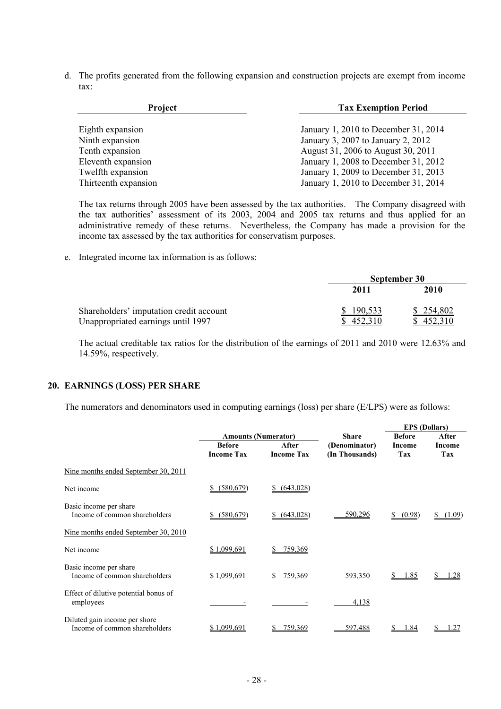d. The profits generated from the following expansion and construction projects are exempt from income tax:

| Project              | <b>Tax Exemption Period</b>          |
|----------------------|--------------------------------------|
|                      |                                      |
| Eighth expansion     | January 1, 2010 to December 31, 2014 |
| Ninth expansion      | January 3, 2007 to January 2, 2012   |
| Tenth expansion      | August 31, 2006 to August 30, 2011   |
| Eleventh expansion   | January 1, 2008 to December 31, 2012 |
| Twelfth expansion    | January 1, 2009 to December 31, 2013 |
| Thirteenth expansion | January 1, 2010 to December 31, 2014 |

The tax returns through 2005 have been assessed by the tax authorities. The Company disagreed with the tax authorities' assessment of its 2003, 2004 and 2005 tax returns and thus applied for an administrative remedy of these returns. Nevertheless, the Company has made a provision for the income tax assessed by the tax authorities for conservatism purposes.

e. Integrated income tax information is as follows:

|                                         |         | September 30 |
|-----------------------------------------|---------|--------------|
|                                         | 2011    | 2010         |
| Shareholders' imputation credit account | 190,533 | \$254,802    |
| Unappropriated earnings until 1997      |         | 452.310      |

The actual creditable tax ratios for the distribution of the earnings of 2011 and 2010 were 12.63% and 14.59%, respectively.

#### **20. EARNINGS (LOSS) PER SHARE**

The numerators and denominators used in computing earnings (loss) per share (E/LPS) were as follows:

|                                                                |                   |                            |                | <b>EPS</b> (Dollars) |               |
|----------------------------------------------------------------|-------------------|----------------------------|----------------|----------------------|---------------|
|                                                                |                   | <b>Amounts (Numerator)</b> | <b>Share</b>   | <b>Before</b>        | After         |
|                                                                | <b>Before</b>     | After                      | (Denominator)  | Income               | <b>Income</b> |
|                                                                | <b>Income Tax</b> | <b>Income Tax</b>          | (In Thousands) | Tax                  | Tax           |
| Nine months ended September 30, 2011                           |                   |                            |                |                      |               |
| Net income                                                     | (580, 679)        | (643,028)                  |                |                      |               |
| Basic income per share<br>Income of common shareholders        | (580, 679)        | (643,028)<br>S.            | 590,296        | (0.98)               | (1.09)        |
| Nine months ended September 30, 2010                           |                   |                            |                |                      |               |
| Net income                                                     | \$1,099,691       | 759,369                    |                |                      |               |
| Basic income per share<br>Income of common shareholders        | \$1,099,691       | 759,369<br><sup>\$</sup>   | 593,350        | 1.85                 | .28           |
| Effect of dilutive potential bonus of<br>employees             |                   |                            | 4,138          |                      |               |
| Diluted gain income per shore<br>Income of common shareholders | \$1,099,691       | 759,369                    | 597,488        | 1.84                 |               |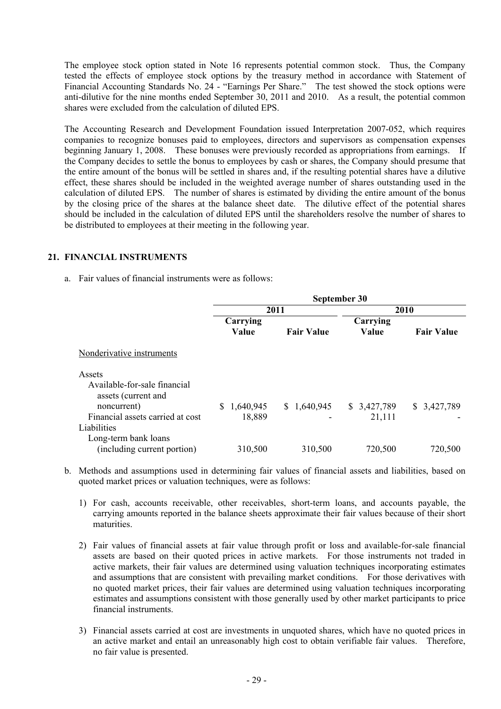The employee stock option stated in Note 16 represents potential common stock. Thus, the Company tested the effects of employee stock options by the treasury method in accordance with Statement of Financial Accounting Standards No. 24 - "Earnings Per Share." The test showed the stock options were anti-dilutive for the nine months ended September 30, 2011 and 2010. As a result, the potential common shares were excluded from the calculation of diluted EPS.

The Accounting Research and Development Foundation issued Interpretation 2007-052, which requires companies to recognize bonuses paid to employees, directors and supervisors as compensation expenses beginning January 1, 2008. These bonuses were previously recorded as appropriations from earnings. If the Company decides to settle the bonus to employees by cash or shares, the Company should presume that the entire amount of the bonus will be settled in shares and, if the resulting potential shares have a dilutive effect, these shares should be included in the weighted average number of shares outstanding used in the calculation of diluted EPS. The number of shares is estimated by dividing the entire amount of the bonus by the closing price of the shares at the balance sheet date. The dilutive effect of the potential shares should be included in the calculation of diluted EPS until the shareholders resolve the number of shares to be distributed to employees at their meeting in the following year.

#### **21. FINANCIAL INSTRUMENTS**

a. Fair values of financial instruments were as follows:

|                                    | September 30   |                   |             |                   |  |
|------------------------------------|----------------|-------------------|-------------|-------------------|--|
|                                    |                | 2011              | 2010        |                   |  |
|                                    | Carrying       | Carrying          |             |                   |  |
|                                    | Value          | <b>Fair Value</b> | Value       | <b>Fair Value</b> |  |
| Nonderivative instruments          |                |                   |             |                   |  |
| Assets                             |                |                   |             |                   |  |
| Available-for-sale financial       |                |                   |             |                   |  |
| assets (current and<br>noncurrent) | 1,640,945<br>S | \$1,640,945       | \$3,427,789 | \$3,427,789       |  |
| Financial assets carried at cost   | 18,889         |                   | 21,111      |                   |  |
| Liabilities                        |                |                   |             |                   |  |
| Long-term bank loans               |                |                   |             |                   |  |
| (including current portion)        | 310,500        | 310,500           | 720,500     | 720,500           |  |

- b. Methods and assumptions used in determining fair values of financial assets and liabilities, based on quoted market prices or valuation techniques, were as follows:
	- 1) For cash, accounts receivable, other receivables, short-term loans, and accounts payable, the carrying amounts reported in the balance sheets approximate their fair values because of their short maturities.
	- 2) Fair values of financial assets at fair value through profit or loss and available-for-sale financial assets are based on their quoted prices in active markets. For those instruments not traded in active markets, their fair values are determined using valuation techniques incorporating estimates and assumptions that are consistent with prevailing market conditions. For those derivatives with no quoted market prices, their fair values are determined using valuation techniques incorporating estimates and assumptions consistent with those generally used by other market participants to price financial instruments.
	- 3) Financial assets carried at cost are investments in unquoted shares, which have no quoted prices in an active market and entail an unreasonably high cost to obtain verifiable fair values. Therefore, no fair value is presented.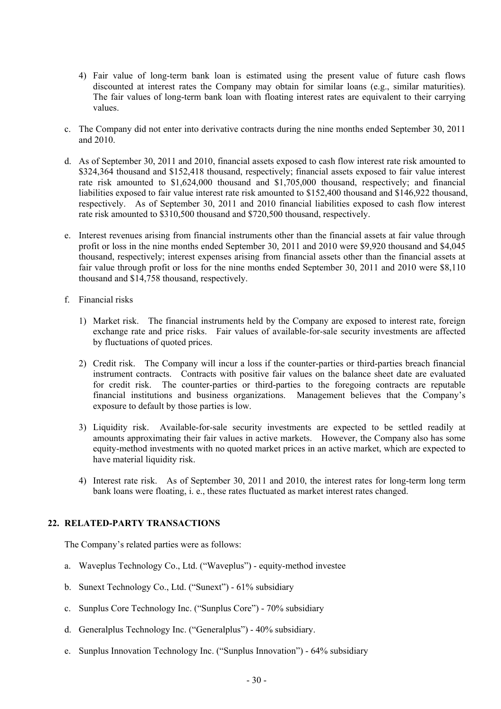- 4) Fair value of long-term bank loan is estimated using the present value of future cash flows discounted at interest rates the Company may obtain for similar loans (e.g., similar maturities). The fair values of long-term bank loan with floating interest rates are equivalent to their carrying values.
- c. The Company did not enter into derivative contracts during the nine months ended September 30, 2011 and 2010.
- d. As of September 30, 2011 and 2010, financial assets exposed to cash flow interest rate risk amounted to \$324,364 thousand and \$152,418 thousand, respectively; financial assets exposed to fair value interest rate risk amounted to \$1,624,000 thousand and \$1,705,000 thousand, respectively; and financial liabilities exposed to fair value interest rate risk amounted to \$152,400 thousand and \$146,922 thousand, respectively. As of September 30, 2011 and 2010 financial liabilities exposed to cash flow interest rate risk amounted to \$310,500 thousand and \$720,500 thousand, respectively.
- e. Interest revenues arising from financial instruments other than the financial assets at fair value through profit or loss in the nine months ended September 30, 2011 and 2010 were \$9,920 thousand and \$4,045 thousand, respectively; interest expenses arising from financial assets other than the financial assets at fair value through profit or loss for the nine months ended September 30, 2011 and 2010 were \$8,110 thousand and \$14,758 thousand, respectively.
- f. Financial risks
	- 1) Market risk. The financial instruments held by the Company are exposed to interest rate, foreign exchange rate and price risks. Fair values of available-for-sale security investments are affected by fluctuations of quoted prices.
	- 2) Credit risk. The Company will incur a loss if the counter-parties or third-parties breach financial instrument contracts. Contracts with positive fair values on the balance sheet date are evaluated for credit risk. The counter-parties or third-parties to the foregoing contracts are reputable financial institutions and business organizations. Management believes that the Company's exposure to default by those parties is low.
	- 3) Liquidity risk. Available-for-sale security investments are expected to be settled readily at amounts approximating their fair values in active markets. However, the Company also has some equity-method investments with no quoted market prices in an active market, which are expected to have material liquidity risk.
	- 4) Interest rate risk. As of September 30, 2011 and 2010, the interest rates for long-term long term bank loans were floating, i. e., these rates fluctuated as market interest rates changed.

## **22. RELATED-PARTY TRANSACTIONS**

The Company's related parties were as follows:

- a. Waveplus Technology Co., Ltd. ("Waveplus") equity-method investee
- b. Sunext Technology Co., Ltd. ("Sunext") 61% subsidiary
- c. Sunplus Core Technology Inc. ("Sunplus Core") 70% subsidiary
- d. Generalplus Technology Inc. ("Generalplus") 40% subsidiary.
- e. Sunplus Innovation Technology Inc. ("Sunplus Innovation") 64% subsidiary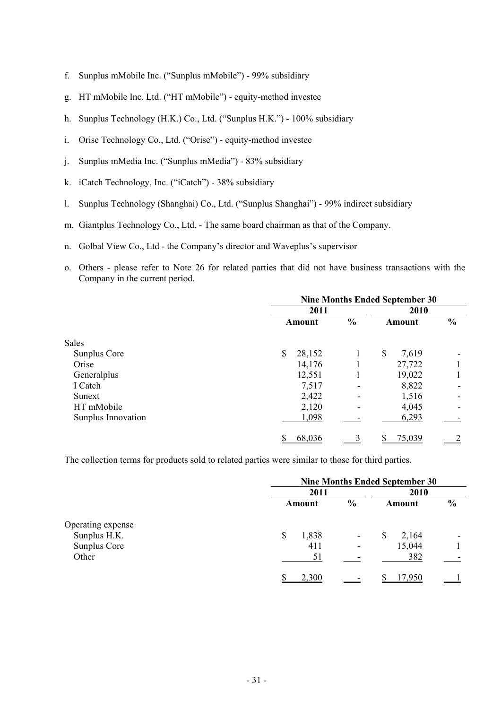- f. Sunplus mMobile Inc. ("Sunplus mMobile") 99% subsidiary
- g. HT mMobile Inc. Ltd. ("HT mMobile") equity-method investee
- h. Sunplus Technology (H.K.) Co., Ltd. ("Sunplus H.K.") 100% subsidiary
- i. Orise Technology Co., Ltd. ("Orise") equity-method investee
- j. Sunplus mMedia Inc. ("Sunplus mMedia") 83% subsidiary
- k. iCatch Technology, Inc. ("iCatch") 38% subsidiary
- l. Sunplus Technology (Shanghai) Co., Ltd. ("Sunplus Shanghai") 99% indirect subsidiary
- m. Giantplus Technology Co., Ltd. The same board chairman as that of the Company.
- n. Golbal View Co., Ltd the Company's director and Waveplus's supervisor
- o. Others please refer to Note 26 for related parties that did not have business transactions with the Company in the current period.

|                    | <b>Nine Months Ended September 30</b> |               |             |               |  |
|--------------------|---------------------------------------|---------------|-------------|---------------|--|
|                    | 2011                                  |               | 2010        |               |  |
|                    | Amount                                | $\frac{0}{0}$ | Amount      | $\frac{0}{0}$ |  |
| <b>Sales</b>       |                                       |               |             |               |  |
| Sunplus Core       | \$<br>28,152                          |               | \$<br>7,619 |               |  |
| Orise              | 14,176                                |               | 27,722      |               |  |
| Generalplus        | 12,551                                |               | 19,022      |               |  |
| I Catch            | 7,517                                 |               | 8,822       |               |  |
| Sunext             | 2,422                                 |               | 1,516       |               |  |
| HT mMobile         | 2,120                                 |               | 4,045       |               |  |
| Sunplus Innovation | 1,098                                 |               | 6,293       |               |  |
|                    | 68,036                                |               | 75,039      |               |  |

The collection terms for products sold to related parties were similar to those for third parties.

|                   | <b>Nine Months Ended September 30</b> |                          |             |               |  |
|-------------------|---------------------------------------|--------------------------|-------------|---------------|--|
|                   | 2011                                  |                          | 2010        |               |  |
|                   | Amount                                | $\frac{0}{0}$            | Amount      | $\frac{0}{0}$ |  |
| Operating expense |                                       |                          |             |               |  |
| Sunplus H.K.      | 1,838<br>\$                           | $\overline{\phantom{a}}$ | 2,164<br>\$ | -             |  |
| Sunplus Core      | 411                                   | ۰                        | 15,044      |               |  |
| Other             | 51                                    |                          | 382         |               |  |
|                   | 2,300                                 |                          | -950        |               |  |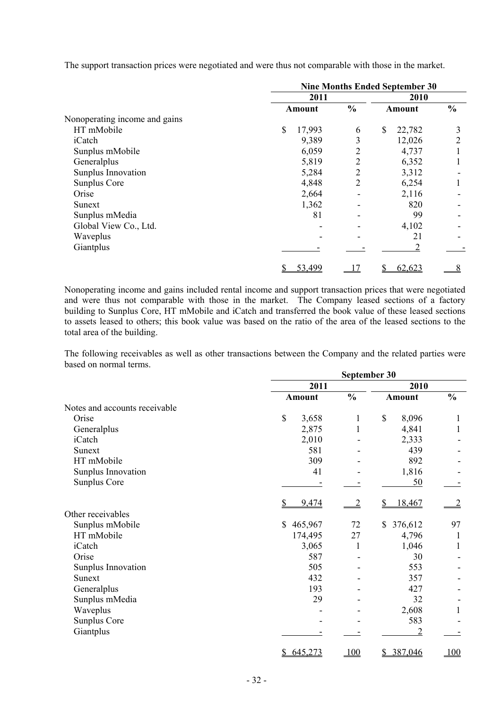|                               | <b>Nine Months Ended September 30</b> |                |              |               |  |
|-------------------------------|---------------------------------------|----------------|--------------|---------------|--|
|                               | 2011                                  |                | 2010         |               |  |
|                               | Amount                                | $\frac{0}{0}$  | Amount       | $\frac{0}{0}$ |  |
| Nonoperating income and gains |                                       |                |              |               |  |
| HT mMobile                    | \$<br>17,993                          | 6              | \$<br>22,782 | 3             |  |
| iCatch                        | 9,389                                 | 3              | 12,026       | 2             |  |
| Sunplus mMobile               | 6,059                                 | 2              | 4,737        |               |  |
| Generalplus                   | 5,819                                 | $\overline{2}$ | 6,352        |               |  |
| Sunplus Innovation            | 5,284                                 | $\overline{2}$ | 3,312        |               |  |
| Sunplus Core                  | 4,848                                 | 2              | 6,254        |               |  |
| Orise                         | 2,664                                 |                | 2,116        |               |  |
| Sunext                        | 1,362                                 |                | 820          |               |  |
| Sunplus mMedia                | 81                                    |                | 99           |               |  |
| Global View Co., Ltd.         |                                       |                | 4,102        |               |  |
| Waveplus                      |                                       |                | 21           |               |  |
| Giantplus                     |                                       |                |              |               |  |
|                               | 53,499<br>\$                          | 17             | 62,623       | 8             |  |

The support transaction prices were negotiated and were thus not comparable with those in the market.

Nonoperating income and gains included rental income and support transaction prices that were negotiated and were thus not comparable with those in the market. The Company leased sections of a factory building to Sunplus Core, HT mMobile and iCatch and transferred the book value of these leased sections to assets leased to others; this book value was based on the ratio of the area of the leased sections to the total area of the building.

The following receivables as well as other transactions between the Company and the related parties were based on normal terms.

|                               | September 30  |               |                         |               |
|-------------------------------|---------------|---------------|-------------------------|---------------|
|                               | 2011          |               | 2010                    |               |
|                               | <b>Amount</b> | $\frac{0}{0}$ | <b>Amount</b>           | $\frac{0}{0}$ |
| Notes and accounts receivable |               |               |                         |               |
| Orise                         | \$<br>3,658   | 1             | \$<br>8,096             | 1             |
| Generalplus                   | 2,875         | $\mathbf{1}$  | 4,841                   | 1             |
| iCatch                        | 2,010         |               | 2,333                   |               |
| Sunext                        | 581           |               | 439                     |               |
| HT mMobile                    | 309           |               | 892                     |               |
| Sunplus Innovation            | 41            |               | 1,816                   |               |
| Sunplus Core                  |               |               | 50                      |               |
|                               | 9,474         |               | 18,467<br>\$            |               |
| Other receivables             |               |               |                         |               |
| Sunplus mMobile               | 465,967<br>\$ | 72            | \$<br>376,612           | 97            |
| HT mMobile                    | 174,495       | 27            | 4,796                   | 1             |
| iCatch                        | 3,065         | 1             | 1,046                   | 1             |
| Orise                         | 587           |               | 30                      |               |
| Sunplus Innovation            | 505           |               | 553                     |               |
| Sunext                        | 432           |               | 357                     |               |
| Generalplus                   | 193           |               | 427                     |               |
| Sunplus mMedia                | 29            |               | 32                      |               |
| Waveplus                      |               |               | 2,608                   |               |
| Sunplus Core                  |               |               | 583                     |               |
| Giantplus                     |               |               | $\overline{c}$          |               |
|                               | \$645,273     | 100           | 387,046<br>$\mathbb{S}$ | 100           |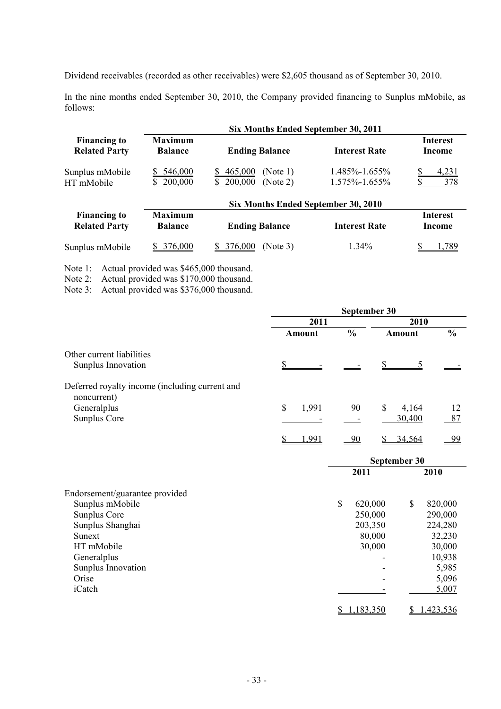Dividend receivables (recorded as other receivables) were \$2,605 thousand as of September 30, 2010.

In the nine months ended September 30, 2010, the Company provided financing to Sunplus mMobile, as follows:

|                                             | Six Months Ended September 30, 2011 |                                                   |                                      |                           |  |
|---------------------------------------------|-------------------------------------|---------------------------------------------------|--------------------------------------|---------------------------|--|
| <b>Financing to</b><br><b>Related Party</b> | Maximum<br><b>Balance</b>           | <b>Ending Balance</b>                             | <b>Interest Rate</b>                 | <b>Interest</b><br>Income |  |
| Sunplus mMobile<br>HT mMobile               | <u>546,000</u><br>200,000           | (Note 1)<br><u>465,000</u><br>200,000<br>(Note 2) | $1.485\% - 1.655\%$<br>1.575%-1.655% | <u>4,231</u><br>378       |  |
|                                             |                                     | Six Months Ended September 30, 2010               |                                      |                           |  |
| <b>Financing to</b><br><b>Related Party</b> | <b>Maximum</b><br><b>Balance</b>    | <b>Ending Balance</b>                             | <b>Interest Rate</b>                 | <b>Interest</b><br>Income |  |
| Sunplus mMobile                             | 376,000                             | 376,000<br>(Note 3)                               | $1.34\%$                             | 789                       |  |

Note 1: Actual provided was \$465,000 thousand.

Note 2: Actual provided was \$170,000 thousand.

Note 3: Actual provided was \$376,000 thousand.

|                                                               | September 30           |               |    |               |                        |              |               |
|---------------------------------------------------------------|------------------------|---------------|----|---------------|------------------------|--------------|---------------|
|                                                               |                        | 2011          |    |               |                        | 2010         |               |
|                                                               |                        | <b>Amount</b> |    | $\frac{0}{0}$ |                        | Amount       | $\frac{0}{0}$ |
| Other current liabilities                                     |                        |               |    |               |                        |              |               |
| Sunplus Innovation                                            | $\mathbf{\mathcal{S}}$ |               |    |               | $\mathbf{\mathcal{S}}$ | 5            |               |
| Deferred royalty income (including current and<br>noncurrent) |                        |               |    |               |                        |              |               |
| Generalplus                                                   | \$                     | 1,991         |    | 90            | \$                     | 4,164        | 12            |
| Sunplus Core                                                  |                        |               |    |               |                        | 30,400       | 87            |
|                                                               | S                      | 1,991         |    | $-90$         | S                      | 34,564       | $-99$         |
|                                                               |                        |               |    |               |                        | September 30 |               |
|                                                               |                        |               |    | 2011          |                        |              | 2010          |
| Endorsement/guarantee provided                                |                        |               |    |               |                        |              |               |
| Sunplus mMobile                                               |                        |               | \$ | 620,000       |                        | \$           | 820,000       |
| Sunplus Core                                                  |                        |               |    | 250,000       |                        |              | 290,000       |
| Sunplus Shanghai                                              |                        |               |    | 203,350       |                        |              | 224,280       |
| Sunext                                                        |                        |               |    | 80,000        |                        |              | 32,230        |
| HT mMobile                                                    |                        |               |    | 30,000        |                        |              | 30,000        |
| Generalplus                                                   |                        |               |    |               |                        |              | 10,938        |
| Sunplus Innovation                                            |                        |               |    |               |                        |              | 5,985         |
| Orise                                                         |                        |               |    |               |                        |              | 5,096         |
| iCatch                                                        |                        |               |    |               |                        |              | 5,007         |
|                                                               |                        |               |    | \$1,183,350   |                        | \$           | 1,423,536     |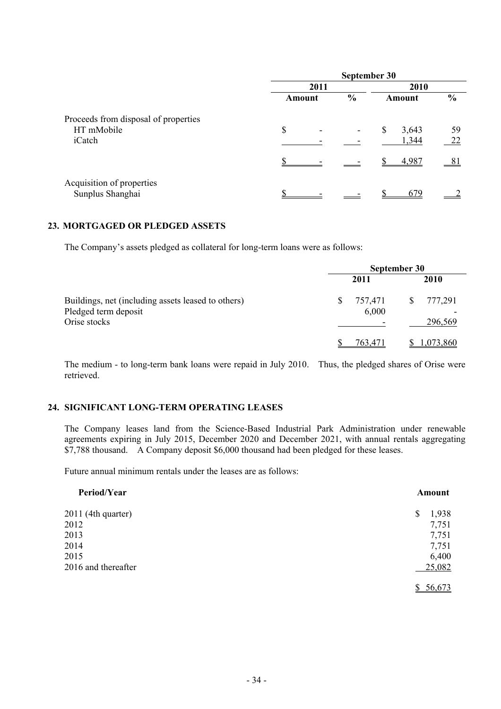|                                               | September 30 |  |               |    |        |               |
|-----------------------------------------------|--------------|--|---------------|----|--------|---------------|
|                                               | 2011         |  |               |    |        |               |
|                                               | Amount       |  | $\frac{0}{0}$ |    | Amount | $\frac{6}{6}$ |
| Proceeds from disposal of properties          |              |  |               |    |        |               |
| HT mMobile                                    | \$           |  |               | \$ | 3,643  | 59            |
| iCatch                                        |              |  |               |    | 1,344  | 22            |
|                                               |              |  |               |    | 4,987  | 81            |
| Acquisition of properties<br>Sunplus Shanghai |              |  |               |    | 679    |               |

#### **23. MORTGAGED OR PLEDGED ASSETS**

The Company's assets pledged as collateral for long-term loans were as follows:

|                                                                                            | September 30     |                         |  |  |
|--------------------------------------------------------------------------------------------|------------------|-------------------------|--|--|
|                                                                                            | 2011             | 2010                    |  |  |
| Buildings, net (including assets leased to others)<br>Pledged term deposit<br>Orise stocks | 757,471<br>6,000 | 777,291<br>S<br>296,569 |  |  |
|                                                                                            | 763.471          | .073.860                |  |  |

The medium - to long-term bank loans were repaid in July 2010. Thus, the pledged shares of Orise were retrieved.

#### **24. SIGNIFICANT LONG-TERM OPERATING LEASES**

The Company leases land from the Science-Based Industrial Park Administration under renewable agreements expiring in July 2015, December 2020 and December 2021, with annual rentals aggregating \$7,788 thousand. A Company deposit \$6,000 thousand had been pledged for these leases.

Future annual minimum rentals under the leases are as follows:

| Period/Year         | Amount      |
|---------------------|-------------|
| 2011 (4th quarter)  | 1,938<br>\$ |
| 2012                | 7,751       |
| 2013                | 7,751       |
| 2014                | 7,751       |
| 2015                | 6,400       |
| 2016 and thereafter | 25,082      |
|                     | \$56,673    |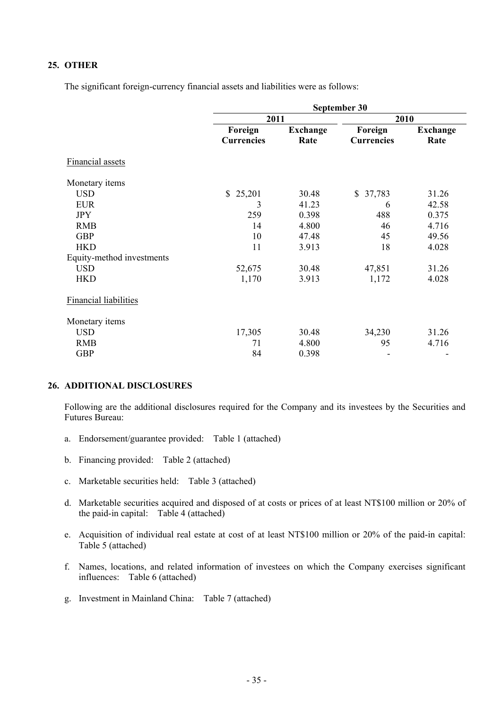## **25. OTHER**

The significant foreign-currency financial assets and liabilities were as follows:

|                              |                        |                 | September 30           |                 |
|------------------------------|------------------------|-----------------|------------------------|-----------------|
|                              | 2011                   |                 | 2010                   |                 |
|                              | Foreign                | <b>Exchange</b> | Foreign                | <b>Exchange</b> |
|                              | <b>Currencies</b>      | Rate            | <b>Currencies</b>      | Rate            |
| <b>Financial assets</b>      |                        |                 |                        |                 |
| Monetary items               |                        |                 |                        |                 |
| <b>USD</b>                   | 25,201<br>$\mathbb{S}$ | 30.48           | 37,783<br>$\mathbb{S}$ | 31.26           |
| <b>EUR</b>                   | 3                      | 41.23           | 6                      | 42.58           |
| <b>JPY</b>                   | 259                    | 0.398           | 488                    | 0.375           |
| <b>RMB</b>                   | 14                     | 4.800           | 46                     | 4.716           |
| <b>GBP</b>                   | 10                     | 47.48           | 45                     | 49.56           |
| <b>HKD</b>                   | 11                     | 3.913           | 18                     | 4.028           |
| Equity-method investments    |                        |                 |                        |                 |
| <b>USD</b>                   | 52,675                 | 30.48           | 47,851                 | 31.26           |
| <b>HKD</b>                   | 1,170                  | 3.913           | 1,172                  | 4.028           |
| <b>Financial liabilities</b> |                        |                 |                        |                 |
| Monetary items               |                        |                 |                        |                 |
| <b>USD</b>                   | 17,305                 | 30.48           | 34,230                 | 31.26           |
| <b>RMB</b>                   | 71                     | 4.800           | 95                     | 4.716           |
| <b>GBP</b>                   | 84                     | 0.398           | ٠                      |                 |

#### **26. ADDITIONAL DISCLOSURES**

Following are the additional disclosures required for the Company and its investees by the Securities and Futures Bureau:

- a. Endorsement/guarantee provided: Table 1 (attached)
- b. Financing provided: Table 2 (attached)
- c. Marketable securities held: Table 3 (attached)
- d. Marketable securities acquired and disposed of at costs or prices of at least NT\$100 million or 20% of the paid-in capital: Table 4 (attached)
- e. Acquisition of individual real estate at cost of at least NT\$100 million or 20% of the paid-in capital: Table 5 (attached)
- f. Names, locations, and related information of investees on which the Company exercises significant influences: Table 6 (attached)
- g. Investment in Mainland China: Table 7 (attached)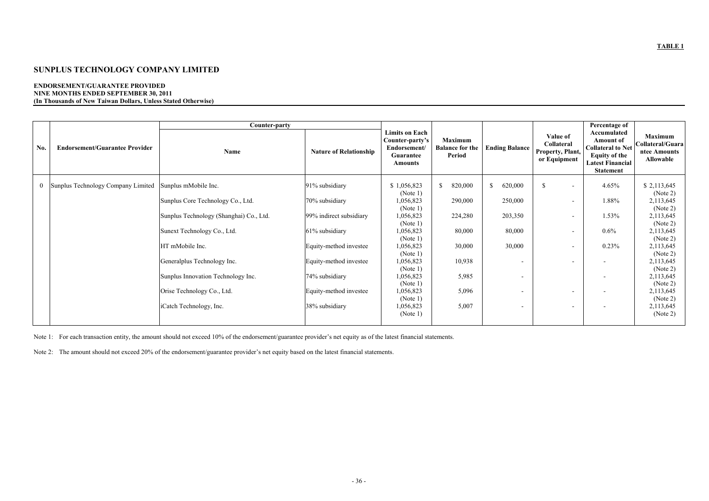#### **ENDORSEMENT/GUARANTEE PROVIDED NINE MONTHS ENDED SEPTEMBER 30, 2011 (In Thousands of New Taiwan Dollars, Unless Stated Otherwise)**

|              |                                       | Counter-party                           |                               |                                                                                                |                                             |                          |                                                            | Percentage of                                                                                                                      |                                                                        |
|--------------|---------------------------------------|-----------------------------------------|-------------------------------|------------------------------------------------------------------------------------------------|---------------------------------------------|--------------------------|------------------------------------------------------------|------------------------------------------------------------------------------------------------------------------------------------|------------------------------------------------------------------------|
| No.          | <b>Endorsement/Guarantee Provider</b> | Name                                    | <b>Nature of Relationship</b> | <b>Limits on Each</b><br>Counter-party's<br>Endorsement/<br><b>Guarantee</b><br><b>Amounts</b> | Maximum<br><b>Balance for the</b><br>Period | <b>Ending Balance</b>    | Value of<br>Collateral<br>Property, Plant,<br>or Equipment | Accumulated<br><b>Amount of</b><br><b>Collateral to Net</b><br><b>Equity of the</b><br><b>Latest Financial</b><br><b>Statement</b> | <b>Maximum</b><br>Collateral/Guara<br>ntee Amounts<br><b>Allowable</b> |
| $\mathbf{0}$ | Sunplus Technology Company Limited    | Sunplus mMobile Inc.                    | 91% subsidiary                | \$1,056,823                                                                                    | 820,000<br>$\mathbb{S}$                     | \$.<br>620,000           | <sup>\$</sup><br>$\overline{\phantom{a}}$                  | 4.65%                                                                                                                              | \$2,113,645                                                            |
|              |                                       | Sunplus Core Technology Co., Ltd.       | 70% subsidiary                | (Note 1)<br>1,056,823<br>(Note 1)                                                              | 290,000                                     | 250,000                  |                                                            | 1.88%                                                                                                                              | (Note 2)<br>2,113,645<br>(Note 2)                                      |
|              |                                       | Sunplus Technology (Shanghai) Co., Ltd. | 99% indirect subsidiary       | 1,056,823<br>(Note 1)                                                                          | 224,280                                     | 203,350                  | $\overline{\phantom{a}}$                                   | 1.53%                                                                                                                              | 2,113,645<br>(Note 2)                                                  |
|              |                                       | Sunext Technology Co., Ltd.             | 61% subsidiary                | 1,056,823<br>(Note 1)                                                                          | 80,000                                      | 80,000                   |                                                            | $0.6\%$                                                                                                                            | 2,113,645<br>(Note 2)                                                  |
|              |                                       | HT mMobile Inc.                         | Equity-method investee        | 1,056,823<br>(Note 1)                                                                          | 30,000                                      | 30,000                   |                                                            | 0.23%                                                                                                                              | 2,113,645<br>(Note 2)                                                  |
|              |                                       | Generalplus Technology Inc.             | Equity-method investee        | 1,056,823<br>(Note 1)                                                                          | 10,938                                      | $\overline{\phantom{a}}$ |                                                            |                                                                                                                                    | 2,113,645<br>(Note 2)                                                  |
|              |                                       | Sunplus Innovation Technology Inc.      | 74% subsidiary                | 1,056,823<br>(Note 1)                                                                          | 5,985                                       | $\overline{\phantom{a}}$ |                                                            |                                                                                                                                    | 2,113,645<br>(Note 2)                                                  |
|              |                                       | Orise Technology Co., Ltd.              | Equity-method investee        | 1,056,823<br>(Note 1)                                                                          | 5,096                                       | ۰                        | $\sim$                                                     |                                                                                                                                    | 2,113,645<br>(Note 2)                                                  |
|              |                                       | iCatch Technology, Inc.                 | 38% subsidiary                | 1,056,823<br>(Note 1)                                                                          | 5,007                                       | $\overline{\phantom{a}}$ | $\overline{\phantom{a}}$                                   |                                                                                                                                    | 2,113,645<br>(Note 2)                                                  |

Note 1: For each transaction entity, the amount should not exceed 10% of the endorsement/guarantee provider's net equity as of the latest financial statements.

Note 2: The amount should not exceed 20% of the endorsement/guarantee provider's net equity based on the latest financial statements.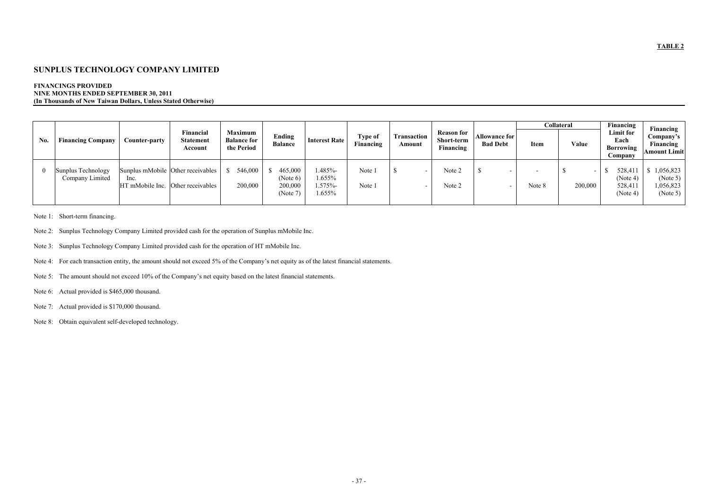#### **FINANCINGS PROVIDED NINE MONTHS ENDED SEPTEMBER 30, 2011 (In Thousands of New Taiwan Dollars, Unless Stated Otherwise)**

|            |                                       |                                           | Financial                         | Maximum                          |                                            |                                    |                      |                       | <b>Reason for</b>       |                                         |        | <b>Collateral</b>                   | Financing<br>Limit for                    | Financing                                     |
|------------|---------------------------------------|-------------------------------------------|-----------------------------------|----------------------------------|--------------------------------------------|------------------------------------|----------------------|-----------------------|-------------------------|-----------------------------------------|--------|-------------------------------------|-------------------------------------------|-----------------------------------------------|
| No.        | <b>Financing Company</b>              | Counter-party                             | <b>Statement</b><br>Account       | <b>Balance for</b><br>the Period | Ending<br><b>Balance</b>                   | <b>Interest Rate</b>               | Type of<br>Financing | Transaction<br>Amount | Short-term<br>Financing | <b>Allowance for</b><br><b>Bad Debt</b> | Item   | Value                               | Each<br>Borrowing<br>Company              | Company's<br>Financing<br><b>Amount Limit</b> |
| $^{\circ}$ | Sunplus Technology<br>Company Limited | Inc.<br>HT mMobile Inc. Other receivables | Sunplus mMobile Other receivables | 546,000<br>200,000               | 465,000<br>(Note 6)<br>200,000<br>(Note 7) | .485%<br>1.655%<br>.575%<br>1.655% | Note 1<br>Note 1     |                       | Note 2<br>Note 2        |                                         | Note 8 | $\overline{\phantom{a}}$<br>200,000 | 528,41<br>(Note 4)<br>528,411<br>(Note 4) | 0.056,823<br>(Note 5)<br>0.56,823<br>(Note 5) |

Note 1: Short-term financing.

- Note 2: Sunplus Technology Company Limited provided cash for the operation of Sunplus mMobile Inc.
- Note 3: Sunplus Technology Company Limited provided cash for the operation of HT mMobile Inc.

Note 4: For each transaction entity, the amount should not exceed 5% of the Company's net equity as of the latest financial statements.

- Note 5: The amount should not exceed 10% of the Company's net equity based on the latest financial statements.
- Note 6: Actual provided is \$465,000 thousand.
- Note 7: Actual provided is \$170,000 thousand.
- Note 8: Obtain equivalent self-developed technology.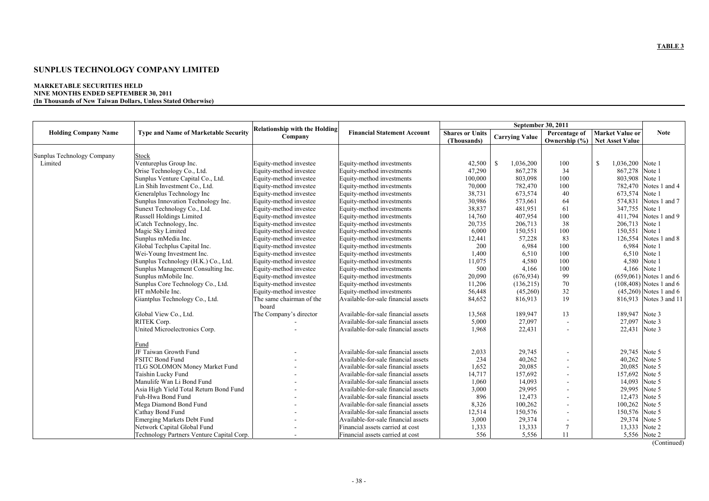#### **MARKETABLE SECURITIES HELD NINE MONTHS ENDED SEPTEMBER 30, 2011 (In Thousands of New Taiwan Dollars, Unless Stated Otherwise)**

| <b>Type and Name of Marketable Security</b><br><b>Financial Statement Account</b><br><b>Shares or Units</b><br>Percentage of<br><b>Market Value or</b><br><b>Holding Company Name</b><br><b>Note</b><br><b>Carrying Value</b><br>Company<br>Ownership (%) Net Asset Value<br>(Thousands)<br>Sunplus Technology Company<br>Stock<br>Ventureplus Group Inc.<br>Limited<br>Equity-method investee<br>Equity-method investments<br>42,500<br>1,036,200<br>1,036,200 Note 1<br><sup>\$</sup><br>100<br><sup>\$</sup><br>34<br>Orise Technology Co., Ltd.<br>Equity-method investee<br>Equity-method investments<br>47,290<br>867,278<br>867,278 Note 1<br>803,908<br>Sunplus Venture Capital Co., Ltd.<br>Equity-method investee<br>Equity-method investments<br>100,000<br>803,098<br>100<br>Note 1<br>70,000<br>100<br>Notes 1 and 4<br>Lin Shih Investment Co., Ltd.<br>782,470<br>782,470<br>Equity-method investee<br>Equity-method investments<br>673,574 Note 1<br>40<br>Generalplus Technology Inc<br>Equity-method investee<br>Equity-method investments<br>38,731<br>673,574<br>30,986<br>64<br>Sunplus Innovation Technology Inc.<br>573,661<br>574,831<br>Notes 1 and 7<br>Equity-method investee<br>Equity-method investments<br>Sunext Technology Co., Ltd.<br>38,837<br>61<br>347,755<br>Note 1<br>Equity-method investee<br>Equity-method investments<br>481,951<br>14,760<br>100<br>411,794<br>Notes 1 and 9<br>Russell Holdings Limited<br>407,954<br>Equity-method investee<br>Equity-method investments<br>iCatch Technology, Inc.<br>20,735<br>38<br>206,713 Note 1<br>Equity-method investee<br>Equity-method investments<br>206,713<br>100<br>Note 1<br>Magic Sky Limited<br>Equity-method investments<br>6,000<br>150,551<br>150,551<br>Equity-method investee<br>83<br>126,554<br>Notes 1 and 8<br>Sunplus mMedia Inc.<br>Equity-method investee<br>Equity-method investments<br>12,441<br>57,228<br>200<br>6,984<br>100<br>6,984<br>Note 1<br>Global Techplus Capital Inc.<br>Equity-method investee<br>Equity-method investments<br>100<br>6,510 Note 1<br>Wei-Young Investment Inc.<br>Equity-method investee<br>Equity-method investments<br>1,400<br>6,510<br>11,075<br>4,580<br>100<br>4,580 Note 1<br>Sunplus Technology (H.K.) Co., Ltd.<br>Equity-method investments<br>Equity-method investee<br>500<br>4,166<br>100<br>4,166 Note 1<br>Sunplus Management Consulting Inc.<br>Equity-method investee<br>Equity-method investments<br>99<br>Sunplus mMobile Inc.<br>20,090<br>$(659,061)$ Notes 1 and 6<br>Equity-method investee<br>Equity-method investments<br>(676, 934)<br>Sunplus Core Technology Co., Ltd.<br>11,206<br>70<br>$(108, 408)$ Notes 1 and 6<br>Equity-method investee<br>Equity-method investments<br>(136, 215)<br>32<br>HT mMobile Inc.<br>Equity-method investee<br>Equity-method investments<br>56,448<br>(45,260)<br>$(45,260)$ Notes 1 and 6<br>19<br>The same chairman of the<br>84,652<br>Giantplus Technology Co., Ltd.<br>Available-for-sale financial assets<br>816,913<br>816,913 Notes 3 and 11<br>board<br>The Company's director<br>13<br>189,947 Note 3<br>Global View Co., Ltd.<br>Available-for-sale financial assets<br>13,568<br>189,947<br>Available-for-sale financial assets<br>27,097<br>27,097<br>Note 3<br>RITEK Corp.<br>5,000<br>$\overline{a}$<br>22,431 Note 3<br>United Microelectronics Corp.<br>Available-for-sale financial assets<br>1,968<br>22,431<br>Fund<br>JF Taiwan Growth Fund<br>Available-for-sale financial assets<br>2,033<br>29,745<br>29,745 Note 5<br>234<br>40,262<br>40,262 Note 5<br>FSITC Bond Fund<br>Available-for-sale financial assets<br>Note 5<br>20,085<br>20,085<br>TLG SOLOMON Money Market Fund<br>Available-for-sale financial assets<br>1,652<br>14,717<br>157,692<br>Note 5<br>Taishin Lucky Fund<br>Available-for-sale financial assets<br>157,692<br>1,060<br>14,093<br>14,093<br>Note 5<br>Manulife Wan Li Bond Fund<br>Available-for-sale financial assets<br>3,000<br>29,995<br>29,995<br>Note 5<br>Asia High Yield Total Return Bond Fund<br>Available-for-sale financial assets<br>Fuh-Hwa Bond Fund<br>896<br>12,473<br>12,473<br>Note 5<br>Available-for-sale financial assets<br>100,262<br>Note 5<br>Mega Diamond Bond Fund<br>Available-for-sale financial assets<br>8,326<br>100,262<br>150,576<br>150,576 Note 5<br>Cathay Bond Fund<br>Available-for-sale financial assets<br>12,514<br>3,000<br>29,374<br>29,374<br>Note 5<br><b>Emerging Markets Debt Fund</b><br>Available-for-sale financial assets<br>Network Capital Global Fund<br>13,333<br>Note 2<br>Financial assets carried at cost<br>1,333<br>13,333<br>5,556 Note 2 |  |                                           |                                      |                                  |     | September 30, 2011 |    |  |
|---------------------------------------------------------------------------------------------------------------------------------------------------------------------------------------------------------------------------------------------------------------------------------------------------------------------------------------------------------------------------------------------------------------------------------------------------------------------------------------------------------------------------------------------------------------------------------------------------------------------------------------------------------------------------------------------------------------------------------------------------------------------------------------------------------------------------------------------------------------------------------------------------------------------------------------------------------------------------------------------------------------------------------------------------------------------------------------------------------------------------------------------------------------------------------------------------------------------------------------------------------------------------------------------------------------------------------------------------------------------------------------------------------------------------------------------------------------------------------------------------------------------------------------------------------------------------------------------------------------------------------------------------------------------------------------------------------------------------------------------------------------------------------------------------------------------------------------------------------------------------------------------------------------------------------------------------------------------------------------------------------------------------------------------------------------------------------------------------------------------------------------------------------------------------------------------------------------------------------------------------------------------------------------------------------------------------------------------------------------------------------------------------------------------------------------------------------------------------------------------------------------------------------------------------------------------------------------------------------------------------------------------------------------------------------------------------------------------------------------------------------------------------------------------------------------------------------------------------------------------------------------------------------------------------------------------------------------------------------------------------------------------------------------------------------------------------------------------------------------------------------------------------------------------------------------------------------------------------------------------------------------------------------------------------------------------------------------------------------------------------------------------------------------------------------------------------------------------------------------------------------------------------------------------------------------------------------------------------------------------------------------------------------------------------------------------------------------------------------------------------------------------------------------------------------------------------------------------------------------------------------------------------------------------------------------------------------------------------------------------------------------------------------------------------------------------------------------------------------------------------------------------------------------------------------------------------------------------------------------------------------------------------------------------------------------------------------------------------------------------------------------------------------------------------------------------------------------------------------------------------------------------------------------------------------------------------------------------------------------------------------------------------------------------|--|-------------------------------------------|--------------------------------------|----------------------------------|-----|--------------------|----|--|
|                                                                                                                                                                                                                                                                                                                                                                                                                                                                                                                                                                                                                                                                                                                                                                                                                                                                                                                                                                                                                                                                                                                                                                                                                                                                                                                                                                                                                                                                                                                                                                                                                                                                                                                                                                                                                                                                                                                                                                                                                                                                                                                                                                                                                                                                                                                                                                                                                                                                                                                                                                                                                                                                                                                                                                                                                                                                                                                                                                                                                                                                                                                                                                                                                                                                                                                                                                                                                                                                                                                                                                                                                                                                                                                                                                                                                                                                                                                                                                                                                                                                                                                                                                                                                                                                                                                                                                                                                                                                                                                                                                                                                                                                     |  |                                           | <b>Relationship with the Holding</b> |                                  |     |                    |    |  |
|                                                                                                                                                                                                                                                                                                                                                                                                                                                                                                                                                                                                                                                                                                                                                                                                                                                                                                                                                                                                                                                                                                                                                                                                                                                                                                                                                                                                                                                                                                                                                                                                                                                                                                                                                                                                                                                                                                                                                                                                                                                                                                                                                                                                                                                                                                                                                                                                                                                                                                                                                                                                                                                                                                                                                                                                                                                                                                                                                                                                                                                                                                                                                                                                                                                                                                                                                                                                                                                                                                                                                                                                                                                                                                                                                                                                                                                                                                                                                                                                                                                                                                                                                                                                                                                                                                                                                                                                                                                                                                                                                                                                                                                                     |  |                                           |                                      |                                  |     |                    |    |  |
|                                                                                                                                                                                                                                                                                                                                                                                                                                                                                                                                                                                                                                                                                                                                                                                                                                                                                                                                                                                                                                                                                                                                                                                                                                                                                                                                                                                                                                                                                                                                                                                                                                                                                                                                                                                                                                                                                                                                                                                                                                                                                                                                                                                                                                                                                                                                                                                                                                                                                                                                                                                                                                                                                                                                                                                                                                                                                                                                                                                                                                                                                                                                                                                                                                                                                                                                                                                                                                                                                                                                                                                                                                                                                                                                                                                                                                                                                                                                                                                                                                                                                                                                                                                                                                                                                                                                                                                                                                                                                                                                                                                                                                                                     |  |                                           |                                      |                                  |     |                    |    |  |
|                                                                                                                                                                                                                                                                                                                                                                                                                                                                                                                                                                                                                                                                                                                                                                                                                                                                                                                                                                                                                                                                                                                                                                                                                                                                                                                                                                                                                                                                                                                                                                                                                                                                                                                                                                                                                                                                                                                                                                                                                                                                                                                                                                                                                                                                                                                                                                                                                                                                                                                                                                                                                                                                                                                                                                                                                                                                                                                                                                                                                                                                                                                                                                                                                                                                                                                                                                                                                                                                                                                                                                                                                                                                                                                                                                                                                                                                                                                                                                                                                                                                                                                                                                                                                                                                                                                                                                                                                                                                                                                                                                                                                                                                     |  |                                           |                                      |                                  |     |                    |    |  |
|                                                                                                                                                                                                                                                                                                                                                                                                                                                                                                                                                                                                                                                                                                                                                                                                                                                                                                                                                                                                                                                                                                                                                                                                                                                                                                                                                                                                                                                                                                                                                                                                                                                                                                                                                                                                                                                                                                                                                                                                                                                                                                                                                                                                                                                                                                                                                                                                                                                                                                                                                                                                                                                                                                                                                                                                                                                                                                                                                                                                                                                                                                                                                                                                                                                                                                                                                                                                                                                                                                                                                                                                                                                                                                                                                                                                                                                                                                                                                                                                                                                                                                                                                                                                                                                                                                                                                                                                                                                                                                                                                                                                                                                                     |  |                                           |                                      |                                  |     |                    |    |  |
|                                                                                                                                                                                                                                                                                                                                                                                                                                                                                                                                                                                                                                                                                                                                                                                                                                                                                                                                                                                                                                                                                                                                                                                                                                                                                                                                                                                                                                                                                                                                                                                                                                                                                                                                                                                                                                                                                                                                                                                                                                                                                                                                                                                                                                                                                                                                                                                                                                                                                                                                                                                                                                                                                                                                                                                                                                                                                                                                                                                                                                                                                                                                                                                                                                                                                                                                                                                                                                                                                                                                                                                                                                                                                                                                                                                                                                                                                                                                                                                                                                                                                                                                                                                                                                                                                                                                                                                                                                                                                                                                                                                                                                                                     |  |                                           |                                      |                                  |     |                    |    |  |
|                                                                                                                                                                                                                                                                                                                                                                                                                                                                                                                                                                                                                                                                                                                                                                                                                                                                                                                                                                                                                                                                                                                                                                                                                                                                                                                                                                                                                                                                                                                                                                                                                                                                                                                                                                                                                                                                                                                                                                                                                                                                                                                                                                                                                                                                                                                                                                                                                                                                                                                                                                                                                                                                                                                                                                                                                                                                                                                                                                                                                                                                                                                                                                                                                                                                                                                                                                                                                                                                                                                                                                                                                                                                                                                                                                                                                                                                                                                                                                                                                                                                                                                                                                                                                                                                                                                                                                                                                                                                                                                                                                                                                                                                     |  |                                           |                                      |                                  |     |                    |    |  |
|                                                                                                                                                                                                                                                                                                                                                                                                                                                                                                                                                                                                                                                                                                                                                                                                                                                                                                                                                                                                                                                                                                                                                                                                                                                                                                                                                                                                                                                                                                                                                                                                                                                                                                                                                                                                                                                                                                                                                                                                                                                                                                                                                                                                                                                                                                                                                                                                                                                                                                                                                                                                                                                                                                                                                                                                                                                                                                                                                                                                                                                                                                                                                                                                                                                                                                                                                                                                                                                                                                                                                                                                                                                                                                                                                                                                                                                                                                                                                                                                                                                                                                                                                                                                                                                                                                                                                                                                                                                                                                                                                                                                                                                                     |  |                                           |                                      |                                  |     |                    |    |  |
|                                                                                                                                                                                                                                                                                                                                                                                                                                                                                                                                                                                                                                                                                                                                                                                                                                                                                                                                                                                                                                                                                                                                                                                                                                                                                                                                                                                                                                                                                                                                                                                                                                                                                                                                                                                                                                                                                                                                                                                                                                                                                                                                                                                                                                                                                                                                                                                                                                                                                                                                                                                                                                                                                                                                                                                                                                                                                                                                                                                                                                                                                                                                                                                                                                                                                                                                                                                                                                                                                                                                                                                                                                                                                                                                                                                                                                                                                                                                                                                                                                                                                                                                                                                                                                                                                                                                                                                                                                                                                                                                                                                                                                                                     |  |                                           |                                      |                                  |     |                    |    |  |
|                                                                                                                                                                                                                                                                                                                                                                                                                                                                                                                                                                                                                                                                                                                                                                                                                                                                                                                                                                                                                                                                                                                                                                                                                                                                                                                                                                                                                                                                                                                                                                                                                                                                                                                                                                                                                                                                                                                                                                                                                                                                                                                                                                                                                                                                                                                                                                                                                                                                                                                                                                                                                                                                                                                                                                                                                                                                                                                                                                                                                                                                                                                                                                                                                                                                                                                                                                                                                                                                                                                                                                                                                                                                                                                                                                                                                                                                                                                                                                                                                                                                                                                                                                                                                                                                                                                                                                                                                                                                                                                                                                                                                                                                     |  |                                           |                                      |                                  |     |                    |    |  |
|                                                                                                                                                                                                                                                                                                                                                                                                                                                                                                                                                                                                                                                                                                                                                                                                                                                                                                                                                                                                                                                                                                                                                                                                                                                                                                                                                                                                                                                                                                                                                                                                                                                                                                                                                                                                                                                                                                                                                                                                                                                                                                                                                                                                                                                                                                                                                                                                                                                                                                                                                                                                                                                                                                                                                                                                                                                                                                                                                                                                                                                                                                                                                                                                                                                                                                                                                                                                                                                                                                                                                                                                                                                                                                                                                                                                                                                                                                                                                                                                                                                                                                                                                                                                                                                                                                                                                                                                                                                                                                                                                                                                                                                                     |  |                                           |                                      |                                  |     |                    |    |  |
|                                                                                                                                                                                                                                                                                                                                                                                                                                                                                                                                                                                                                                                                                                                                                                                                                                                                                                                                                                                                                                                                                                                                                                                                                                                                                                                                                                                                                                                                                                                                                                                                                                                                                                                                                                                                                                                                                                                                                                                                                                                                                                                                                                                                                                                                                                                                                                                                                                                                                                                                                                                                                                                                                                                                                                                                                                                                                                                                                                                                                                                                                                                                                                                                                                                                                                                                                                                                                                                                                                                                                                                                                                                                                                                                                                                                                                                                                                                                                                                                                                                                                                                                                                                                                                                                                                                                                                                                                                                                                                                                                                                                                                                                     |  |                                           |                                      |                                  |     |                    |    |  |
|                                                                                                                                                                                                                                                                                                                                                                                                                                                                                                                                                                                                                                                                                                                                                                                                                                                                                                                                                                                                                                                                                                                                                                                                                                                                                                                                                                                                                                                                                                                                                                                                                                                                                                                                                                                                                                                                                                                                                                                                                                                                                                                                                                                                                                                                                                                                                                                                                                                                                                                                                                                                                                                                                                                                                                                                                                                                                                                                                                                                                                                                                                                                                                                                                                                                                                                                                                                                                                                                                                                                                                                                                                                                                                                                                                                                                                                                                                                                                                                                                                                                                                                                                                                                                                                                                                                                                                                                                                                                                                                                                                                                                                                                     |  |                                           |                                      |                                  |     |                    |    |  |
|                                                                                                                                                                                                                                                                                                                                                                                                                                                                                                                                                                                                                                                                                                                                                                                                                                                                                                                                                                                                                                                                                                                                                                                                                                                                                                                                                                                                                                                                                                                                                                                                                                                                                                                                                                                                                                                                                                                                                                                                                                                                                                                                                                                                                                                                                                                                                                                                                                                                                                                                                                                                                                                                                                                                                                                                                                                                                                                                                                                                                                                                                                                                                                                                                                                                                                                                                                                                                                                                                                                                                                                                                                                                                                                                                                                                                                                                                                                                                                                                                                                                                                                                                                                                                                                                                                                                                                                                                                                                                                                                                                                                                                                                     |  |                                           |                                      |                                  |     |                    |    |  |
|                                                                                                                                                                                                                                                                                                                                                                                                                                                                                                                                                                                                                                                                                                                                                                                                                                                                                                                                                                                                                                                                                                                                                                                                                                                                                                                                                                                                                                                                                                                                                                                                                                                                                                                                                                                                                                                                                                                                                                                                                                                                                                                                                                                                                                                                                                                                                                                                                                                                                                                                                                                                                                                                                                                                                                                                                                                                                                                                                                                                                                                                                                                                                                                                                                                                                                                                                                                                                                                                                                                                                                                                                                                                                                                                                                                                                                                                                                                                                                                                                                                                                                                                                                                                                                                                                                                                                                                                                                                                                                                                                                                                                                                                     |  |                                           |                                      |                                  |     |                    |    |  |
|                                                                                                                                                                                                                                                                                                                                                                                                                                                                                                                                                                                                                                                                                                                                                                                                                                                                                                                                                                                                                                                                                                                                                                                                                                                                                                                                                                                                                                                                                                                                                                                                                                                                                                                                                                                                                                                                                                                                                                                                                                                                                                                                                                                                                                                                                                                                                                                                                                                                                                                                                                                                                                                                                                                                                                                                                                                                                                                                                                                                                                                                                                                                                                                                                                                                                                                                                                                                                                                                                                                                                                                                                                                                                                                                                                                                                                                                                                                                                                                                                                                                                                                                                                                                                                                                                                                                                                                                                                                                                                                                                                                                                                                                     |  |                                           |                                      |                                  |     |                    |    |  |
|                                                                                                                                                                                                                                                                                                                                                                                                                                                                                                                                                                                                                                                                                                                                                                                                                                                                                                                                                                                                                                                                                                                                                                                                                                                                                                                                                                                                                                                                                                                                                                                                                                                                                                                                                                                                                                                                                                                                                                                                                                                                                                                                                                                                                                                                                                                                                                                                                                                                                                                                                                                                                                                                                                                                                                                                                                                                                                                                                                                                                                                                                                                                                                                                                                                                                                                                                                                                                                                                                                                                                                                                                                                                                                                                                                                                                                                                                                                                                                                                                                                                                                                                                                                                                                                                                                                                                                                                                                                                                                                                                                                                                                                                     |  |                                           |                                      |                                  |     |                    |    |  |
|                                                                                                                                                                                                                                                                                                                                                                                                                                                                                                                                                                                                                                                                                                                                                                                                                                                                                                                                                                                                                                                                                                                                                                                                                                                                                                                                                                                                                                                                                                                                                                                                                                                                                                                                                                                                                                                                                                                                                                                                                                                                                                                                                                                                                                                                                                                                                                                                                                                                                                                                                                                                                                                                                                                                                                                                                                                                                                                                                                                                                                                                                                                                                                                                                                                                                                                                                                                                                                                                                                                                                                                                                                                                                                                                                                                                                                                                                                                                                                                                                                                                                                                                                                                                                                                                                                                                                                                                                                                                                                                                                                                                                                                                     |  |                                           |                                      |                                  |     |                    |    |  |
|                                                                                                                                                                                                                                                                                                                                                                                                                                                                                                                                                                                                                                                                                                                                                                                                                                                                                                                                                                                                                                                                                                                                                                                                                                                                                                                                                                                                                                                                                                                                                                                                                                                                                                                                                                                                                                                                                                                                                                                                                                                                                                                                                                                                                                                                                                                                                                                                                                                                                                                                                                                                                                                                                                                                                                                                                                                                                                                                                                                                                                                                                                                                                                                                                                                                                                                                                                                                                                                                                                                                                                                                                                                                                                                                                                                                                                                                                                                                                                                                                                                                                                                                                                                                                                                                                                                                                                                                                                                                                                                                                                                                                                                                     |  |                                           |                                      |                                  |     |                    |    |  |
|                                                                                                                                                                                                                                                                                                                                                                                                                                                                                                                                                                                                                                                                                                                                                                                                                                                                                                                                                                                                                                                                                                                                                                                                                                                                                                                                                                                                                                                                                                                                                                                                                                                                                                                                                                                                                                                                                                                                                                                                                                                                                                                                                                                                                                                                                                                                                                                                                                                                                                                                                                                                                                                                                                                                                                                                                                                                                                                                                                                                                                                                                                                                                                                                                                                                                                                                                                                                                                                                                                                                                                                                                                                                                                                                                                                                                                                                                                                                                                                                                                                                                                                                                                                                                                                                                                                                                                                                                                                                                                                                                                                                                                                                     |  |                                           |                                      |                                  |     |                    |    |  |
|                                                                                                                                                                                                                                                                                                                                                                                                                                                                                                                                                                                                                                                                                                                                                                                                                                                                                                                                                                                                                                                                                                                                                                                                                                                                                                                                                                                                                                                                                                                                                                                                                                                                                                                                                                                                                                                                                                                                                                                                                                                                                                                                                                                                                                                                                                                                                                                                                                                                                                                                                                                                                                                                                                                                                                                                                                                                                                                                                                                                                                                                                                                                                                                                                                                                                                                                                                                                                                                                                                                                                                                                                                                                                                                                                                                                                                                                                                                                                                                                                                                                                                                                                                                                                                                                                                                                                                                                                                                                                                                                                                                                                                                                     |  |                                           |                                      |                                  |     |                    |    |  |
|                                                                                                                                                                                                                                                                                                                                                                                                                                                                                                                                                                                                                                                                                                                                                                                                                                                                                                                                                                                                                                                                                                                                                                                                                                                                                                                                                                                                                                                                                                                                                                                                                                                                                                                                                                                                                                                                                                                                                                                                                                                                                                                                                                                                                                                                                                                                                                                                                                                                                                                                                                                                                                                                                                                                                                                                                                                                                                                                                                                                                                                                                                                                                                                                                                                                                                                                                                                                                                                                                                                                                                                                                                                                                                                                                                                                                                                                                                                                                                                                                                                                                                                                                                                                                                                                                                                                                                                                                                                                                                                                                                                                                                                                     |  |                                           |                                      |                                  |     |                    |    |  |
|                                                                                                                                                                                                                                                                                                                                                                                                                                                                                                                                                                                                                                                                                                                                                                                                                                                                                                                                                                                                                                                                                                                                                                                                                                                                                                                                                                                                                                                                                                                                                                                                                                                                                                                                                                                                                                                                                                                                                                                                                                                                                                                                                                                                                                                                                                                                                                                                                                                                                                                                                                                                                                                                                                                                                                                                                                                                                                                                                                                                                                                                                                                                                                                                                                                                                                                                                                                                                                                                                                                                                                                                                                                                                                                                                                                                                                                                                                                                                                                                                                                                                                                                                                                                                                                                                                                                                                                                                                                                                                                                                                                                                                                                     |  |                                           |                                      |                                  |     |                    |    |  |
|                                                                                                                                                                                                                                                                                                                                                                                                                                                                                                                                                                                                                                                                                                                                                                                                                                                                                                                                                                                                                                                                                                                                                                                                                                                                                                                                                                                                                                                                                                                                                                                                                                                                                                                                                                                                                                                                                                                                                                                                                                                                                                                                                                                                                                                                                                                                                                                                                                                                                                                                                                                                                                                                                                                                                                                                                                                                                                                                                                                                                                                                                                                                                                                                                                                                                                                                                                                                                                                                                                                                                                                                                                                                                                                                                                                                                                                                                                                                                                                                                                                                                                                                                                                                                                                                                                                                                                                                                                                                                                                                                                                                                                                                     |  |                                           |                                      |                                  |     |                    |    |  |
|                                                                                                                                                                                                                                                                                                                                                                                                                                                                                                                                                                                                                                                                                                                                                                                                                                                                                                                                                                                                                                                                                                                                                                                                                                                                                                                                                                                                                                                                                                                                                                                                                                                                                                                                                                                                                                                                                                                                                                                                                                                                                                                                                                                                                                                                                                                                                                                                                                                                                                                                                                                                                                                                                                                                                                                                                                                                                                                                                                                                                                                                                                                                                                                                                                                                                                                                                                                                                                                                                                                                                                                                                                                                                                                                                                                                                                                                                                                                                                                                                                                                                                                                                                                                                                                                                                                                                                                                                                                                                                                                                                                                                                                                     |  |                                           |                                      |                                  |     |                    |    |  |
|                                                                                                                                                                                                                                                                                                                                                                                                                                                                                                                                                                                                                                                                                                                                                                                                                                                                                                                                                                                                                                                                                                                                                                                                                                                                                                                                                                                                                                                                                                                                                                                                                                                                                                                                                                                                                                                                                                                                                                                                                                                                                                                                                                                                                                                                                                                                                                                                                                                                                                                                                                                                                                                                                                                                                                                                                                                                                                                                                                                                                                                                                                                                                                                                                                                                                                                                                                                                                                                                                                                                                                                                                                                                                                                                                                                                                                                                                                                                                                                                                                                                                                                                                                                                                                                                                                                                                                                                                                                                                                                                                                                                                                                                     |  |                                           |                                      |                                  |     |                    |    |  |
|                                                                                                                                                                                                                                                                                                                                                                                                                                                                                                                                                                                                                                                                                                                                                                                                                                                                                                                                                                                                                                                                                                                                                                                                                                                                                                                                                                                                                                                                                                                                                                                                                                                                                                                                                                                                                                                                                                                                                                                                                                                                                                                                                                                                                                                                                                                                                                                                                                                                                                                                                                                                                                                                                                                                                                                                                                                                                                                                                                                                                                                                                                                                                                                                                                                                                                                                                                                                                                                                                                                                                                                                                                                                                                                                                                                                                                                                                                                                                                                                                                                                                                                                                                                                                                                                                                                                                                                                                                                                                                                                                                                                                                                                     |  |                                           |                                      |                                  |     |                    |    |  |
|                                                                                                                                                                                                                                                                                                                                                                                                                                                                                                                                                                                                                                                                                                                                                                                                                                                                                                                                                                                                                                                                                                                                                                                                                                                                                                                                                                                                                                                                                                                                                                                                                                                                                                                                                                                                                                                                                                                                                                                                                                                                                                                                                                                                                                                                                                                                                                                                                                                                                                                                                                                                                                                                                                                                                                                                                                                                                                                                                                                                                                                                                                                                                                                                                                                                                                                                                                                                                                                                                                                                                                                                                                                                                                                                                                                                                                                                                                                                                                                                                                                                                                                                                                                                                                                                                                                                                                                                                                                                                                                                                                                                                                                                     |  |                                           |                                      |                                  |     |                    |    |  |
|                                                                                                                                                                                                                                                                                                                                                                                                                                                                                                                                                                                                                                                                                                                                                                                                                                                                                                                                                                                                                                                                                                                                                                                                                                                                                                                                                                                                                                                                                                                                                                                                                                                                                                                                                                                                                                                                                                                                                                                                                                                                                                                                                                                                                                                                                                                                                                                                                                                                                                                                                                                                                                                                                                                                                                                                                                                                                                                                                                                                                                                                                                                                                                                                                                                                                                                                                                                                                                                                                                                                                                                                                                                                                                                                                                                                                                                                                                                                                                                                                                                                                                                                                                                                                                                                                                                                                                                                                                                                                                                                                                                                                                                                     |  |                                           |                                      |                                  |     |                    |    |  |
|                                                                                                                                                                                                                                                                                                                                                                                                                                                                                                                                                                                                                                                                                                                                                                                                                                                                                                                                                                                                                                                                                                                                                                                                                                                                                                                                                                                                                                                                                                                                                                                                                                                                                                                                                                                                                                                                                                                                                                                                                                                                                                                                                                                                                                                                                                                                                                                                                                                                                                                                                                                                                                                                                                                                                                                                                                                                                                                                                                                                                                                                                                                                                                                                                                                                                                                                                                                                                                                                                                                                                                                                                                                                                                                                                                                                                                                                                                                                                                                                                                                                                                                                                                                                                                                                                                                                                                                                                                                                                                                                                                                                                                                                     |  |                                           |                                      |                                  |     |                    |    |  |
|                                                                                                                                                                                                                                                                                                                                                                                                                                                                                                                                                                                                                                                                                                                                                                                                                                                                                                                                                                                                                                                                                                                                                                                                                                                                                                                                                                                                                                                                                                                                                                                                                                                                                                                                                                                                                                                                                                                                                                                                                                                                                                                                                                                                                                                                                                                                                                                                                                                                                                                                                                                                                                                                                                                                                                                                                                                                                                                                                                                                                                                                                                                                                                                                                                                                                                                                                                                                                                                                                                                                                                                                                                                                                                                                                                                                                                                                                                                                                                                                                                                                                                                                                                                                                                                                                                                                                                                                                                                                                                                                                                                                                                                                     |  |                                           |                                      |                                  |     |                    |    |  |
|                                                                                                                                                                                                                                                                                                                                                                                                                                                                                                                                                                                                                                                                                                                                                                                                                                                                                                                                                                                                                                                                                                                                                                                                                                                                                                                                                                                                                                                                                                                                                                                                                                                                                                                                                                                                                                                                                                                                                                                                                                                                                                                                                                                                                                                                                                                                                                                                                                                                                                                                                                                                                                                                                                                                                                                                                                                                                                                                                                                                                                                                                                                                                                                                                                                                                                                                                                                                                                                                                                                                                                                                                                                                                                                                                                                                                                                                                                                                                                                                                                                                                                                                                                                                                                                                                                                                                                                                                                                                                                                                                                                                                                                                     |  |                                           |                                      |                                  |     |                    |    |  |
|                                                                                                                                                                                                                                                                                                                                                                                                                                                                                                                                                                                                                                                                                                                                                                                                                                                                                                                                                                                                                                                                                                                                                                                                                                                                                                                                                                                                                                                                                                                                                                                                                                                                                                                                                                                                                                                                                                                                                                                                                                                                                                                                                                                                                                                                                                                                                                                                                                                                                                                                                                                                                                                                                                                                                                                                                                                                                                                                                                                                                                                                                                                                                                                                                                                                                                                                                                                                                                                                                                                                                                                                                                                                                                                                                                                                                                                                                                                                                                                                                                                                                                                                                                                                                                                                                                                                                                                                                                                                                                                                                                                                                                                                     |  |                                           |                                      |                                  |     |                    |    |  |
|                                                                                                                                                                                                                                                                                                                                                                                                                                                                                                                                                                                                                                                                                                                                                                                                                                                                                                                                                                                                                                                                                                                                                                                                                                                                                                                                                                                                                                                                                                                                                                                                                                                                                                                                                                                                                                                                                                                                                                                                                                                                                                                                                                                                                                                                                                                                                                                                                                                                                                                                                                                                                                                                                                                                                                                                                                                                                                                                                                                                                                                                                                                                                                                                                                                                                                                                                                                                                                                                                                                                                                                                                                                                                                                                                                                                                                                                                                                                                                                                                                                                                                                                                                                                                                                                                                                                                                                                                                                                                                                                                                                                                                                                     |  |                                           |                                      |                                  |     |                    |    |  |
|                                                                                                                                                                                                                                                                                                                                                                                                                                                                                                                                                                                                                                                                                                                                                                                                                                                                                                                                                                                                                                                                                                                                                                                                                                                                                                                                                                                                                                                                                                                                                                                                                                                                                                                                                                                                                                                                                                                                                                                                                                                                                                                                                                                                                                                                                                                                                                                                                                                                                                                                                                                                                                                                                                                                                                                                                                                                                                                                                                                                                                                                                                                                                                                                                                                                                                                                                                                                                                                                                                                                                                                                                                                                                                                                                                                                                                                                                                                                                                                                                                                                                                                                                                                                                                                                                                                                                                                                                                                                                                                                                                                                                                                                     |  |                                           |                                      |                                  |     |                    |    |  |
|                                                                                                                                                                                                                                                                                                                                                                                                                                                                                                                                                                                                                                                                                                                                                                                                                                                                                                                                                                                                                                                                                                                                                                                                                                                                                                                                                                                                                                                                                                                                                                                                                                                                                                                                                                                                                                                                                                                                                                                                                                                                                                                                                                                                                                                                                                                                                                                                                                                                                                                                                                                                                                                                                                                                                                                                                                                                                                                                                                                                                                                                                                                                                                                                                                                                                                                                                                                                                                                                                                                                                                                                                                                                                                                                                                                                                                                                                                                                                                                                                                                                                                                                                                                                                                                                                                                                                                                                                                                                                                                                                                                                                                                                     |  |                                           |                                      |                                  |     |                    |    |  |
|                                                                                                                                                                                                                                                                                                                                                                                                                                                                                                                                                                                                                                                                                                                                                                                                                                                                                                                                                                                                                                                                                                                                                                                                                                                                                                                                                                                                                                                                                                                                                                                                                                                                                                                                                                                                                                                                                                                                                                                                                                                                                                                                                                                                                                                                                                                                                                                                                                                                                                                                                                                                                                                                                                                                                                                                                                                                                                                                                                                                                                                                                                                                                                                                                                                                                                                                                                                                                                                                                                                                                                                                                                                                                                                                                                                                                                                                                                                                                                                                                                                                                                                                                                                                                                                                                                                                                                                                                                                                                                                                                                                                                                                                     |  |                                           |                                      |                                  |     |                    |    |  |
|                                                                                                                                                                                                                                                                                                                                                                                                                                                                                                                                                                                                                                                                                                                                                                                                                                                                                                                                                                                                                                                                                                                                                                                                                                                                                                                                                                                                                                                                                                                                                                                                                                                                                                                                                                                                                                                                                                                                                                                                                                                                                                                                                                                                                                                                                                                                                                                                                                                                                                                                                                                                                                                                                                                                                                                                                                                                                                                                                                                                                                                                                                                                                                                                                                                                                                                                                                                                                                                                                                                                                                                                                                                                                                                                                                                                                                                                                                                                                                                                                                                                                                                                                                                                                                                                                                                                                                                                                                                                                                                                                                                                                                                                     |  |                                           |                                      |                                  |     |                    |    |  |
|                                                                                                                                                                                                                                                                                                                                                                                                                                                                                                                                                                                                                                                                                                                                                                                                                                                                                                                                                                                                                                                                                                                                                                                                                                                                                                                                                                                                                                                                                                                                                                                                                                                                                                                                                                                                                                                                                                                                                                                                                                                                                                                                                                                                                                                                                                                                                                                                                                                                                                                                                                                                                                                                                                                                                                                                                                                                                                                                                                                                                                                                                                                                                                                                                                                                                                                                                                                                                                                                                                                                                                                                                                                                                                                                                                                                                                                                                                                                                                                                                                                                                                                                                                                                                                                                                                                                                                                                                                                                                                                                                                                                                                                                     |  |                                           |                                      |                                  |     |                    |    |  |
|                                                                                                                                                                                                                                                                                                                                                                                                                                                                                                                                                                                                                                                                                                                                                                                                                                                                                                                                                                                                                                                                                                                                                                                                                                                                                                                                                                                                                                                                                                                                                                                                                                                                                                                                                                                                                                                                                                                                                                                                                                                                                                                                                                                                                                                                                                                                                                                                                                                                                                                                                                                                                                                                                                                                                                                                                                                                                                                                                                                                                                                                                                                                                                                                                                                                                                                                                                                                                                                                                                                                                                                                                                                                                                                                                                                                                                                                                                                                                                                                                                                                                                                                                                                                                                                                                                                                                                                                                                                                                                                                                                                                                                                                     |  |                                           |                                      |                                  |     |                    |    |  |
|                                                                                                                                                                                                                                                                                                                                                                                                                                                                                                                                                                                                                                                                                                                                                                                                                                                                                                                                                                                                                                                                                                                                                                                                                                                                                                                                                                                                                                                                                                                                                                                                                                                                                                                                                                                                                                                                                                                                                                                                                                                                                                                                                                                                                                                                                                                                                                                                                                                                                                                                                                                                                                                                                                                                                                                                                                                                                                                                                                                                                                                                                                                                                                                                                                                                                                                                                                                                                                                                                                                                                                                                                                                                                                                                                                                                                                                                                                                                                                                                                                                                                                                                                                                                                                                                                                                                                                                                                                                                                                                                                                                                                                                                     |  | Technology Partners Venture Capital Corp. |                                      | Financial assets carried at cost | 556 | 5,556              | 11 |  |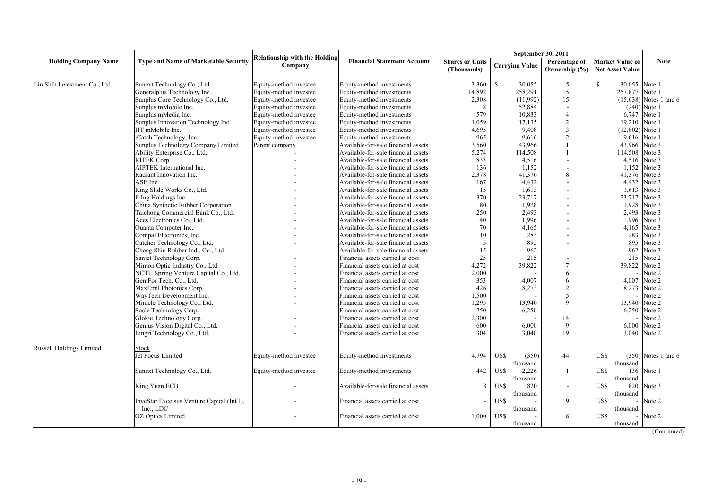|                               |                                             |                                                 |                                     | September 30, 2011     |                       |                   |                               |                          |
|-------------------------------|---------------------------------------------|-------------------------------------------------|-------------------------------------|------------------------|-----------------------|-------------------|-------------------------------|--------------------------|
| <b>Holding Company Name</b>   | <b>Type and Name of Marketable Security</b> | <b>Relationship with the Holding</b><br>Company | <b>Financial Statement Account</b>  | <b>Shares or Units</b> | <b>Carrying Value</b> | Percentage of     | <b>Market Value or</b>        | <b>Note</b>              |
|                               |                                             |                                                 |                                     | (Thousands)            |                       | Ownership $(\% )$ | <b>Net Asset Value</b>        |                          |
|                               |                                             |                                                 |                                     |                        |                       |                   |                               |                          |
| Lin Shih Investment Co., Ltd. | Sunext Technology Co., Ltd.                 | Equity-method investee                          | Equity-method investments           | 3,360                  | $\mathbf S$<br>30,055 | 5                 | $\mathbb{S}$<br>30,055 Note 1 |                          |
|                               | Generalplus Technology Inc.                 | Equity-method investee                          | Equity-method investments           | 14,892                 | 258,291               | 15                | 257,877 Note 1                |                          |
|                               | Sunplus Core Technology Co., Ltd.           | Equity-method investee                          | Equity-method investments           | 2,308                  | (11,992)              | 15                |                               | $(15,638)$ Notes 1 and 6 |
|                               | Sunplus mMobile Inc.                        | Equity-method investee                          | Equity-method investments           | 8                      | 52,884                |                   |                               | $(240)$ Note 1           |
|                               | Sunplus mMedia Inc.                         | Equity-method investee                          | Equity-method investments           | 579                    | 10,833                | $\overline{4}$    | 6,747                         | Note 1                   |
|                               | Sunplus Innovation Technology Inc.          | Equity-method investee                          | Equity-method investments           | 1,059                  | 17,135                | $\overline{2}$    | 19,210 Note 1                 |                          |
|                               | HT mMobile Inc.                             | Equity-method investee                          | Equity-method investments           | 4,695                  | 9,408                 | 3                 | $(12,802)$ Note 1             |                          |
|                               | iCatch Technology, Inc.                     | Equity-method investee                          | Equity-method investments           | 965                    | 9,616                 | $\overline{2}$    | 9,616                         | Note 1                   |
|                               | Sunplus Technology Company Limited          | Parent company                                  | Available-for-sale financial assets | 3,560                  | 43,966                |                   | 43,966                        | Note 3                   |
|                               | Ability Enterprise Co., Ltd.                |                                                 | Available-for-sale financial assets | 5,274                  | 114,508               |                   | 114,508                       | Note 3                   |
|                               | RITEK Corp.                                 |                                                 | Available-for-sale financial assets | 833                    | 4,516                 |                   | 4,516                         | Note 3                   |
|                               | <b>AIPTEK</b> International Inc.            |                                                 | Available-for-sale financial assets | 136                    | 1.152                 |                   | 1,152                         | Note 3                   |
|                               | Radiant Innovation Inc.                     |                                                 | Available-for-sale financial assets | 2,378                  | 41,376                | 8                 | 41,376                        | Note 3                   |
|                               | ASE Inc.                                    |                                                 | Available-for-sale financial assets | 167                    | 4,432                 |                   | 4,432                         | Note 3                   |
|                               | King Slide Works Co., Ltd.                  |                                                 | Available-for-sale financial assets | 15                     | 1,613                 |                   | 1,613                         | Note 3                   |
|                               | E Ing Holdings Inc.                         |                                                 | Available-for-sale financial assets | 370                    | 23,717                |                   | 23,717                        | Note 3                   |
|                               | China Synthetic Rubber Corporation          |                                                 | Available-for-sale financial assets | 80                     | 1,928                 |                   | 1,928                         | Note 3                   |
|                               | Taichong Commercial Bank Co., Ltd.          |                                                 | Available-for-sale financial assets | 250                    | 2,493                 |                   | 2,493                         | Note 3                   |
|                               | Aces Electronics Co., Ltd.                  |                                                 | Available-for-sale financial assets | 40                     | 1,996                 |                   | 1,996                         | Note 3                   |
|                               | Quanta Computer Inc.                        |                                                 | Available-for-sale financial assets | 70                     | 4,165                 |                   | 4,165                         | Note 3                   |
|                               | Compal Electronics, Inc.                    |                                                 | Available-for-sale financial assets | 10                     | 283                   |                   | 283                           | Note 3                   |
|                               | Catcher Technology Co., Ltd.                |                                                 | Available-for-sale financial assets | 5                      | 895                   |                   | 895                           | Note 3                   |
|                               | Cheng Shin Rubber Ind., Co., Ltd.           |                                                 | Available-for-sale financial assets | 15                     | 962                   |                   | 962                           | Note 3                   |
|                               | Sanjet Technology Corp.                     |                                                 | Financial assets carried at cost    | 25                     | 215                   |                   | 215                           | Note 2                   |
|                               | Minton Optic Industry Co., Ltd.             |                                                 | Financial assets carried at cost    | 4,272                  | 39,822                |                   | 39,822                        | Note 2                   |
|                               | NCTU Spring Venture Capital Co., Ltd.       |                                                 | Financial assets carried at cost    | 2,000                  |                       | 6                 |                               | Note 2                   |
|                               | GemFor Tech. Co., Ltd.                      |                                                 | Financial assets carried at cost    | 353                    | 4,007                 | 6                 | 4,007                         | Note 2                   |
|                               | MaxEmil Photonics Corp.                     |                                                 | Financial assets carried at cost    | 426                    | 8,273                 | $\overline{2}$    | 8,273                         | Note 2                   |
|                               | WayTech Development Inc.                    |                                                 | Financial assets carried at cost    | 1,500                  |                       |                   |                               | Note 2                   |
|                               | Miracle Technology Co., Ltd.                |                                                 | Financial assets carried at cost    | 1,295                  | 13,940                | $\mathbf Q$       | 13,940                        | Note 2                   |
|                               | Socle Technology Corp.                      |                                                 | Financial assets carried at cost    | 250                    | 6,250                 |                   | 6,250                         | Note 2                   |
|                               | Glokie Technology Corp.                     |                                                 | Financial assets carried at cost    | 2,300                  |                       | 14                |                               | Note 2                   |
|                               | Genius Vision Digital Co., Ltd.             |                                                 | Financial assets carried at cost    | 600                    | 6,000                 | $\mathbf{Q}$      | 6,000                         | Note 2                   |
|                               | Lingri Technology Co., Ltd.                 |                                                 | Financial assets carried at cost    | 304                    | 3,040                 | 19                | 3,040                         | Note 2                   |
|                               |                                             |                                                 |                                     |                        |                       |                   |                               |                          |
| Russell Holdings Limited      | Stock                                       |                                                 |                                     |                        |                       |                   |                               |                          |
|                               | Jet Focus Limited                           | Equity-method investee                          | Equity-method investments           | 4,794                  | US\$<br>(350)         | 44                | US\$                          | $(350)$ Notes 1 and 6    |
|                               |                                             |                                                 |                                     |                        | thousand              |                   | thousand                      |                          |
|                               | Sunext Technology Co., Ltd.                 | Equity-method investee                          | Equity-method investments           | 442                    | US\$<br>2,226         | -1                | US\$<br>136                   | Note 1                   |
|                               |                                             |                                                 |                                     |                        | thousand              |                   | thousand                      |                          |
|                               | King Yuan ECB                               |                                                 | Available-for-sale financial assets | 8                      | US\$<br>820           | $\sim$            | US\$<br>820                   | Note 3                   |
|                               |                                             |                                                 |                                     |                        | thousand              |                   | thousand                      |                          |
|                               | InveStar Excelsus Venture Capital (Int'l),  |                                                 | Financial assets carried at cost    |                        | US\$                  | 19                | US\$                          | Note 2                   |
|                               | Inc., LDC                                   |                                                 |                                     |                        | thousand              |                   | thousand                      |                          |
|                               | OZ Optics Limited.                          |                                                 | Financial assets carried at cost    | 1.000                  | US\$                  | 8                 | US\$                          | Note 2                   |
|                               |                                             |                                                 |                                     |                        | thousand              |                   | thousand                      |                          |
|                               |                                             |                                                 |                                     |                        |                       |                   |                               |                          |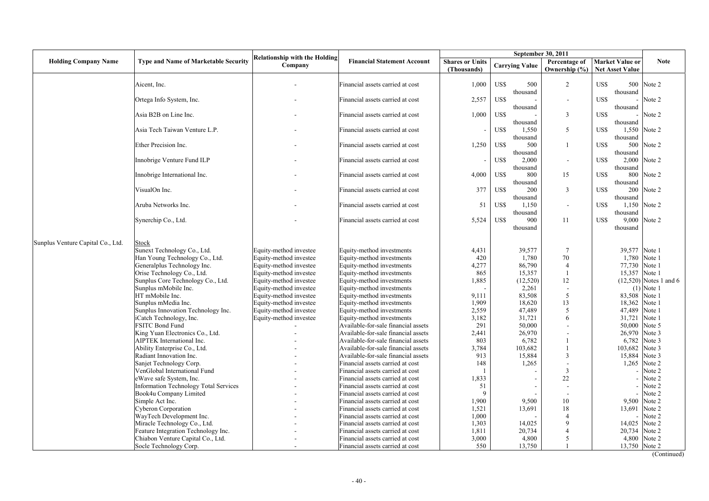|                                   |                                                                     |                                                 |                                                                      |                                       | September 30, 2011        |                                    |                                                  |                          |
|-----------------------------------|---------------------------------------------------------------------|-------------------------------------------------|----------------------------------------------------------------------|---------------------------------------|---------------------------|------------------------------------|--------------------------------------------------|--------------------------|
| <b>Holding Company Name</b>       | <b>Type and Name of Marketable Security</b>                         | <b>Relationship with the Holding</b><br>Company | <b>Financial Statement Account</b>                                   | <b>Shares or Units</b><br>(Thousands) | <b>Carrying Value</b>     | Percentage of<br>Ownership $(\% )$ | <b>Market Value or</b><br><b>Net Asset Value</b> | <b>Note</b>              |
|                                   | Aicent, Inc.                                                        |                                                 | Financial assets carried at cost                                     | 1,000                                 | US\$<br>500<br>thousand   | $\overline{2}$                     | US\$<br>500<br>thousand                          | Note 2                   |
|                                   | Ortega Info System, Inc.                                            |                                                 | Financial assets carried at cost                                     | 2,557                                 | US\$<br>thousand          | $\blacksquare$                     | US\$<br>thousand                                 | Note 2                   |
|                                   | Asia B2B on Line Inc.                                               |                                                 | Financial assets carried at cost                                     | 1,000                                 | US\$<br>thousand          | 3                                  | US\$<br>thousand                                 | Note 2                   |
|                                   | Asia Tech Taiwan Venture L.P.                                       |                                                 | Financial assets carried at cost                                     |                                       | US\$<br>1,550<br>thousand | 5                                  | US\$<br>thousand                                 | 1,550 Note 2             |
|                                   | Ether Precision Inc.                                                |                                                 | Financial assets carried at cost                                     | 1,250                                 | US\$<br>500<br>thousand   | $\mathbf{1}$                       | US\$<br>500<br>thousand                          | Note 2                   |
|                                   | Innobrige Venture Fund ILP                                          |                                                 | Financial assets carried at cost                                     |                                       | US\$<br>2,000<br>thousand | $\overline{\phantom{a}}$           | US\$<br>2,000<br>thousand                        | Note 2                   |
|                                   | Innobrige International Inc.                                        |                                                 | Financial assets carried at cost                                     | 4,000                                 | US\$<br>800<br>thousand   | 15                                 | 800<br>US\$<br>thousand                          | Note 2                   |
|                                   | VisualOn Inc.                                                       |                                                 | Financial assets carried at cost                                     | 377                                   | US\$<br>200<br>thousand   | 3                                  | US\$<br>200<br>thousand                          | Note 2                   |
|                                   | Aruba Networks Inc.                                                 |                                                 | Financial assets carried at cost                                     | 51                                    | US\$<br>1,150<br>thousand | $\blacksquare$                     | US\$<br>thousand                                 | 1,150 Note 2             |
|                                   | Synerchip Co., Ltd.                                                 |                                                 | Financial assets carried at cost                                     | 5,524                                 | US\$<br>900<br>thousand   | 11                                 | 9,000<br>US\$<br>thousand                        | Note 2                   |
| Sunplus Venture Capital Co., Ltd. | Stock                                                               |                                                 |                                                                      |                                       |                           |                                    |                                                  |                          |
|                                   | Sunext Technology Co., Ltd.                                         | Equity-method investee                          | Equity-method investments                                            | 4,431                                 | 39.577                    | $7\phantom{.0}$                    |                                                  | 39.577 Note 1            |
|                                   | Han Young Technology Co., Ltd.                                      | Equity-method investee                          | Equity-method investments                                            | 420                                   | 1,780                     | 70                                 | 1,780                                            | Note 1                   |
|                                   | Generalplus Technology Inc.                                         | Equity-method investee                          | Equity-method investments                                            | 4,277                                 | 86,790                    | $\overline{4}$                     |                                                  | 77,730 Note 1            |
|                                   | Orise Technology Co., Ltd.                                          | Equity-method investee                          | Equity-method investments                                            | 865                                   | 15,357                    |                                    | 15,357                                           | Note 1                   |
|                                   | Sunplus Core Technology Co., Ltd.                                   | Equity-method investee                          | Equity-method investments                                            | 1,885                                 | (12, 520)                 | 12                                 |                                                  | $(12,520)$ Notes 1 and 6 |
|                                   | Sunplus mMobile Inc.                                                | Equity-method investee                          | Equity-method investments                                            |                                       | 2,261                     | ÷,                                 |                                                  | $(1)$ Note 1             |
|                                   | HT mMobile Inc.                                                     | Equity-method investee                          | Equity-method investments                                            | 9,111                                 | 83,508                    | 5                                  |                                                  | 83,508 Note 1            |
|                                   | Sunplus mMedia Inc.                                                 | Equity-method investee                          | Equity-method investments                                            | 1,909                                 | 18,620                    | 13                                 | 18,362                                           | Note 1                   |
|                                   | Sunplus Innovation Technology Inc.                                  | Equity-method investee                          | Equity-method investments                                            | 2,559                                 | 47,489                    | 5                                  | 47,489                                           | Note 1                   |
|                                   | iCatch Technology, Inc.                                             | Equity-method investee                          | Equity-method investments                                            | 3,182                                 | 31,721                    | 6                                  | 31,721                                           | Note 1                   |
|                                   | FSITC Bond Fund                                                     |                                                 | Available-for-sale financial assets                                  | 291                                   | 50,000                    |                                    | 50,000                                           | Note 5                   |
|                                   | King Yuan Electronics Co., Ltd.                                     |                                                 | Available-for-sale financial assets                                  | 2,441                                 | 26,970                    |                                    | 26,970                                           | Note 3                   |
|                                   | AIPTEK International Inc.                                           |                                                 | Available-for-sale financial assets                                  | 803                                   | 6,782                     |                                    | 6,782                                            | Note 3                   |
|                                   | Ability Enterprise Co., Ltd.                                        |                                                 | Available-for-sale financial assets                                  | 3,784                                 | 103,682                   |                                    | 103,682                                          | Note 3                   |
|                                   | Radiant Innovation Inc.                                             |                                                 | Available-for-sale financial assets                                  | 913                                   | 15,884                    | 3                                  | 15,884                                           | Note 3                   |
|                                   | Sanjet Technology Corp.                                             |                                                 | Financial assets carried at cost                                     | 148                                   | 1,265                     | L.                                 | 1,265                                            | Note 2                   |
|                                   | VenGlobal International Fund                                        |                                                 | Financial assets carried at cost                                     |                                       |                           | 3                                  |                                                  | Note 2                   |
|                                   | eWave safe System, Inc.                                             |                                                 | Financial assets carried at cost                                     | 1,833                                 |                           | 22                                 |                                                  | Note 2                   |
|                                   | Information Technology Total Services                               |                                                 | Financial assets carried at cost                                     | 51                                    |                           | $\overline{a}$                     |                                                  | Note 2                   |
|                                   | Book4u Company Limited                                              |                                                 | Financial assets carried at cost                                     | 9                                     |                           | 10                                 |                                                  | Note 2<br>Note 2         |
|                                   | Simple Act Inc.                                                     |                                                 | Financial assets carried at cost                                     | 1,900                                 | 9,500<br>13,691           | 18                                 | 9,500                                            | Note 2                   |
|                                   | Cyberon Corporation                                                 |                                                 | Financial assets carried at cost<br>Financial assets carried at cost | 1,521<br>1.000                        |                           | $\overline{4}$                     | 13,691                                           | Note 2                   |
|                                   | WayTech Development Inc.                                            |                                                 |                                                                      | 1,303                                 | 14,025                    | $\mathbf Q$                        |                                                  | Note 2                   |
|                                   | Miracle Technology Co., Ltd.<br>Feature Integration Technology Inc. |                                                 | Financial assets carried at cost<br>Financial assets carried at cost | 1,811                                 | 20,734                    | 4                                  | 14,025<br>20,734                                 | Note 2                   |
|                                   | Chiabon Venture Capital Co., Ltd.                                   |                                                 | Financial assets carried at cost                                     | 3,000                                 | 4,800                     | 5                                  |                                                  | 4,800 Note 2             |
|                                   | Socle Technology Corp.                                              |                                                 | Financial assets carried at cost                                     | 550                                   | 13,750                    |                                    |                                                  | 13,750 Note 2            |
|                                   |                                                                     |                                                 |                                                                      |                                       |                           |                                    |                                                  |                          |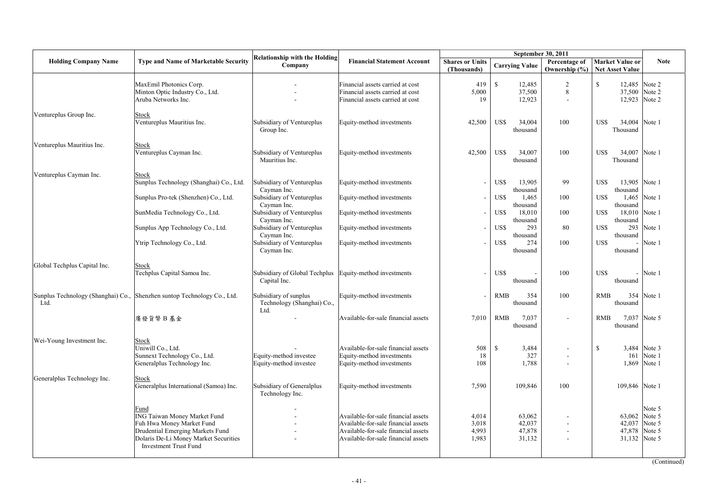|                              |                                                                                                                                                                                       |                                                                       |                                                                                                                                                          |                                       |                                             | September 30, 2011                                           |                                                         |                                  |
|------------------------------|---------------------------------------------------------------------------------------------------------------------------------------------------------------------------------------|-----------------------------------------------------------------------|----------------------------------------------------------------------------------------------------------------------------------------------------------|---------------------------------------|---------------------------------------------|--------------------------------------------------------------|---------------------------------------------------------|----------------------------------|
| <b>Holding Company Name</b>  | <b>Type and Name of Marketable Security</b>                                                                                                                                           | <b>Relationship with the Holding</b><br>Company                       | <b>Financial Statement Account</b>                                                                                                                       | <b>Shares or Units</b><br>(Thousands) | <b>Carrying Value</b>                       | Percentage of                                                | <b>Market Value or</b><br>Ownership (%) Net Asset Value | <b>Note</b>                      |
|                              | MaxEmil Photonics Corp.<br>Minton Optic Industry Co., Ltd.<br>Aruba Networks Inc.                                                                                                     |                                                                       | Financial assets carried at cost<br>Financial assets carried at cost<br>Financial assets carried at cost                                                 | 419<br>5,000<br>19                    | $\mathbf S$<br>12,485<br>37,500<br>12,923   | 2<br>8<br>$\overline{\phantom{a}}$                           | $\mathbb{S}$<br>37,500 Note 2                           | 12,485 Note 2<br>12,923 Note 2   |
| Ventureplus Group Inc.       | Stock<br>Ventureplus Mauritius Inc.                                                                                                                                                   | Subsidiary of Ventureplus<br>Group Inc.                               | Equity-method investments                                                                                                                                | 42,500                                | US\$<br>34,004<br>thousand                  | 100                                                          | US\$<br>34,004 Note 1<br>Thousand                       |                                  |
| Ventureplus Mauritius Inc.   | Stock<br>Ventureplus Cayman Inc.                                                                                                                                                      | Subsidiary of Ventureplus<br>Mauritius Inc.                           | Equity-method investments                                                                                                                                | 42,500                                | US\$<br>34,007<br>thousand                  | 100                                                          | 34,007 Note 1<br>US\$<br>Thousand                       |                                  |
| Ventureplus Cayman Inc.      | Stock<br>Sunplus Technology (Shanghai) Co., Ltd.<br>Sunplus Pro-tek (Shenzhen) Co., Ltd.                                                                                              | Subsidiary of Ventureplus<br>Cayman Inc.<br>Subsidiary of Ventureplus | Equity-method investments<br>Equity-method investments                                                                                                   |                                       | US\$<br>13,905<br>thousand<br>US\$<br>1,465 | 99<br>100                                                    | US\$<br>13,905 Note 1<br>thousand<br>US\$               | 1,465 Note 1                     |
|                              | SunMedia Technology Co., Ltd.                                                                                                                                                         | Cayman Inc.<br>Subsidiary of Ventureplus<br>Cayman Inc.               | Equity-method investments                                                                                                                                |                                       | thousand<br>US\$<br>18,010<br>thousand      | 100                                                          | thousand<br>18,010 Note 1<br>US\$                       |                                  |
|                              | Sunplus App Technology Co., Ltd.                                                                                                                                                      | Subsidiary of Ventureplus<br>Cayman Inc.                              | Equity-method investments                                                                                                                                |                                       | US\$<br>293<br>thousand                     | 80                                                           | thousand<br>US\$<br>293<br>thousand                     | Note 1                           |
|                              | Ytrip Technology Co., Ltd.                                                                                                                                                            | Subsidiary of Ventureplus<br>Cayman Inc.                              | Equity-method investments                                                                                                                                |                                       | US\$<br>274<br>thousand                     | 100                                                          | US\$<br>thousand                                        | Note 1                           |
| Global Techplus Capital Inc. | Stock<br>Techplus Capital Samoa Inc.                                                                                                                                                  | Subsidiary of Global Techplus<br>Capital Inc.                         | Equity-method investments                                                                                                                                |                                       | US\$<br>thousand                            | 100                                                          | US\$<br>thousand                                        | $-$ Note 1                       |
| Ltd.                         | Sunplus Technology (Shanghai) Co., Shenzhen suntop Technology Co., Ltd.                                                                                                               | Subsidiary of sunplus<br>Technology (Shanghai) Co.,<br>Ltd.           | Equity-method investments                                                                                                                                |                                       | <b>RMB</b><br>354<br>thousand               | 100                                                          | <b>RMB</b><br>thousand                                  | 354 Note 1                       |
|                              | 廣發貨幣B基金                                                                                                                                                                               |                                                                       | Available-for-sale financial assets                                                                                                                      | 7,010                                 | <b>RMB</b><br>7,037<br>thousand             | $\sim$                                                       | <b>RMB</b><br>thousand                                  | 7,037 Note 5                     |
| Wei-Young Investment Inc.    | Stock<br>Uniwill Co., Ltd.<br>Sunnext Technology Co., Ltd.<br>Generalplus Technology Inc.                                                                                             | Equity-method investee<br>Equity-method investee                      | Available-for-sale financial assets<br>Equity-method investments<br>Equity-method investments                                                            | 508<br>18<br>108                      | <sup>\$</sup><br>3,484<br>327<br>1,788      | $\blacksquare$                                               | <sup>S</sup><br>161<br>1,869                            | 3,484 Note 3<br>Note 1<br>Note 1 |
| Generalplus Technology Inc.  | Stock<br>Generalplus International (Samoa) Inc.                                                                                                                                       | Subsidiary of Generalplus<br>Technology Inc.                          | Equity-method investments                                                                                                                                | 7,590                                 | 109,846                                     | 100                                                          | 109,846 Note 1                                          |                                  |
|                              | Fund<br><b>ING Taiwan Money Market Fund</b><br>Fuh Hwa Money Market Fund<br>Drudential Emerging Markets Fund<br>Dolaris De-Li Money Market Securities<br><b>Investment Trust Fund</b> |                                                                       | Available-for-sale financial assets<br>Available-for-sale financial assets<br>Available-for-sale financial assets<br>Available-for-sale financial assets | 4,014<br>3,018<br>4,993<br>1,983      | 63,062<br>42,037<br>47,878<br>31,132        | $\blacksquare$<br>$\overline{\phantom{a}}$<br>$\blacksquare$ | 63,062 Note 5<br>42,037<br>47,878<br>31,132 Note 5      | Note 5<br>Note 5<br>Note 5       |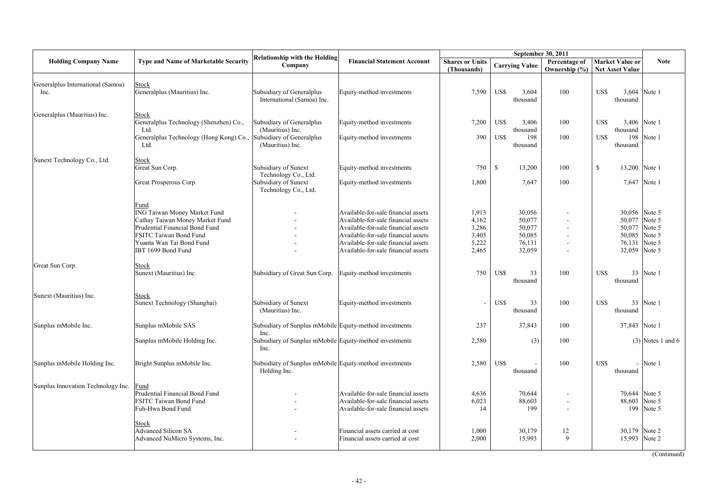|                                           |                                                                                                                                                                                       |                                                                         |                                                                                                                                                                                                                                        |                                                    | September 30, 2011                                       |               |                                                                 |                                                |
|-------------------------------------------|---------------------------------------------------------------------------------------------------------------------------------------------------------------------------------------|-------------------------------------------------------------------------|----------------------------------------------------------------------------------------------------------------------------------------------------------------------------------------------------------------------------------------|----------------------------------------------------|----------------------------------------------------------|---------------|-----------------------------------------------------------------|------------------------------------------------|
| <b>Holding Company Name</b>               | <b>Type and Name of Marketable Security</b>                                                                                                                                           | <b>Relationship with the Holding</b><br>Company                         | <b>Financial Statement Account</b>                                                                                                                                                                                                     | <b>Shares or Units</b><br>(Thousands)              | <b>Carrying Value</b>                                    | Percentage of | <b>Market Value or</b><br>Ownership (%)   Net Asset Value       | <b>Note</b>                                    |
| Generalplus International (Samoa)<br>Inc. | Stock<br>Generalplus (Mauritius) Inc.                                                                                                                                                 | Subsidiary of Generalplus<br>International (Samoa) Inc.                 | Equity-method investments                                                                                                                                                                                                              | 7,590                                              | US\$<br>3,604<br>thousand                                | 100           | US\$<br>thousand                                                | 3,604 Note 1                                   |
| Generalplus (Mauritius) Inc.              | <b>Stock</b><br>Generalplus Technology (Shenzhen) Co.,<br>Ltd.                                                                                                                        | Subsidiary of Generalplus<br>(Mauritius) Inc.                           | Equity-method investments                                                                                                                                                                                                              | 7,200                                              | US\$<br>3,406<br>thousand                                | 100           | US\$<br>3,406<br>thousand                                       | Note 1                                         |
|                                           | Generalplus Technology (Hong Kong) Co.,<br>Ltd.                                                                                                                                       | Subsidiary of Generalplus<br>(Mauritius) Inc.                           | Equity-method investments                                                                                                                                                                                                              | 390                                                | US\$<br>198<br>thousand                                  | 100           | US\$<br>198<br>thousand                                         | Note 1                                         |
| Sunext Technology Co., Ltd.               | <b>Stock</b><br>Great Sun Corp.                                                                                                                                                       | Subsidiary of Sunext<br>Technology Co., Ltd.                            | Equity-method investments                                                                                                                                                                                                              | 750                                                | <sup>\$</sup><br>13,200                                  | 100           | 13,200<br>\$                                                    | Note 1                                         |
|                                           | Great Prosperous Corp.                                                                                                                                                                | Subsidiary of Sunext<br>Technology Co., Ltd.                            | Equity-method investments                                                                                                                                                                                                              | 1,800                                              | 7,647                                                    | 100           | 7,647                                                           | Note 1                                         |
|                                           | Fund<br>ING Taiwan Money Market Fund<br>Cathay Taiwan Money Market Fund<br>Prudential Financial Bond Fund<br>FSITC Taiwan Bond Fund<br>Yuanta Wan Tai Bond Fund<br>IBT 1699 Bond Fund |                                                                         | Available-for-sale financial assets<br>Available-for-sale financial assets<br>Available-for-sale financial assets<br>Available-for-sale financial assets<br>Available-for-sale financial assets<br>Available-for-sale financial assets | 1,913<br>4,162<br>3,286<br>3,405<br>5,222<br>2,465 | 30,056<br>50,077<br>50,077<br>50,085<br>76,131<br>32,059 |               | 30,056 Note 5<br>50,077<br>50,077<br>50,085<br>76,131<br>32,059 | Note 5<br>Note 5<br>Note 5<br>Note 5<br>Note 5 |
| Great Sun Corp.                           | <b>Stock</b><br>Sunext (Mauritius) Inc.                                                                                                                                               | Subsidiary of Great Sun Corp.                                           | Equity-method investments                                                                                                                                                                                                              | 750                                                | US\$<br>33<br>thousand                                   | 100           | US\$<br>33<br>thousand                                          | Note 1                                         |
| Sunext (Mauritius) Inc.                   | Stock<br>Sunext Technology (Shanghai)                                                                                                                                                 | Subsidiary of Sunext<br>(Mauritius) Inc.                                | Equity-method investments                                                                                                                                                                                                              |                                                    | US\$<br>33<br>thousand                                   | 100           | US\$<br>33<br>thousand                                          | Note 1                                         |
| Sunplus mMobile Inc.                      | Sunplus mMobile SAS                                                                                                                                                                   | Subsidiary of Sunplus mMobile Equity-method investments                 |                                                                                                                                                                                                                                        | 237                                                | 37,843                                                   | 100           | 37,843                                                          | Note 1                                         |
|                                           | Sunplus mMobile Holding Inc.                                                                                                                                                          | Inc.<br>Subsidiary of Sunplus mMobile Equity-method investments<br>Inc. |                                                                                                                                                                                                                                        | 2,580                                              | (3)                                                      | 100           |                                                                 | $(3)$ Notes 1 and 6                            |
| Sunplus mMobile Holding Inc.              | Bright Sunplus mMobile Inc.                                                                                                                                                           | Subsidiary of Sunplus mMobile Equity-method investments<br>Holding Inc. |                                                                                                                                                                                                                                        | 2,580                                              | US\$<br>thousand                                         | 100           | US\$<br>$\overline{\phantom{0}}$<br>thousand                    | Note 1                                         |
| Sunplus Innovation Technology Inc.        | Fund<br>Prudential Financial Bond Fund<br>FSITC Taiwan Bond Fund<br>Fuh-Hwa Bond Fund                                                                                                 |                                                                         | Available-for-sale financial assets<br>Available-for-sale financial assets<br>Available-for-sale financial assets                                                                                                                      | 4,636<br>6,023<br>14                               | 70,644<br>88,603<br>199                                  |               | 70,644<br>88,603<br>199                                         | Note 5<br>Note 5<br>Note 5                     |
|                                           | Stock<br><b>Advanced Silicon SA</b><br>Advanced NuMicro Systems, Inc.                                                                                                                 |                                                                         | Financial assets carried at cost<br>Financial assets carried at cost                                                                                                                                                                   | 1,000<br>2,000                                     | 30,179<br>15,993                                         | 12<br>9       | 30,179<br>15,993                                                | Note 2<br>Note 2                               |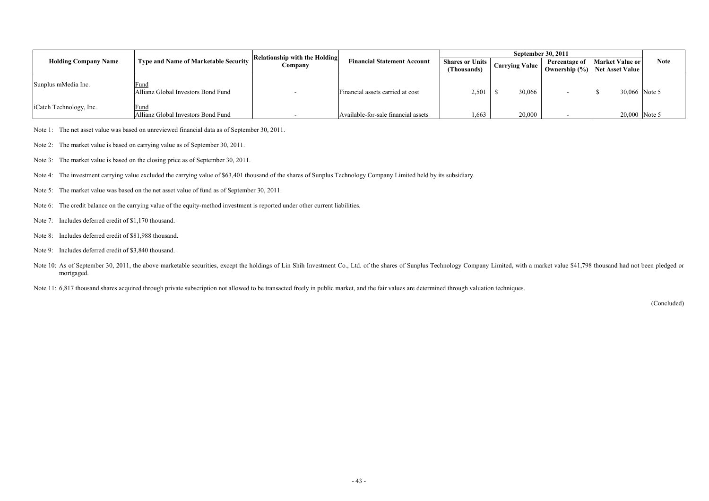|                             |                                             | Relationship with the Holding |                                     |                                       | <b>September 30, 2011</b> |               |                                                    |             |
|-----------------------------|---------------------------------------------|-------------------------------|-------------------------------------|---------------------------------------|---------------------------|---------------|----------------------------------------------------|-------------|
| <b>Holding Company Name</b> | <b>Type and Name of Marketable Security</b> | Company                       | <b>Financial Statement Account</b>  | <b>Shares or Units</b><br>(Thousands) | <b>Carrying Value</b>     | Percentage of | Market Value or<br>Ownership (%)   Net Asset Value | <b>Note</b> |
| Sunplus mMedia Inc.         | Fund<br>Allianz Global Investors Bond Fund  |                               | Financial assets carried at cost    | 2.501                                 | 30,066                    |               | 30,066 Note 5                                      |             |
| iCatch Technology, Inc.     | Fund<br>Allianz Global Investors Bond Fund  |                               | Available-for-sale financial assets | .663                                  | 20,000                    |               | 20,000 Note 5                                      |             |

Note 1: The net asset value was based on unreviewed financial data as of September 30, 2011.

Note 2: The market value is based on carrying value as of September 30, 2011.

Note 3: The market value is based on the closing price as of September 30, 2011.

Note 4: The investment carrying value excluded the carrying value of \$63,401 thousand of the shares of Sunplus Technology Company Limited held by its subsidiary.

- Note 5: The market value was based on the net asset value of fund as of September 30, 2011.
- Note 6: The credit balance on the carrying value of the equity-method investment is reported under other current liabilities.
- Note 7: Includes deferred credit of \$1,170 thousand.
- Note 8: Includes deferred credit of \$81,988 thousand.
- Note 9: Includes deferred credit of \$3,840 thousand.
- Note 10: As of September 30, 2011, the above marketable securities, except the holdings of Lin Shih Investment Co., Ltd. of the shares of Sunplus Technology Company Limited, with a market value \$41,798 thousand had not bee mortgaged.

Note 11: 6,817 thousand shares acquired through private subscription not allowed to be transacted freely in public market, and the fair values are determined through valuation techniques.

(Concluded)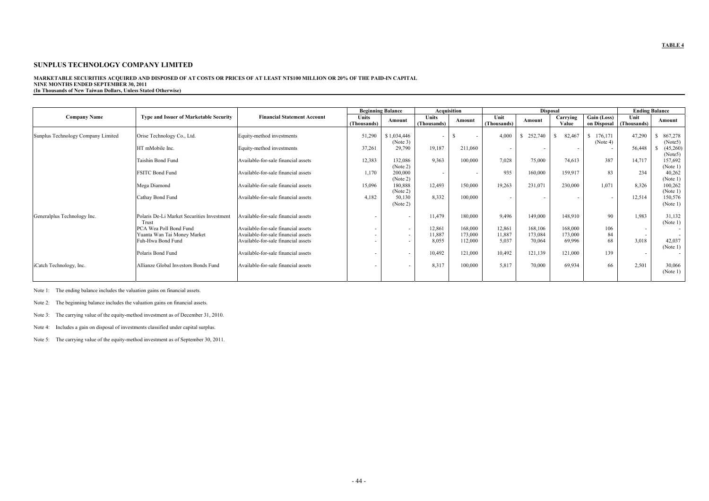#### **MARKETABLE SECURITIES ACQUIRED AND DISPOSED OF AT COSTS OR PRICES OF AT LEAST NT\$100 MILLION OR 20% OF THE PAID-IN CAPITAL NINE MONTHS ENDED SEPTEMBER 30, 2011 (In Thousands of New Taiwan Dollars, Unless Stated Otherwise)**

|                                    |                                                     |                                     |                      | <b>Beginning Balance</b> |                             | Acquisition |                     |         | <b>Disposal</b>   |                            |                     | <b>Ending Balance</b> |
|------------------------------------|-----------------------------------------------------|-------------------------------------|----------------------|--------------------------|-----------------------------|-------------|---------------------|---------|-------------------|----------------------------|---------------------|-----------------------|
| <b>Company Name</b>                | <b>Type and Issuer of Marketable Security</b>       | <b>Financial Statement Account</b>  | Units<br>(Thousands) | Amount                   | <b>Units</b><br>(Thousands) | Amount      | Unit<br>(Thousands) | Amount  | Carrying<br>Value | Gain (Loss)<br>on Disposal | Unit<br>(Thousands) | Amount                |
| Sunplus Technology Company Limited | Orise Technology Co., Ltd.                          | Equity-method investments           | 51,290               | \$1,034,446<br>(Note 3)  |                             | . .         | 4,000               | 252,740 | 82,467            | 176,171<br>(Note 4)        | 47,290              | 867,278<br>(Note5)    |
|                                    | HT mMobile Inc.                                     | Equity-method investments           | 37,261               | 29,790                   | 19,187                      | 211,060     | $\sim$              |         |                   |                            | 56,448              | (45,260)<br>(Note5)   |
|                                    | Taishin Bond Fund                                   | Available-for-sale financial assets | 12,383               | 132,086<br>(Note 2)      | 9,363                       | 100,000     | 7,028               | 75,000  | 74,613            | 387                        | 14,717              | 157,692<br>(Note 1)   |
|                                    | <b>FSITC Bond Fund</b>                              | Available-for-sale financial assets | 1,170                | 200,000<br>(Note 2)      |                             |             | 935                 | 160,000 | 159,917           | 83                         | 234                 | 40,262<br>(Note 1)    |
|                                    | Mega Diamond                                        | Available-for-sale financial assets | 15,096               | 180,888<br>(Note 2)      | 12,493                      | 150,000     | 19,263              | 231,071 | 230,000           | 1,071                      | 8,326               | 100,262<br>(Note 1)   |
|                                    | Cathay Bond Fund                                    | Available-for-sale financial assets | 4.182                | 50,130<br>(Note 2)       | 8,332                       | 100,000     | $\sim$              |         |                   | $\overline{\phantom{a}}$   | 12,514              | 150,576<br>(Note 1)   |
| Generalplus Technology Inc.        | Polaris De-Li Market Securities Investment<br>Trust | Available-for-sale financial assets | . .                  |                          | 11,479                      | 180,000     | 9,496               | 149,000 | 148,910           | 90                         | 1,983               | 31,132<br>(Note 1)    |
|                                    | PCA Wea Poll Bond Fund                              | Available-for-sale financial assets | ۰.                   | $\sim$                   | 12,861                      | 168,000     | 12,861              | 168,106 | 168,000           | 106                        | $\sim$              |                       |
|                                    | Yuanta Wan Tai Money Market                         | Available-for-sale financial assets | ۰.                   |                          | 11,887                      | 173,000     | 11,887              | 173,084 | 173,000           | 84                         | $\sim$              |                       |
|                                    | Fuh-Hwa Bond Fund                                   | Available-for-sale financial assets |                      |                          | 8,055                       | 112,000     | 5,037               | 70,064  | 69,996            | 68                         | 3,018               | 42,037<br>(Note 1)    |
|                                    | Polaris Bond Fund                                   | Available-for-sale financial assets | ٠                    |                          | 10,492                      | 121,000     | 10,492              | 121,139 | 121,000           | 139                        | $\sim$              |                       |
| iCatch Technology, Inc.            | Allianze Global Investors Bonds Fund                | Available-for-sale financial assets | . .                  |                          | 8,317                       | 100,000     | 5,817               | 70,000  | 69,934            | 66                         | 2,501               | 30,066<br>(Note 1)    |

Note 1: The ending balance includes the valuation gains on financial assets.

Note 2: The beginning balance includes the valuation gains on financial assets.

Note 3: The carrying value of the equity-method investment as of December 31, 2010.

Note 4: Includes a gain on disposal of investments classified under capital surplus.

Note 5: The carrying value of the equity-method investment as of September 30, 2011.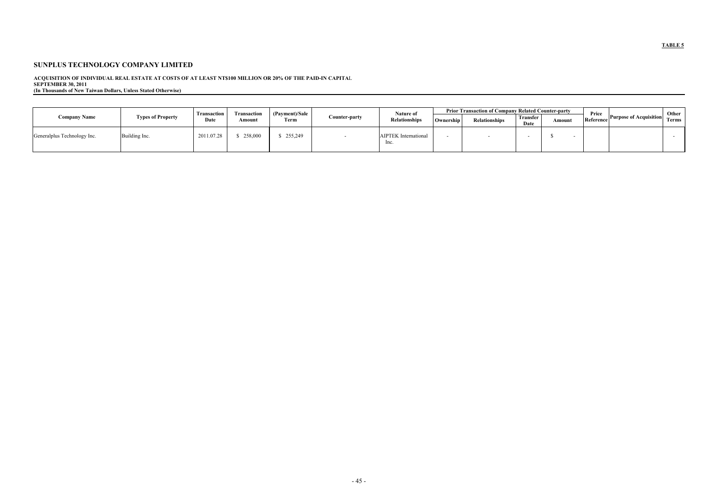ACQUISITION OF INDIVIDUAL REAL ESTATE AT COSTS OF AT LEAST NT\$100 MILLION OR 20% OF THE PAID-IN CAPITAL<br>SEPTEMBER 30, 2011<br>(In Thousands of New Taiwan Dollars, Unless Stated Otherwise)

|                             |                          | <b>Transaction</b> | Prior Transaction of Company Related Counter-party<br>Nature of<br>(Payment)/Sale<br>Transaction |         |               |                                 |           |                      |                         |        | Price     |                               | Other |
|-----------------------------|--------------------------|--------------------|--------------------------------------------------------------------------------------------------|---------|---------------|---------------------------------|-----------|----------------------|-------------------------|--------|-----------|-------------------------------|-------|
| <b>Company Name</b>         | <b>Types of Property</b> | Date               | Amoun                                                                                            | Term    | Counter-party | <b>Relationships</b>            | Ownership | <b>Relationships</b> | <b>Transfer</b><br>Date | Amount | Reference | <b>Purpose of Acquisition</b> | Terms |
| Generalplus Technology Inc. | uilding Inc.             | 2011.07.28         | 258.000                                                                                          | 255,249 |               | <b>AIPTEK</b> International<br> |           |                      |                         |        |           |                               |       |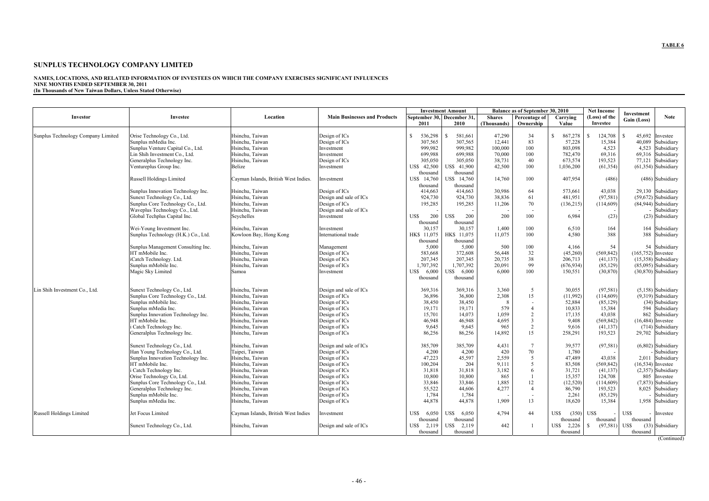#### **NAMES, LOCATIONS, AND RELATED INFORMATION OF INVESTEES ON WHICH THE COMPANY EXERCISES SIGNIFICANT INFLUENCES NINE MONTHS ENDED SEPTEMBER 30, 2011 (In Thousands of New Taiwan Dollars, Unless Stated Otherwise)**

|                                    |                                     |                                      |                                     | <b>Investment Amount</b>   |                         | Balance as of September 30, 2010 |                           | <b>Net Income</b> |                            |                           |
|------------------------------------|-------------------------------------|--------------------------------------|-------------------------------------|----------------------------|-------------------------|----------------------------------|---------------------------|-------------------|----------------------------|---------------------------|
| Investor                           | Investee                            | Location                             | <b>Main Businesses and Products</b> | September 30, December 31, |                         | <b>Shares</b>                    | Percentage of<br>Carrying |                   | (Loss) of the              | Investment<br><b>Note</b> |
|                                    |                                     |                                      |                                     | 2011                       | 2010                    | (Thousands)                      | Ownership                 | Value             | Investee                   | Gain (Loss)               |
|                                    |                                     |                                      |                                     |                            |                         |                                  |                           |                   |                            |                           |
| Sunplus Technology Company Limited | Orise Technology Co., Ltd.          | Hsinchu, Taiwan                      | Design of ICs                       | 536,298<br><sup>\$</sup>   | <sup>S</sup><br>581,661 | 47,290                           | 34                        | 867,278<br>S      | <sup>S</sup><br>124,708    | 45,692<br>S.<br>Investee  |
|                                    | Sunplus mMedia Inc.                 | Hsinchu. Taiwan                      | Design of ICs                       | 307.565                    | 307.565                 | 12,441                           | 83                        | 57,228            | 15,384                     | 40.089<br>Subsidiary      |
|                                    | Sunplus Venture Capital Co., Ltd.   | Hsinchu, Taiwan                      | Investment                          | 999,982                    | 999,982                 | 100,000                          | 100                       | 803,098           | 4,523                      | Subsidiary<br>4,523       |
|                                    | Lin Shih Investment Co., Ltd.       | Hsinchu, Taiwan                      | Investment                          | 699,988                    | 699.988                 | 70,000                           | 100                       | 782,470           | 69,316                     | 69,316 Subsidiary         |
|                                    | Generalplus Technology Inc.         | Hsinchu. Taiwan                      | Design of ICs                       | 305.050                    | 305.050                 | 38,731                           | 40                        | 673.574           | 193,523                    | 77.121 Subsidiary         |
|                                    | Ventureplus Group Inc.              | Belize                               | Investment                          | US\$ 42,500                | US\$ 41,900             | 42,500                           | 100                       | 1,036,200         | (61, 354)                  | $(61, 354)$ Subsidiary    |
|                                    |                                     |                                      |                                     | thousand                   | thousand                |                                  |                           |                   |                            |                           |
|                                    | Russell Holdings Limited            | Cayman Islands, British West Indies. | Investment                          | US\$ 14,760                | US\$ 14,760             | 14,760                           | 100                       | 407,954           | (486)                      | (486) Subsidiary          |
|                                    |                                     |                                      |                                     | thousand                   | thousand                |                                  |                           |                   |                            |                           |
|                                    | Sunplus Innovation Technology Inc.  | Hsinchu, Taiwan                      | Design of ICs                       | 414.663                    | 414.663                 | 30.986                           | 64                        | 573.661           | 43,038                     | 29.130 Subsidiary         |
|                                    | Sunext Technology Co., Ltd.         | Hsinchu, Taiwan                      | Design and sale of ICs              | 924,730                    | 924,730                 | 38,836                           | 61                        | 481,951           | (97, 581)                  | (59,672) Subsidiary       |
|                                    | Sunplus Core Technology Co., Ltd.   | Hsinchu, Taiwan                      | Design of ICs                       | 195,285                    | 195,285                 | 11,206                           | 70                        | (136,215)         | (114, 609)                 | $(84,944)$ Subsidiary     |
|                                    | Waveplus Technology Co., Ltd.       | Hsinchu, Taiwan                      | Design and sale of ICs              |                            |                         |                                  |                           |                   |                            | Subsidiary                |
|                                    | Global Techplus Capital Inc.        | Seychelles                           | Investment                          | 200<br>US\$                | 200<br>US\$             | 200                              | 100                       | 6,984             | (23)                       | (23) Subsidiary           |
|                                    |                                     |                                      |                                     | thousand                   | thousand                |                                  |                           |                   |                            |                           |
|                                    | Wei-Young Investment Inc.           | Hsinchu, Taiwan                      | Investment                          | 30,157                     | 30,157                  | 1,400                            | 100                       | 6,510             | 164                        | 164 Subsidiary            |
|                                    | Sunplus Technology (H.K.) Co., Ltd. | Kowloon Bay, Hong Kong               | International trade                 | HK\$ 11,075                | HK\$ 11.075             | 11,075                           | 100                       | 4,580             | 388                        | 388 Subsidiary            |
|                                    |                                     |                                      |                                     | thousand                   | thousand                |                                  |                           |                   |                            |                           |
|                                    | Sunplus Management Consulting Inc.  | Hsinchu, Taiwan                      | Management                          | 5,000                      | 5,000                   | 500                              | 100                       | 4,166             | 54                         | 54 Subsidiary             |
|                                    | HT mMobile Inc.                     | Hsinchu. Taiwan                      | Design of ICs                       | 583.668                    | 372.608                 | 56,448                           | 32                        | (45,260)          | (569, 842)                 | $(165, 752)$ Investee     |
|                                    | iCatch Technology. Ltd.             | Hsinchu, Taiwan                      | Design of ICs                       | 207,345                    | 207,345                 | 20,735                           | 38                        | 206,713           | (41, 137)                  | $(15,358)$ Subsidiary     |
|                                    | Sunplus mMobile Inc.                | Hsinchu. Taiwan                      | Design of ICs                       | 1,707,392                  | 1.707.392               | 20,091                           | 99                        | (676, 934)        | (85, 129)                  | $(85.095)$ Subsidiary     |
|                                    | Magic Sky Limited                   | Samoa                                | Investment                          | 6,000<br>US\$              | US\$ 6,000              | 6,000                            | 100                       | 150,551           | (30, 870)                  | $(30,870)$ Subsidiary     |
|                                    |                                     |                                      |                                     | thousand                   | thousand                |                                  |                           |                   |                            |                           |
|                                    |                                     |                                      |                                     |                            |                         |                                  |                           |                   |                            |                           |
| Lin Shih Investment Co., Ltd.      | Sunext Technology Co., Ltd.         | Hsinchu, Taiwan                      | Design and sale of ICs              | 369,316                    | 369,316                 | 3,360                            | 5                         | 30,055            | (97, 581)                  | $(5,158)$ Subsidiary      |
|                                    | Sunplus Core Technology Co., Ltd.   | Hsinchu, Taiwan                      | Design of ICs                       | 36,896                     | 36,800                  | 2,308                            | 15                        | (11,992)          | (114, 609)                 | (9,319) Subsidiary        |
|                                    | Sunplus mMobile Inc.                | Hsinchu, Taiwan                      | Design of ICs                       | 38,450                     | 38,450                  | 8                                |                           | 52,884            | (85, 129)                  | (34) Subsidiary           |
|                                    | Sunplus mMedia Inc.                 | Hsinchu, Taiwan                      | Design of ICs                       | 19,171                     | 19,171                  | 579                              | $\overline{4}$            | 10,833            | 15,384                     | 594 Subsidiary            |
|                                    | Sunplus Innovation Technology Inc.  | Hsinchu. Taiwan                      | Design of ICs                       | 15,701                     | 14.073                  | 1,059                            | $\overline{c}$            | 17,135            | 43,038                     | 862 Subsidiary            |
|                                    | HT mMobile Inc.                     | Hsinchu, Taiwan                      | Design of ICs                       | 46,948                     | 46,948                  | 4,695                            | $\overline{\mathbf{3}}$   | 9,408             | (569, 842)                 | $(16, 484)$ Investee      |
|                                    | i Catch Technology Inc.             | Hsinchu, Taiwan                      | Design of ICs                       | 9,645                      | 9,645                   | 965                              | $\overline{2}$            | 9,616             | (41, 137)                  | (714) Subsidiary          |
|                                    | Generalplus Technology Inc.         | Hsinchu, Taiwan                      | Design of ICs                       | 86,256                     | 86,256                  | 14,892                           | 15                        | 258,291           | 193,523                    | 29,702 Subsidiary         |
|                                    |                                     |                                      |                                     |                            |                         |                                  |                           |                   |                            |                           |
|                                    | Sunext Technology Co., Ltd.         | Hsinchu, Taiwan                      | Design and sale of ICs              | 385.709                    | 385.709                 | 4,431                            | $7\phantom{.0}$           | 39.577            | (97, 581)                  | $(6,802)$ Subsidiary      |
|                                    | Han Young Technology Co., Ltd.      | Taipei, Taiwan                       | Design of ICs                       | 4,200                      | 4,200                   | 420                              | 70                        | 1,780             |                            | Subsidiary                |
|                                    | Sunplus Innovation Technology Inc.  | Hsinchu, Taiwan                      | Design of ICs                       | 47,223                     | 45.597                  | 2,559                            | 5                         | 47,489            | 43.038                     | 2,011 Subsidiary          |
|                                    | HT mMobile Inc.                     | Hsinchu, Taiwan                      | Design of ICs                       | 100,204                    | 204                     | 9,111                            | 5                         | 83,508            | (569, 842)                 | $(16, 534)$ Investee      |
|                                    | i Catch Technology Inc.             | Hsinchu, Taiwan                      | Design of ICs                       | 31,818                     | 31,818                  | 3,182                            | 6                         | 31,721            | (41, 137)                  | $(2,357)$ Subsidiary      |
|                                    | Orise Technology Co, Ltd.           | Hsinchu, Taiwan                      | Design of ICs                       | 10,800                     | 10,800                  | 865                              | $\mathbf{1}$              | 15,357            | 124,708                    | 805 Investee              |
|                                    | Sunplus Core Technology Co., Ltd.   | Hsinchu, Taiwan                      | Design of ICs                       | 33,846                     | 33.846                  | 1,885                            | 12                        | (12, 520)         | (114,609)                  | (7,873) Subsidiary        |
|                                    | Generalplus Technology Inc.         | Hsinchu, Taiwan                      | Design of ICs                       | 55,522                     | 44,606                  | 4,277                            | $\overline{4}$            | 86,790            | 193,523                    | 8,025 Subsidiary          |
|                                    | Sunplus mMobile Inc.                | Hsinchu, Taiwan                      | Design of ICs                       | 1,784                      | 1,784                   |                                  | $\sim$                    | 2,261             | (85, 129)                  | Subsidiary                |
|                                    | Sunplus mMedia Inc.                 | Hsinchu, Taiwan                      | Design of ICs                       | 44,878                     | 44,878                  | 1,909                            | 13                        | 18,620            | 15,384                     | 1,958 Subsidiary          |
|                                    |                                     |                                      |                                     |                            |                         |                                  |                           |                   |                            |                           |
| Russell Holdings Limited           | Jet Focus Limited                   | Cayman Islands, British West Indies  | Investment                          | US\$<br>6,050              | US\$<br>6,050           | 4,794                            | 44                        | US\$<br>(350)     | <b>USS</b>                 | US\$<br>Investee          |
|                                    |                                     |                                      |                                     | thousand                   | thousand                |                                  |                           | thousand          | thousand                   | thousand                  |
|                                    | Sunext Technology Co., Ltd.         | Hsinchu, Taiwan                      | Design and sale of ICs              | US\$ 2,119                 | US\$ 2,119              | 442                              | $\mathbf{1}$              | US\$ 2,226        | <sup>\$</sup><br>(97, 581) | US\$<br>(33) Subsidiary   |
|                                    |                                     |                                      |                                     | thousand                   | thousand                |                                  |                           | thousand          |                            | thousand                  |
|                                    |                                     |                                      |                                     |                            |                         |                                  |                           |                   |                            |                           |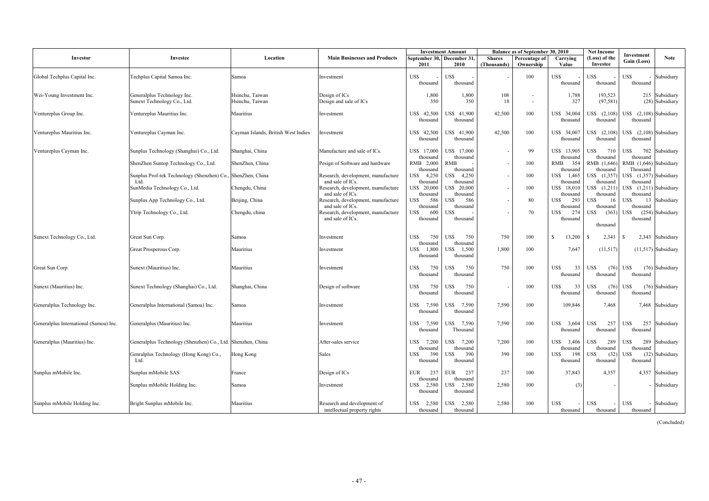|                                        |                                                             |                                     |                                                             | <b>Investment Amount</b>        |                            | Balance as of September 30, 2010 |                            |                           | <b>Net Income</b>         | Investment                             |
|----------------------------------------|-------------------------------------------------------------|-------------------------------------|-------------------------------------------------------------|---------------------------------|----------------------------|----------------------------------|----------------------------|---------------------------|---------------------------|----------------------------------------|
| Investor                               | Investee                                                    | Location                            | <b>Main Businesses and Products</b>                         | September 30, December 31,      |                            | <b>Shares</b>                    | Percentage of<br>Ownership | Carrying<br>Value         | (Loss) of the<br>Investee | <b>Note</b><br>Gain (Loss)             |
|                                        |                                                             |                                     |                                                             | 2011                            | 2010                       | (Thousands)                      |                            |                           |                           |                                        |
| Global Techplus Capital Inc.           | Techplus Capital Samoa Inc.                                 | Samoa                               | Investment                                                  | <b>US\$</b>                     | US\$                       |                                  | 100                        | US\$                      | US\$                      | US\$<br>Subsidiary                     |
|                                        |                                                             |                                     |                                                             | thousand                        | thousand                   |                                  |                            | thousand                  | thousand                  | thousand                               |
| Wei-Young Investment Inc.              | Generalplus Technology Inc.                                 | Hsinchu, Taiwan                     | Design of ICs                                               | 1,800                           | 1,800                      | 108                              | $\overline{\phantom{a}}$   | 1,788                     | 193,523                   | 215 Subsidiary                         |
|                                        | Sunext Technology Co., Ltd.                                 | Hsinchu, Taiwan                     | Design and sale of ICs                                      | 350                             | 350                        | 18                               | $\overline{\phantom{a}}$   | 327                       | (97, 581)                 | (28) Subsidiary                        |
| Ventureplus Group Inc.                 | Ventureplus Mauritius Inc.                                  | Mauritius                           | Investment                                                  | 42,500<br>US\$                  | US\$ 41,900                | 42,500                           | 100                        | US\$ 34,004               | US\$ (2,108)              | US\$ $(2,108)$ Subsidiary              |
|                                        |                                                             |                                     |                                                             | thousand                        | thousand                   |                                  |                            | thousand                  | thousand                  | thousand                               |
| Ventureplus Mauritius Inc.             | Ventureplus Cayman Inc.                                     | Cayman Islands, British West Indies | Investment                                                  | US\$ 42,500                     | US\$ 41,900                | 42,500                           | 100                        | US\$ 34,007               | $US\$ $(2,108)$           | US\$ (2,108) Subsidiary                |
|                                        |                                                             |                                     |                                                             | thousand                        | thousand                   |                                  |                            | thousand                  | thousand                  | thousand                               |
|                                        |                                                             |                                     |                                                             |                                 |                            |                                  |                            |                           |                           |                                        |
| Ventureplus Cayman Inc.                | Sunplus Technology (Shanghai) Co., Ltd.                     | Shanghai, China                     | Manufacture and sale of ICs.                                | US\$ 17,000<br>thousand         | US\$ 17,000<br>thousand    |                                  | 99                         | US\$ 13,905<br>thousand   | USS<br>710<br>thousand    | US\$-<br>702 Subsidiary<br>thousand    |
|                                        | ShenZhen Suntop Technology Co., Ltd.                        | ShenZhen, China                     | Pesign of Software and hardware                             | RMB 2,000                       | <b>RMB</b>                 |                                  | 100                        | 354<br>RMB                | RMB (1,646)               | RMB (1,646) Subsidiary                 |
|                                        | Sunplus Prof-tek Technology (Shenzhen) Co., ShenZhen, China |                                     | Research, development, manufacture                          | thousand<br><b>USS</b><br>4,250 | thousand<br>4.250<br>US\$- |                                  | 100                        | thousand<br>1,465<br>US\$ | thousand<br>US\$ (1,357)  | Thousand<br>US\$ (1,357) Subsidiary    |
|                                        | Ltd                                                         |                                     | and sale of ICs.                                            | thousand                        | thousand                   |                                  |                            | thousand                  | thousand                  | thousand                               |
|                                        | SunMedia Technology Co., Ltd.                               | Chengdu, China                      | Research, development, manufacture                          | US\$ 20,000                     | US\$ 20,000                |                                  | 100                        | 18,010<br>US\$            | US\$ (1,211)              | US\$ (1,211) Subsidiary                |
|                                        | Sunplus App Technology Co., Ltd.                            | Beijing, China                      | and sale of ICs.<br>Research, development, manufacture      | thousand<br><b>USS</b><br>586   | thousand<br>586<br>USS     |                                  | 80                         | thousand<br>US\$<br>293   | thousand<br>16<br>US\$    | thousand<br>US\$<br>13 Subsidiary      |
|                                        |                                                             |                                     | and sale of ICs.                                            | thousand                        | thousand                   |                                  |                            | thousand                  | thousand                  | thousand                               |
|                                        | Ytrip Technology Co., Ltd.                                  | Chengdu, china                      | Research, development, manufacture<br>and sale of ICs.      | US\$<br>600<br>thousand         | US\$<br>thousand           |                                  | 70                         | 274<br>US\$<br>thousand   | (363)<br>US\$             | US\$<br>$(254)$ Subsidiary<br>thousand |
|                                        |                                                             |                                     |                                                             |                                 |                            |                                  |                            |                           | thousand                  |                                        |
|                                        |                                                             |                                     |                                                             |                                 |                            |                                  |                            |                           |                           |                                        |
| Sunext Technology Co., Ltd.            | Great Sun Corp.                                             | Samoa                               | Investment                                                  | US\$<br>750<br>thousand         | 750<br>US\$<br>thousand    | 750                              | 100                        | S<br>13,200               | 2,343<br>- S              | -8<br>2,343 Subsidiary                 |
|                                        | Great Prosperous Corp.                                      | Mauritius                           | Investment                                                  | 1,800<br>US\$                   | 1,500<br>US\$              | 1,800                            | 100                        | 7,647                     | (11,517)                  | $(11,517)$ Subsidiary                  |
|                                        |                                                             |                                     |                                                             | thousand                        | thousand                   |                                  |                            |                           |                           |                                        |
| Great Sun Corp.                        | Sunext (Mauritius) Inc.                                     | Mauritius                           | Investment                                                  | 750<br>US\$                     | 750<br>US\$                | 750                              | 100                        | US\$<br>33                | US\$<br>(76)              | US\$<br>(76) Subsidiary                |
|                                        |                                                             |                                     |                                                             | thousand                        | thousand                   |                                  |                            | thousand                  | thousand                  | thousand                               |
| Sunext (Mauritius) Inc.                | Sunext Technology (Shanghai) Co., Ltd.                      | Shanghai, China                     | Design of software                                          | US\$<br>750                     | US\$<br>750                |                                  | 100                        | US\$<br>33                | US\$<br>(76)              | US\$<br>(76) Subsidiary                |
|                                        |                                                             |                                     |                                                             | thousand                        | thousand                   |                                  |                            | thousand                  | thousand                  | thousand                               |
| Generalplus Technology Inc.            | Generalplus International (Samoa) Inc.                      | Samoa                               | Investment                                                  | US\$<br>7,590                   | 7.590<br>US\$              | 7.590                            | 100                        | 109.846                   | 7.468                     | 7.468 Subsidiary                       |
|                                        |                                                             |                                     |                                                             | thousand                        | thousand                   |                                  |                            |                           |                           |                                        |
| Generalplus International (Samoa) Inc. | Generalplus (Mauritius) Inc.                                | Mauritius                           | Investment                                                  | US\$<br>7,590                   | US\$ 7,590                 | 7,590                            | 100                        | US\$ 3,604                | US\$<br>257               | US\$<br>257 Subsidiary                 |
|                                        |                                                             |                                     |                                                             | thousand                        | Thousand                   |                                  |                            | thousand                  | thousand                  | thousand                               |
|                                        | Generalplus Technology (Shenzhen) Co., Ltd. Shenzhen, China |                                     | After-sales service                                         | US\$ 7,200                      | US\$ 7.200                 | 7.200                            | 100                        | US\$ 3,406                | USS<br>289                | US\$-<br>289 Subsidiary                |
| Generalplus (Mauritius) Inc.           |                                                             |                                     |                                                             | thousand                        | thousand                   |                                  |                            | thousand                  | thousand                  | thousand                               |
|                                        | Genralplus Technology (Hong Kong) Co.,                      | Hong Kong                           | <b>Sales</b>                                                | <b>USS</b><br>390               | US\$<br>390                | 390                              | 100                        | US\$<br>198               | JSS<br>(32)               | JS\$<br>(32) Subsidiary                |
|                                        | Ltd.                                                        |                                     |                                                             | thousand                        | thousand                   |                                  |                            | thousand                  | thousand                  | thousand                               |
| Sunplus mMobile Inc.                   | Sunplus mMobile SAS                                         | France                              | Design of ICs                                               | 237<br><b>EUR</b>               | 237<br>EUR                 | 237                              | 100                        | 37,843                    | 4,357                     | 4,357 Subsidiary                       |
|                                        | Sunplus mMobile Holding Inc.                                | Samoa                               | Investment                                                  | thousand<br>2,580<br>US\$       | thousand<br>2,580<br>US\$- | 2,580                            | 100                        | (3)                       |                           | Subsidiary                             |
|                                        |                                                             |                                     |                                                             | thousand                        | thousand                   |                                  |                            |                           |                           |                                        |
|                                        |                                                             |                                     |                                                             |                                 |                            |                                  |                            |                           |                           |                                        |
| Sunplus mMobile Holding Inc.           | Bright Sunplus mMobile Inc.                                 | Mauritius                           | Research and development of<br>intellectual property rights | US\$<br>2,580<br>thousand       | 2,580<br>US\$<br>thousand  | 2,580                            | 100                        | US\$<br>thousand          | <b>US\$</b><br>thousand   | US\$<br>Subsidiary<br>thousand         |

(Concluded)